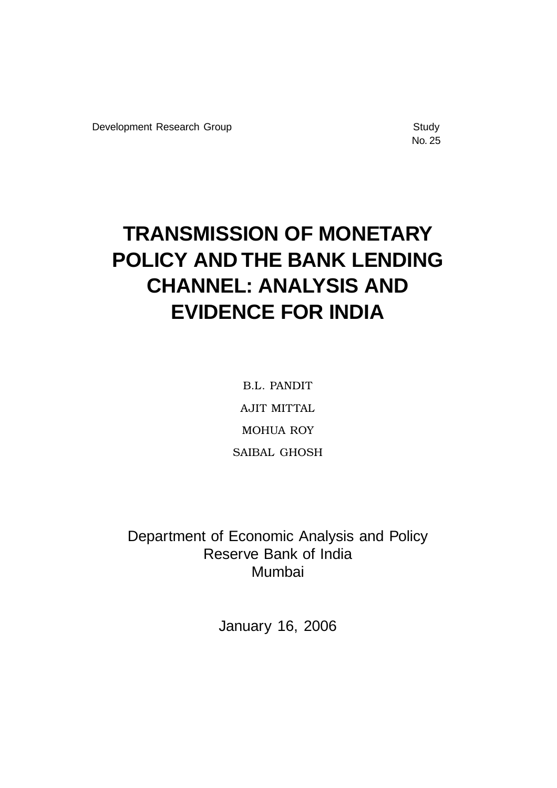No. 25

# **TRANSMISSION OF MONETARY POLICY AND THE BANK LENDING CHANNEL: ANALYSIS AND EVIDENCE FOR INDIA**

B.L. PANDIT AJIT MITTAL MOHUA ROY SAIBAL GHOSH

Department of Economic Analysis and Policy Reserve Bank of India Mumbai

January 16, 2006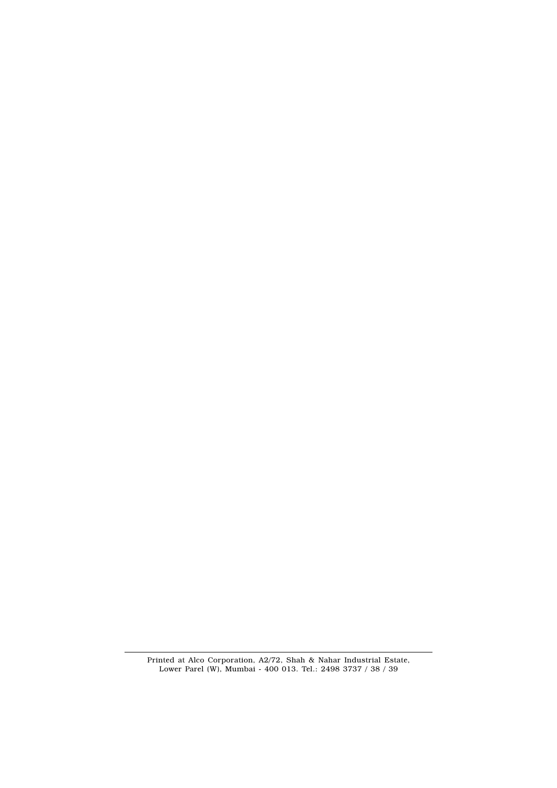Printed at Alco Corporation, A2/72, Shah & Nahar Industrial Estate, Lower Parel (W), Mumbai - 400 013. Tel.: 2498 3737 / 38 / 39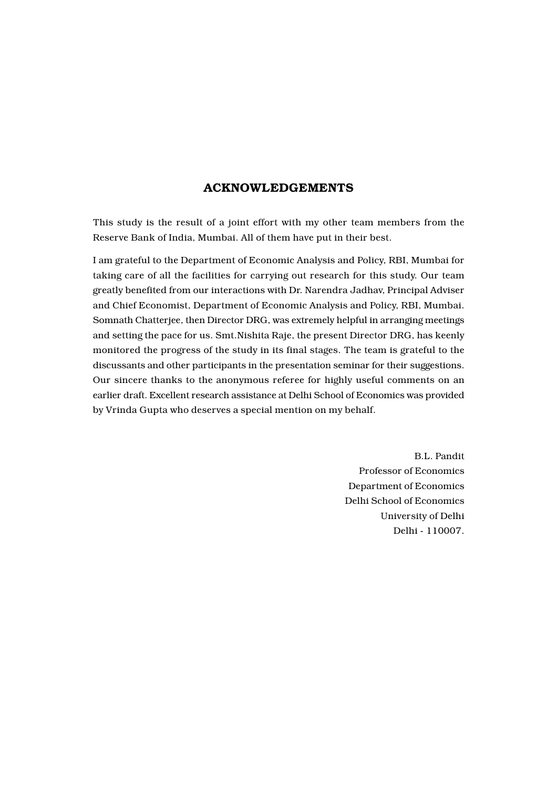### ACKNOWLEDGEMENTS

This study is the result of a joint effort with my other team members from the Reserve Bank of India, Mumbai. All of them have put in their best.

I am grateful to the Department of Economic Analysis and Policy, RBI, Mumbai for taking care of all the facilities for carrying out research for this study. Our team greatly benefited from our interactions with Dr. Narendra Jadhav, Principal Adviser and Chief Economist, Department of Economic Analysis and Policy, RBI, Mumbai. Somnath Chatterjee, then Director DRG, was extremely helpful in arranging meetings and setting the pace for us. Smt.Nishita Raje, the present Director DRG, has keenly monitored the progress of the study in its final stages. The team is grateful to the discussants and other participants in the presentation seminar for their suggestions. Our sincere thanks to the anonymous referee for highly useful comments on an earlier draft. Excellent research assistance at Delhi School of Economics was provided by Vrinda Gupta who deserves a special mention on my behalf.

> B.L. Pandit Professor of Economics Department of Economics Delhi School of Economics University of Delhi Delhi - 110007.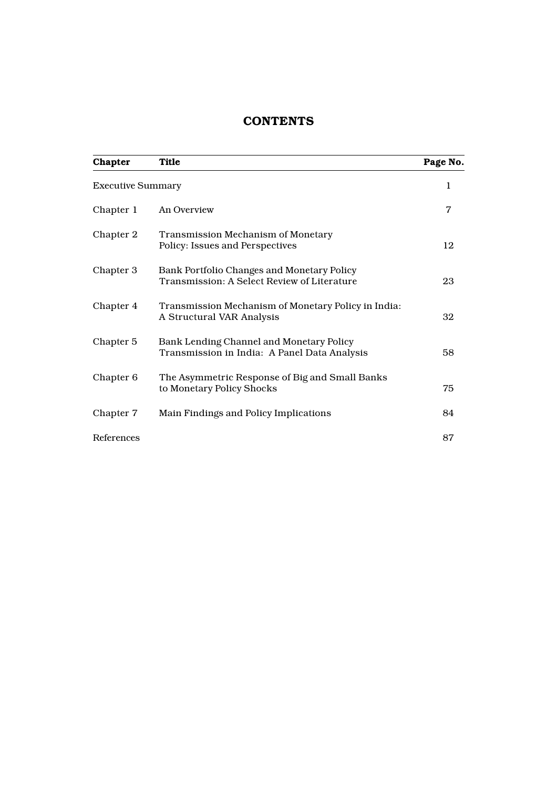### **CONTENTS**

| Chapter                  | Title                                                                                     | Page No. |
|--------------------------|-------------------------------------------------------------------------------------------|----------|
| <b>Executive Summary</b> |                                                                                           | 1        |
| Chapter 1                | An Overview                                                                               | 7        |
| Chapter 2                | <b>Transmission Mechanism of Monetary</b><br>Policy: Issues and Perspectives              | 12       |
| Chapter 3                | Bank Portfolio Changes and Monetary Policy<br>Transmission: A Select Review of Literature | 23       |
| Chapter 4                | Transmission Mechanism of Monetary Policy in India:<br>A Structural VAR Analysis          | 32       |
| Chapter 5                | Bank Lending Channel and Monetary Policy<br>Transmission in India: A Panel Data Analysis  | 58       |
| Chapter 6                | The Asymmetric Response of Big and Small Banks<br>to Monetary Policy Shocks               | 75       |
| Chapter 7                | Main Findings and Policy Implications                                                     | 84       |
| References               |                                                                                           | 87       |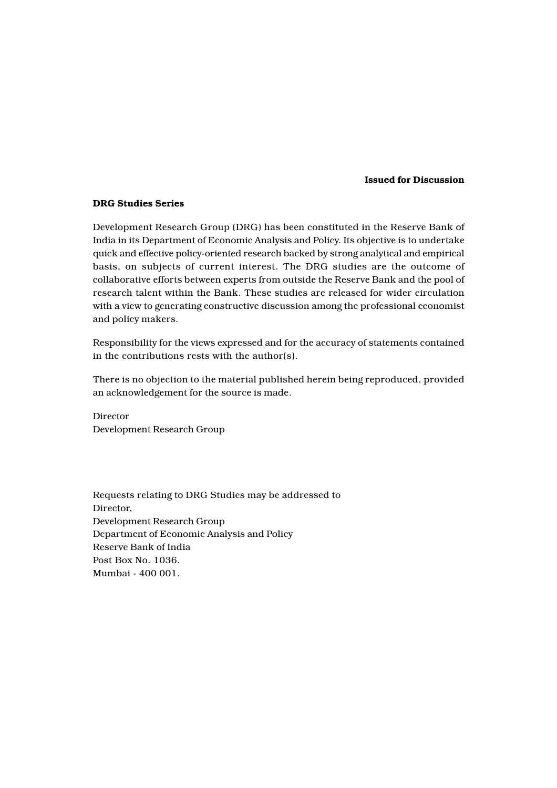#### Issued for Discussion

### DRG Studies Series

Development Research Group (DRG) has been constituted in the Reserve Bank of India in its Department of Economic Analysis and Policy. Its objective is to undertake quick and effective policy-oriented research backed by strong analytical and empirical basis, on subjects of current interest. The DRG studies are the outcome of collaborative efforts between experts from outside the Reserve Bank and the pool of research talent within the Bank. These studies are released for wider circulation with a view to generating constructive discussion among the professional economist and policy makers.

Responsibility for the views expressed and for the accuracy of statements contained in the contributions rests with the author(s).

There is no objection to the material published herein being reproduced, provided an acknowledgement for the source is made.

Director Development Research Group

Requests relating to DRG Studies may be addressed to Director, Development Research Group Department of Economic Analysis and Policy Reserve Bank of India Post Box No. 1036. Mumbai - 400 001.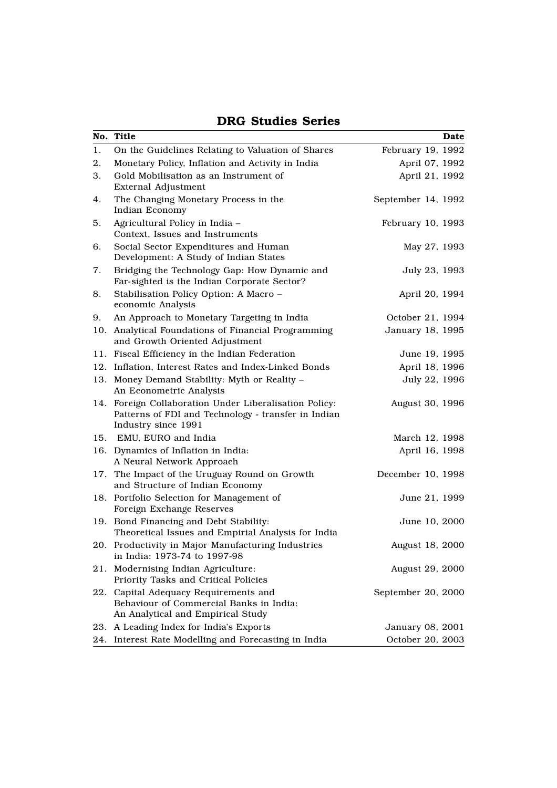|     | No. Title                                                                                                                            | Date               |
|-----|--------------------------------------------------------------------------------------------------------------------------------------|--------------------|
| 1.  | On the Guidelines Relating to Valuation of Shares                                                                                    | February 19, 1992  |
| 2.  | Monetary Policy, Inflation and Activity in India                                                                                     | April 07, 1992     |
| 3.  | Gold Mobilisation as an Instrument of<br>External Adjustment                                                                         | April 21, 1992     |
| 4.  | The Changing Monetary Process in the<br>Indian Economy                                                                               | September 14, 1992 |
| 5.  | Agricultural Policy in India -<br>Context. Issues and Instruments                                                                    | February 10, 1993  |
| 6.  | Social Sector Expenditures and Human<br>Development: A Study of Indian States                                                        | May 27, 1993       |
| 7.  | Bridging the Technology Gap: How Dynamic and<br>Far-sighted is the Indian Corporate Sector?                                          | July 23, 1993      |
| 8.  | Stabilisation Policy Option: A Macro -<br>economic Analysis                                                                          | April 20, 1994     |
| 9.  | An Approach to Monetary Targeting in India                                                                                           | October 21, 1994   |
|     | 10. Analytical Foundations of Financial Programming<br>and Growth Oriented Adjustment                                                | January 18, 1995   |
|     | 11. Fiscal Efficiency in the Indian Federation                                                                                       | June 19, 1995      |
|     | 12. Inflation, Interest Rates and Index-Linked Bonds                                                                                 | April 18, 1996     |
|     | 13. Money Demand Stability: Myth or Reality -<br>An Econometric Analysis                                                             | July 22, 1996      |
|     | 14. Foreign Collaboration Under Liberalisation Policy:<br>Patterns of FDI and Technology - transfer in Indian<br>Industry since 1991 | August 30, 1996    |
|     | 15. EMU, EURO and India                                                                                                              | March 12, 1998     |
|     | 16. Dynamics of Inflation in India:<br>A Neural Network Approach                                                                     | April 16, 1998     |
| 17. | The Impact of the Uruguay Round on Growth<br>and Structure of Indian Economy                                                         | December 10, 1998  |
|     | 18. Portfolio Selection for Management of<br>Foreign Exchange Reserves                                                               | June 21, 1999      |
|     | 19. Bond Financing and Debt Stability:<br>Theoretical Issues and Empirial Analysis for India                                         | June 10, 2000      |
|     | 20. Productivity in Major Manufacturing Industries<br>in India: 1973-74 to 1997-98                                                   | August 18, 2000    |
| 21. | Modernising Indian Agriculture:<br>Priority Tasks and Critical Policies                                                              | August 29, 2000    |
| 22. | Capital Adequacy Requirements and<br>Behaviour of Commercial Banks in India:<br>An Analytical and Empirical Study                    | September 20, 2000 |
|     | 23. A Leading Index for India's Exports                                                                                              | January 08, 2001   |
| 24. | Interest Rate Modelling and Forecasting in India                                                                                     | October 20, 2003   |

### DRG Studies Series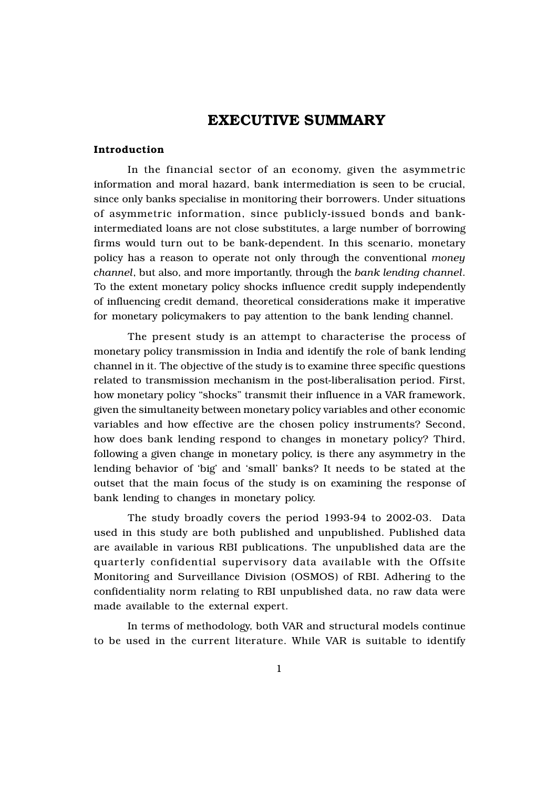### EXECUTIVE SUMMARY

### Introduction

In the financial sector of an economy, given the asymmetric information and moral hazard, bank intermediation is seen to be crucial, since only banks specialise in monitoring their borrowers. Under situations of asymmetric information, since publicly-issued bonds and bankintermediated loans are not close substitutes, a large number of borrowing firms would turn out to be bank-dependent. In this scenario, monetary policy has a reason to operate not only through the conventional *money channel*, but also, and more importantly, through the *bank lending channel*. To the extent monetary policy shocks influence credit supply independently of influencing credit demand, theoretical considerations make it imperative for monetary policymakers to pay attention to the bank lending channel.

The present study is an attempt to characterise the process of monetary policy transmission in India and identify the role of bank lending channel in it. The objective of the study is to examine three specific questions related to transmission mechanism in the post-liberalisation period. First, how monetary policy "shocks" transmit their influence in a VAR framework, given the simultaneity between monetary policy variables and other economic variables and how effective are the chosen policy instruments? Second, how does bank lending respond to changes in monetary policy? Third, following a given change in monetary policy, is there any asymmetry in the lending behavior of 'big' and 'small' banks? It needs to be stated at the outset that the main focus of the study is on examining the response of bank lending to changes in monetary policy.

The study broadly covers the period 1993-94 to 2002-03. Data used in this study are both published and unpublished. Published data are available in various RBI publications. The unpublished data are the quarterly confidential supervisory data available with the Offsite Monitoring and Surveillance Division (OSMOS) of RBI. Adhering to the confidentiality norm relating to RBI unpublished data, no raw data were made available to the external expert.

In terms of methodology, both VAR and structural models continue to be used in the current literature. While VAR is suitable to identify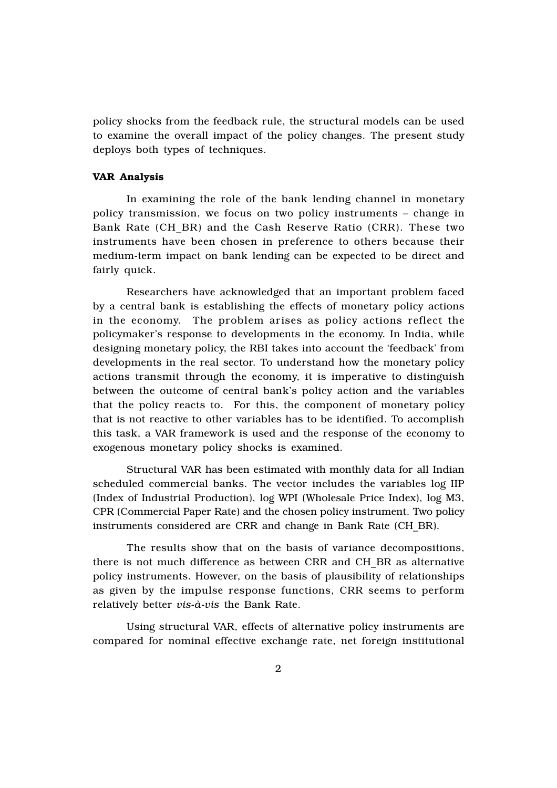policy shocks from the feedback rule, the structural models can be used to examine the overall impact of the policy changes. The present study deploys both types of techniques.

#### VAR Analysis

In examining the role of the bank lending channel in monetary policy transmission, we focus on two policy instruments – change in Bank Rate (CH\_BR) and the Cash Reserve Ratio (CRR). These two instruments have been chosen in preference to others because their medium-term impact on bank lending can be expected to be direct and fairly quick.

Researchers have acknowledged that an important problem faced by a central bank is establishing the effects of monetary policy actions in the economy. The problem arises as policy actions reflect the policymaker's response to developments in the economy. In India, while designing monetary policy, the RBI takes into account the 'feedback' from developments in the real sector. To understand how the monetary policy actions transmit through the economy, it is imperative to distinguish between the outcome of central bank's policy action and the variables that the policy reacts to. For this, the component of monetary policy that is not reactive to other variables has to be identified. To accomplish this task, a VAR framework is used and the response of the economy to exogenous monetary policy shocks is examined.

Structural VAR has been estimated with monthly data for all Indian scheduled commercial banks. The vector includes the variables log IIP (Index of Industrial Production), log WPI (Wholesale Price Index), log M3, CPR (Commercial Paper Rate) and the chosen policy instrument. Two policy instruments considered are CRR and change in Bank Rate (CH\_BR).

The results show that on the basis of variance decompositions, there is not much difference as between CRR and CH\_BR as alternative policy instruments. However, on the basis of plausibility of relationships as given by the impulse response functions, CRR seems to perform relatively better *vis-à-vis* the Bank Rate.

Using structural VAR, effects of alternative policy instruments are compared for nominal effective exchange rate, net foreign institutional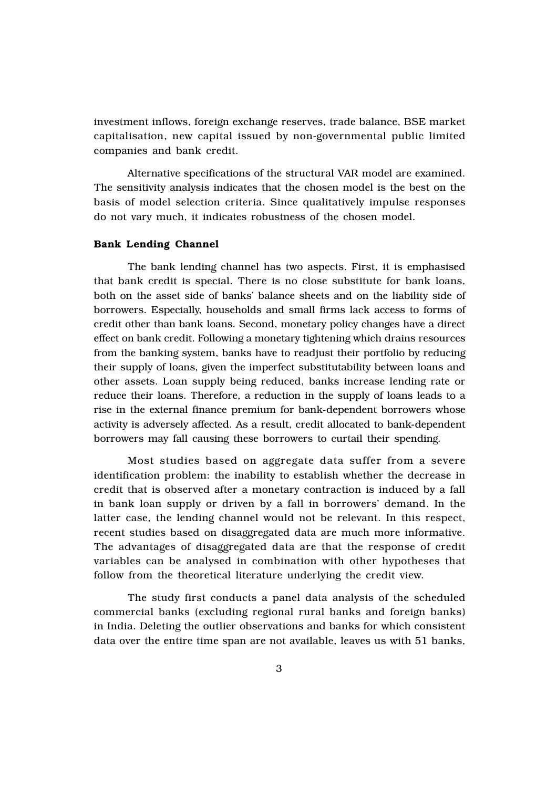investment inflows, foreign exchange reserves, trade balance, BSE market capitalisation, new capital issued by non-governmental public limited companies and bank credit.

Alternative specifications of the structural VAR model are examined. The sensitivity analysis indicates that the chosen model is the best on the basis of model selection criteria. Since qualitatively impulse responses do not vary much, it indicates robustness of the chosen model.

#### Bank Lending Channel

The bank lending channel has two aspects. First, it is emphasised that bank credit is special. There is no close substitute for bank loans, both on the asset side of banks' balance sheets and on the liability side of borrowers. Especially, households and small firms lack access to forms of credit other than bank loans. Second, monetary policy changes have a direct effect on bank credit. Following a monetary tightening which drains resources from the banking system, banks have to readjust their portfolio by reducing their supply of loans, given the imperfect substitutability between loans and other assets. Loan supply being reduced, banks increase lending rate or reduce their loans. Therefore, a reduction in the supply of loans leads to a rise in the external finance premium for bank-dependent borrowers whose activity is adversely affected. As a result, credit allocated to bank-dependent borrowers may fall causing these borrowers to curtail their spending.

Most studies based on aggregate data suffer from a severe identification problem: the inability to establish whether the decrease in credit that is observed after a monetary contraction is induced by a fall in bank loan supply or driven by a fall in borrowers' demand. In the latter case, the lending channel would not be relevant. In this respect, recent studies based on disaggregated data are much more informative. The advantages of disaggregated data are that the response of credit variables can be analysed in combination with other hypotheses that follow from the theoretical literature underlying the credit view.

The study first conducts a panel data analysis of the scheduled commercial banks (excluding regional rural banks and foreign banks) in India. Deleting the outlier observations and banks for which consistent data over the entire time span are not available, leaves us with 51 banks,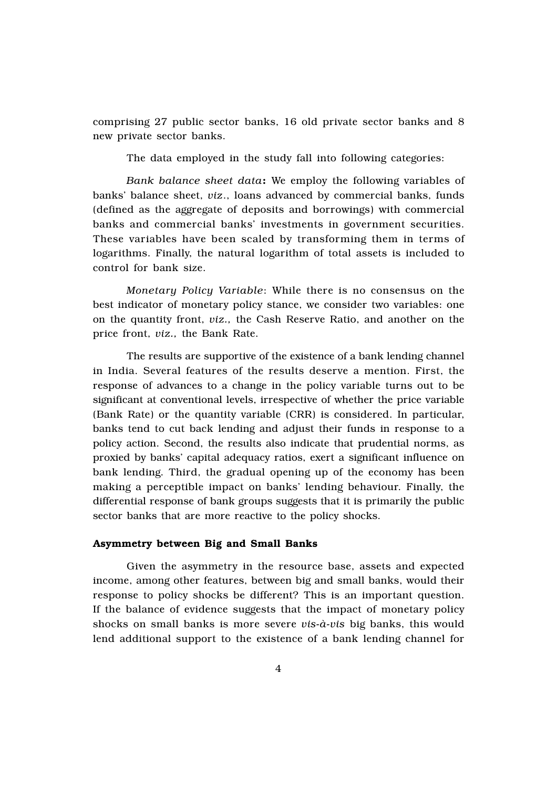comprising 27 public sector banks, 16 old private sector banks and 8 new private sector banks.

The data employed in the study fall into following categories:

*Bank balance sheet data*: We employ the following variables of banks' balance sheet, *viz*., loans advanced by commercial banks, funds (defined as the aggregate of deposits and borrowings) with commercial banks and commercial banks' investments in government securities. These variables have been scaled by transforming them in terms of logarithms. Finally, the natural logarithm of total assets is included to control for bank size.

*Monetary Policy Variable*: While there is no consensus on the best indicator of monetary policy stance, we consider two variables: one on the quantity front, *viz.,* the Cash Reserve Ratio, and another on the price front, *viz.,* the Bank Rate.

The results are supportive of the existence of a bank lending channel in India. Several features of the results deserve a mention. First, the response of advances to a change in the policy variable turns out to be significant at conventional levels, irrespective of whether the price variable (Bank Rate) or the quantity variable (CRR) is considered. In particular, banks tend to cut back lending and adjust their funds in response to a policy action. Second, the results also indicate that prudential norms, as proxied by banks' capital adequacy ratios, exert a significant influence on bank lending. Third, the gradual opening up of the economy has been making a perceptible impact on banks' lending behaviour. Finally, the differential response of bank groups suggests that it is primarily the public sector banks that are more reactive to the policy shocks.

#### Asymmetry between Big and Small Banks

Given the asymmetry in the resource base, assets and expected income, among other features, between big and small banks, would their response to policy shocks be different? This is an important question. If the balance of evidence suggests that the impact of monetary policy shocks on small banks is more severe *vis-à-vis* big banks, this would lend additional support to the existence of a bank lending channel for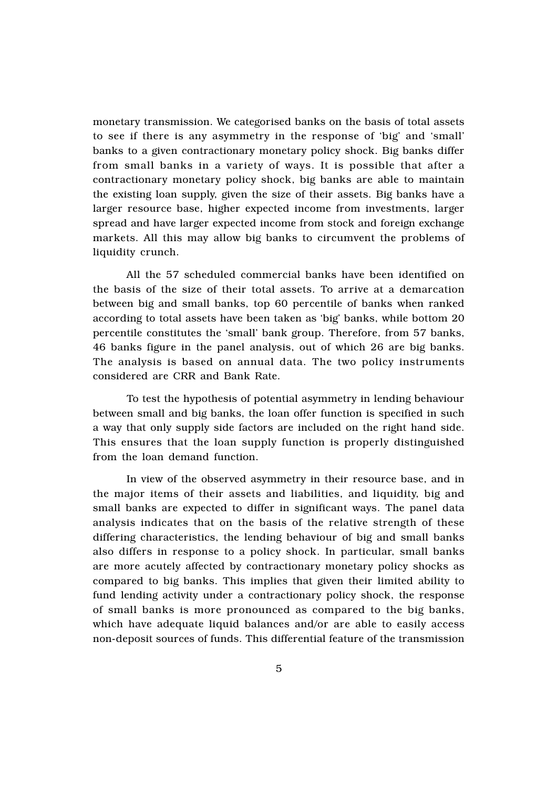monetary transmission. We categorised banks on the basis of total assets to see if there is any asymmetry in the response of 'big' and 'small' banks to a given contractionary monetary policy shock. Big banks differ from small banks in a variety of ways. It is possible that after a contractionary monetary policy shock, big banks are able to maintain the existing loan supply, given the size of their assets. Big banks have a larger resource base, higher expected income from investments, larger spread and have larger expected income from stock and foreign exchange markets. All this may allow big banks to circumvent the problems of liquidity crunch.

All the 57 scheduled commercial banks have been identified on the basis of the size of their total assets. To arrive at a demarcation between big and small banks, top 60 percentile of banks when ranked according to total assets have been taken as 'big' banks, while bottom 20 percentile constitutes the 'small' bank group. Therefore, from 57 banks, 46 banks figure in the panel analysis, out of which 26 are big banks. The analysis is based on annual data. The two policy instruments considered are CRR and Bank Rate.

To test the hypothesis of potential asymmetry in lending behaviour between small and big banks, the loan offer function is specified in such a way that only supply side factors are included on the right hand side. This ensures that the loan supply function is properly distinguished from the loan demand function.

In view of the observed asymmetry in their resource base, and in the major items of their assets and liabilities, and liquidity, big and small banks are expected to differ in significant ways. The panel data analysis indicates that on the basis of the relative strength of these differing characteristics, the lending behaviour of big and small banks also differs in response to a policy shock. In particular, small banks are more acutely affected by contractionary monetary policy shocks as compared to big banks. This implies that given their limited ability to fund lending activity under a contractionary policy shock, the response of small banks is more pronounced as compared to the big banks, which have adequate liquid balances and/or are able to easily access non-deposit sources of funds. This differential feature of the transmission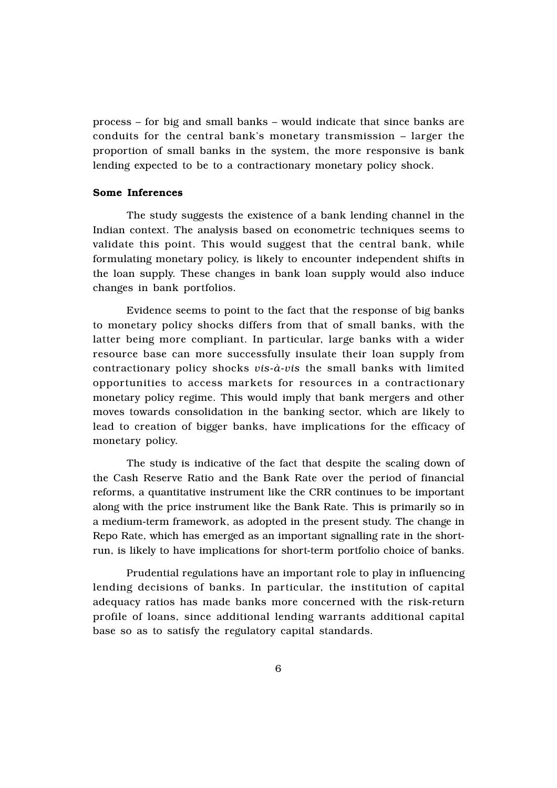process – for big and small banks – would indicate that since banks are conduits for the central bank's monetary transmission – larger the proportion of small banks in the system, the more responsive is bank lending expected to be to a contractionary monetary policy shock.

### Some Inferences

The study suggests the existence of a bank lending channel in the Indian context. The analysis based on econometric techniques seems to validate this point. This would suggest that the central bank, while formulating monetary policy, is likely to encounter independent shifts in the loan supply. These changes in bank loan supply would also induce changes in bank portfolios.

Evidence seems to point to the fact that the response of big banks to monetary policy shocks differs from that of small banks, with the latter being more compliant. In particular, large banks with a wider resource base can more successfully insulate their loan supply from contractionary policy shocks *vis-à-vis* the small banks with limited opportunities to access markets for resources in a contractionary monetary policy regime. This would imply that bank mergers and other moves towards consolidation in the banking sector, which are likely to lead to creation of bigger banks, have implications for the efficacy of monetary policy.

The study is indicative of the fact that despite the scaling down of the Cash Reserve Ratio and the Bank Rate over the period of financial reforms, a quantitative instrument like the CRR continues to be important along with the price instrument like the Bank Rate. This is primarily so in a medium-term framework, as adopted in the present study. The change in Repo Rate, which has emerged as an important signalling rate in the shortrun, is likely to have implications for short-term portfolio choice of banks.

Prudential regulations have an important role to play in influencing lending decisions of banks. In particular, the institution of capital adequacy ratios has made banks more concerned with the risk-return profile of loans, since additional lending warrants additional capital base so as to satisfy the regulatory capital standards.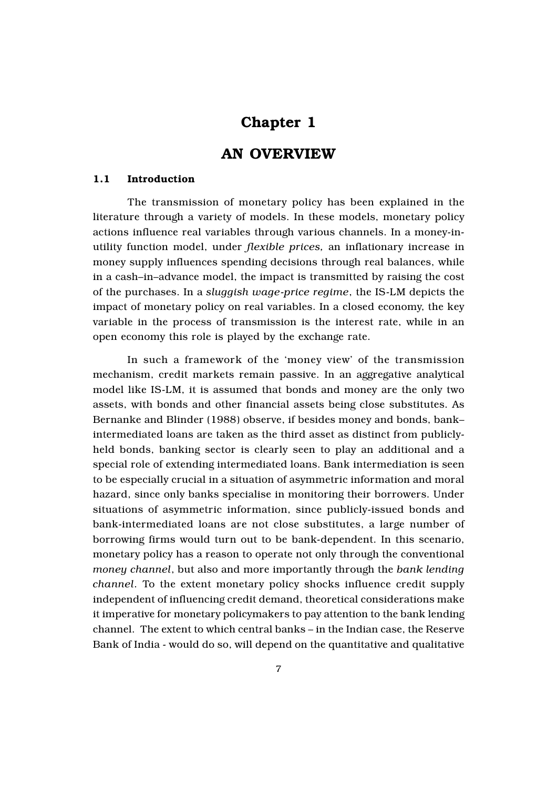### Chapter 1

### AN OVERVIEW

### 1.1 Introduction

The transmission of monetary policy has been explained in the literature through a variety of models. In these models, monetary policy actions influence real variables through various channels. In a money-inutility function model, under *flexible prices,* an inflationary increase in money supply influences spending decisions through real balances, while in a cash–in–advance model, the impact is transmitted by raising the cost of the purchases. In a *sluggish wage-price regime*, the IS-LM depicts the impact of monetary policy on real variables. In a closed economy, the key variable in the process of transmission is the interest rate, while in an open economy this role is played by the exchange rate.

In such a framework of the 'money view' of the transmission mechanism, credit markets remain passive. In an aggregative analytical model like IS-LM, it is assumed that bonds and money are the only two assets, with bonds and other financial assets being close substitutes. As Bernanke and Blinder (1988) observe, if besides money and bonds, bank– intermediated loans are taken as the third asset as distinct from publiclyheld bonds, banking sector is clearly seen to play an additional and a special role of extending intermediated loans. Bank intermediation is seen to be especially crucial in a situation of asymmetric information and moral hazard, since only banks specialise in monitoring their borrowers. Under situations of asymmetric information, since publicly-issued bonds and bank-intermediated loans are not close substitutes, a large number of borrowing firms would turn out to be bank-dependent. In this scenario, monetary policy has a reason to operate not only through the conventional *money channel*, but also and more importantly through the *bank lending channel*. To the extent monetary policy shocks influence credit supply independent of influencing credit demand, theoretical considerations make it imperative for monetary policymakers to pay attention to the bank lending channel. The extent to which central banks – in the Indian case, the Reserve Bank of India - would do so, will depend on the quantitative and qualitative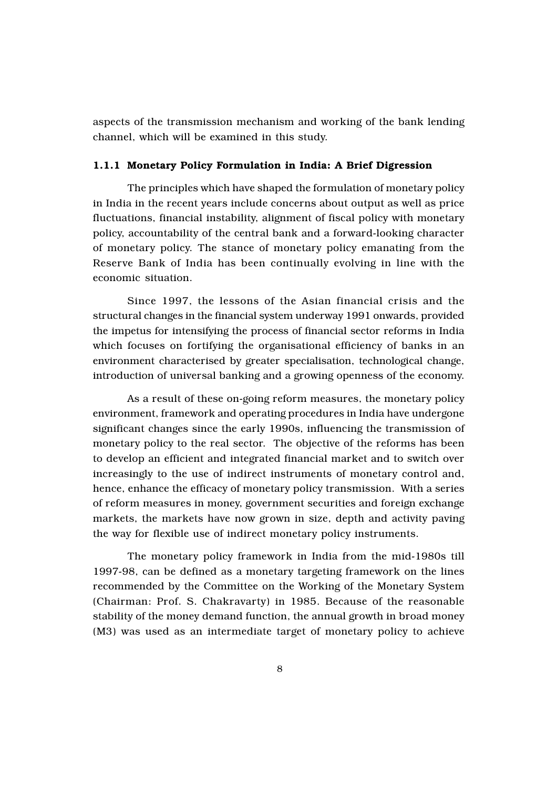aspects of the transmission mechanism and working of the bank lending channel, which will be examined in this study.

#### 1.1.1 Monetary Policy Formulation in India: A Brief Digression

The principles which have shaped the formulation of monetary policy in India in the recent years include concerns about output as well as price fluctuations, financial instability, alignment of fiscal policy with monetary policy, accountability of the central bank and a forward-looking character of monetary policy. The stance of monetary policy emanating from the Reserve Bank of India has been continually evolving in line with the economic situation.

Since 1997, the lessons of the Asian financial crisis and the structural changes in the financial system underway 1991 onwards, provided the impetus for intensifying the process of financial sector reforms in India which focuses on fortifying the organisational efficiency of banks in an environment characterised by greater specialisation, technological change, introduction of universal banking and a growing openness of the economy.

As a result of these on-going reform measures, the monetary policy environment, framework and operating procedures in India have undergone significant changes since the early 1990s, influencing the transmission of monetary policy to the real sector. The objective of the reforms has been to develop an efficient and integrated financial market and to switch over increasingly to the use of indirect instruments of monetary control and, hence, enhance the efficacy of monetary policy transmission. With a series of reform measures in money, government securities and foreign exchange markets, the markets have now grown in size, depth and activity paving the way for flexible use of indirect monetary policy instruments.

The monetary policy framework in India from the mid-1980s till 1997-98, can be defined as a monetary targeting framework on the lines recommended by the Committee on the Working of the Monetary System (Chairman: Prof. S. Chakravarty) in 1985. Because of the reasonable stability of the money demand function, the annual growth in broad money (M3) was used as an intermediate target of monetary policy to achieve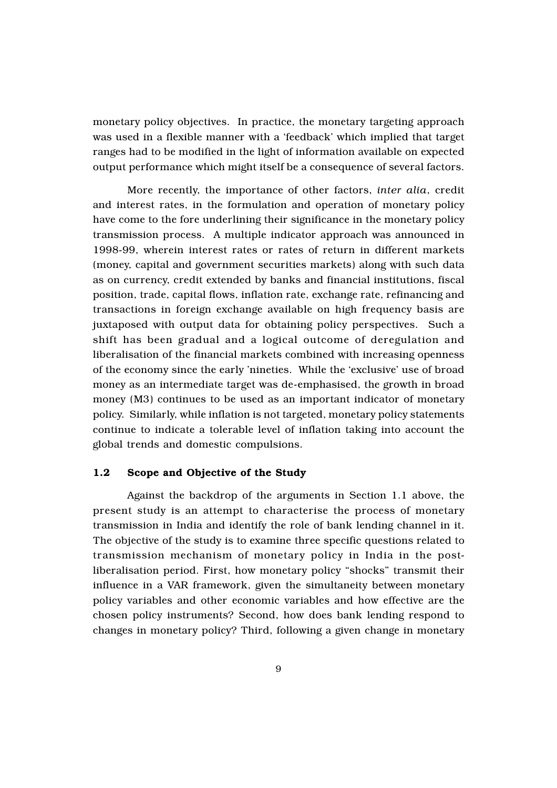monetary policy objectives. In practice, the monetary targeting approach was used in a flexible manner with a 'feedback' which implied that target ranges had to be modified in the light of information available on expected output performance which might itself be a consequence of several factors.

More recently, the importance of other factors, *inter alia*, credit and interest rates, in the formulation and operation of monetary policy have come to the fore underlining their significance in the monetary policy transmission process. A multiple indicator approach was announced in 1998-99, wherein interest rates or rates of return in different markets (money, capital and government securities markets) along with such data as on currency, credit extended by banks and financial institutions, fiscal position, trade, capital flows, inflation rate, exchange rate, refinancing and transactions in foreign exchange available on high frequency basis are juxtaposed with output data for obtaining policy perspectives. Such a shift has been gradual and a logical outcome of deregulation and liberalisation of the financial markets combined with increasing openness of the economy since the early 'nineties. While the 'exclusive' use of broad money as an intermediate target was de-emphasised, the growth in broad money (M3) continues to be used as an important indicator of monetary policy. Similarly, while inflation is not targeted, monetary policy statements continue to indicate a tolerable level of inflation taking into account the global trends and domestic compulsions.

### 1.2 Scope and Objective of the Study

Against the backdrop of the arguments in Section 1.1 above, the present study is an attempt to characterise the process of monetary transmission in India and identify the role of bank lending channel in it. The objective of the study is to examine three specific questions related to transmission mechanism of monetary policy in India in the postliberalisation period. First, how monetary policy "shocks" transmit their influence in a VAR framework, given the simultaneity between monetary policy variables and other economic variables and how effective are the chosen policy instruments? Second, how does bank lending respond to changes in monetary policy? Third, following a given change in monetary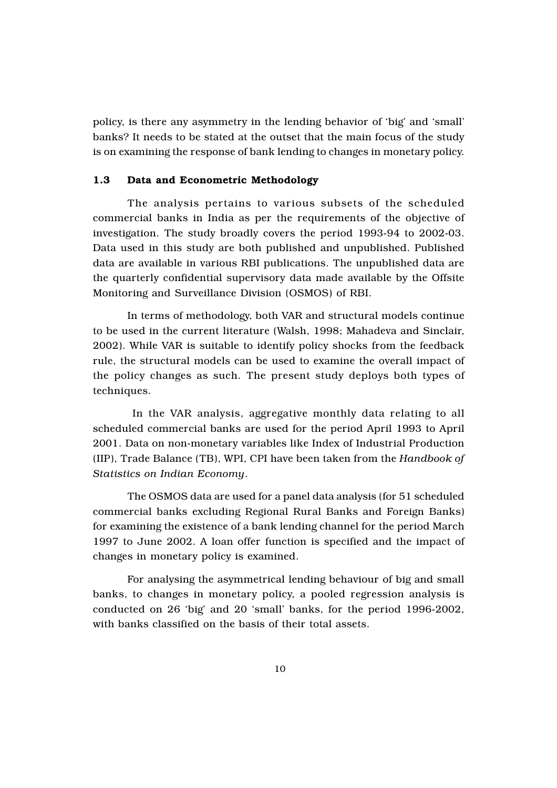policy, is there any asymmetry in the lending behavior of 'big' and 'small' banks? It needs to be stated at the outset that the main focus of the study is on examining the response of bank lending to changes in monetary policy.

### 1.3 Data and Econometric Methodology

The analysis pertains to various subsets of the scheduled commercial banks in India as per the requirements of the objective of investigation. The study broadly covers the period 1993-94 to 2002-03. Data used in this study are both published and unpublished. Published data are available in various RBI publications. The unpublished data are the quarterly confidential supervisory data made available by the Offsite Monitoring and Surveillance Division (OSMOS) of RBI.

In terms of methodology, both VAR and structural models continue to be used in the current literature (Walsh, 1998; Mahadeva and Sinclair, 2002). While VAR is suitable to identify policy shocks from the feedback rule, the structural models can be used to examine the overall impact of the policy changes as such. The present study deploys both types of techniques.

 In the VAR analysis, aggregative monthly data relating to all scheduled commercial banks are used for the period April 1993 to April 2001. Data on non-monetary variables like Index of Industrial Production (IIP), Trade Balance (TB), WPI, CPI have been taken from the *Handbook of Statistics on Indian Economy*.

The OSMOS data are used for a panel data analysis (for 51 scheduled commercial banks excluding Regional Rural Banks and Foreign Banks) for examining the existence of a bank lending channel for the period March 1997 to June 2002. A loan offer function is specified and the impact of changes in monetary policy is examined.

For analysing the asymmetrical lending behaviour of big and small banks, to changes in monetary policy, a pooled regression analysis is conducted on 26 'big' and 20 'small' banks, for the period 1996-2002, with banks classified on the basis of their total assets.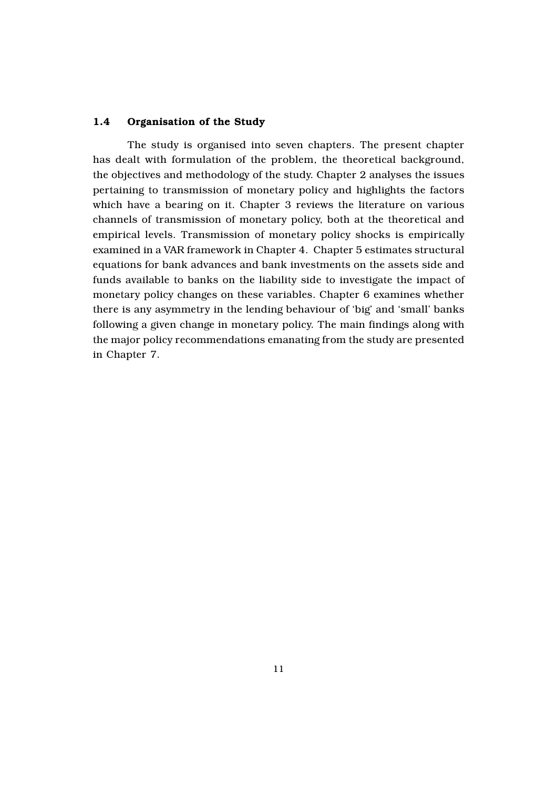### 1.4 Organisation of the Study

The study is organised into seven chapters. The present chapter has dealt with formulation of the problem, the theoretical background, the objectives and methodology of the study. Chapter 2 analyses the issues pertaining to transmission of monetary policy and highlights the factors which have a bearing on it. Chapter 3 reviews the literature on various channels of transmission of monetary policy, both at the theoretical and empirical levels. Transmission of monetary policy shocks is empirically examined in a VAR framework in Chapter 4. Chapter 5 estimates structural equations for bank advances and bank investments on the assets side and funds available to banks on the liability side to investigate the impact of monetary policy changes on these variables. Chapter 6 examines whether there is any asymmetry in the lending behaviour of 'big' and 'small' banks following a given change in monetary policy. The main findings along with the major policy recommendations emanating from the study are presented in Chapter 7.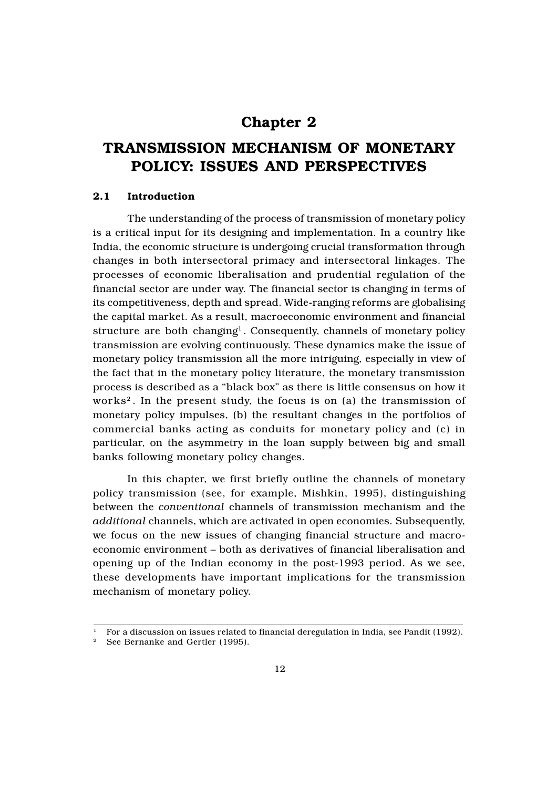### Chapter 2

### TRANSMISSION MECHANISM OF MONETARY POLICY: ISSUES AND PERSPECTIVES

### 2.1 Introduction

The understanding of the process of transmission of monetary policy is a critical input for its designing and implementation. In a country like India, the economic structure is undergoing crucial transformation through changes in both intersectoral primacy and intersectoral linkages. The processes of economic liberalisation and prudential regulation of the financial sector are under way. The financial sector is changing in terms of its competitiveness, depth and spread. Wide-ranging reforms are globalising the capital market. As a result, macroeconomic environment and financial structure are both changing<sup>1</sup>. Consequently, channels of monetary policy transmission are evolving continuously. These dynamics make the issue of monetary policy transmission all the more intriguing, especially in view of the fact that in the monetary policy literature, the monetary transmission process is described as a "black box" as there is little consensus on how it works<sup>2</sup>. In the present study, the focus is on (a) the transmission of monetary policy impulses, (b) the resultant changes in the portfolios of commercial banks acting as conduits for monetary policy and (c) in particular, on the asymmetry in the loan supply between big and small banks following monetary policy changes.

In this chapter, we first briefly outline the channels of monetary policy transmission (see, for example, Mishkin, 1995), distinguishing between the *conventional* channels of transmission mechanism and the *additional* channels, which are activated in open economies. Subsequently, we focus on the new issues of changing financial structure and macroeconomic environment – both as derivatives of financial liberalisation and opening up of the Indian economy in the post-1993 period. As we see, these developments have important implications for the transmission mechanism of monetary policy.

<sup>1</sup> For a discussion on issues related to financial deregulation in India, see Pandit (1992).

<sup>2</sup> See Bernanke and Gertler (1995).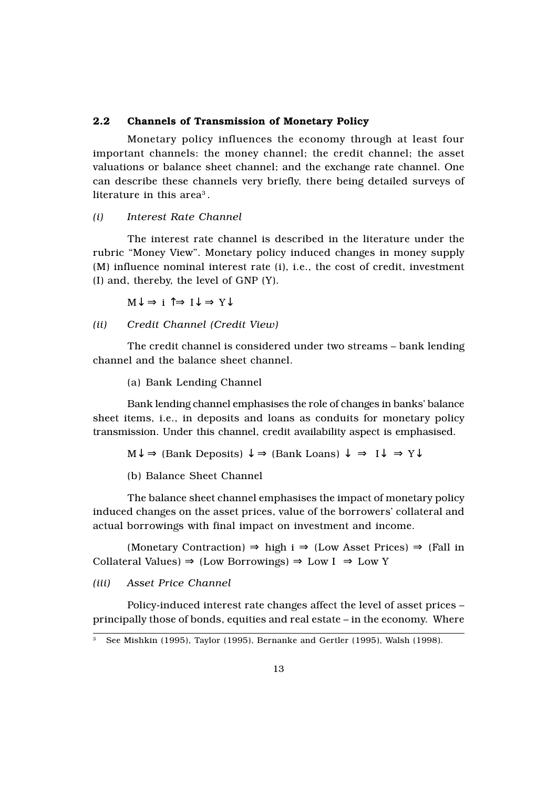### 2.2 Channels of Transmission of Monetary Policy

Monetary policy influences the economy through at least four important channels: the money channel; the credit channel; the asset valuations or balance sheet channel; and the exchange rate channel. One can describe these channels very briefly, there being detailed surveys of literature in this area $3<sup>3</sup>$ .

#### *(i) Interest Rate Channel*

The interest rate channel is described in the literature under the rubric "Money View". Monetary policy induced changes in money supply (M) influence nominal interest rate (i), i.e., the cost of credit, investment (I) and, thereby, the level of GNP (Y).

 $M \downarrow \Rightarrow i \uparrow \Rightarrow I \downarrow \Rightarrow Y \downarrow$ 

### *(ii) Credit Channel (Credit View)*

The credit channel is considered under two streams – bank lending channel and the balance sheet channel.

(a) Bank Lending Channel

Bank lending channel emphasises the role of changes in banks' balance sheet items, i.e., in deposits and loans as conduits for monetary policy transmission. Under this channel, credit availability aspect is emphasised.

 $M^{\downarrow} \Rightarrow$  (Bank Deposits)  $\downarrow \Rightarrow$  (Bank Loans)  $\downarrow \Rightarrow I^{\downarrow} \Rightarrow Y^{\downarrow}$ 

(b) Balance Sheet Channel

The balance sheet channel emphasises the impact of monetary policy induced changes on the asset prices, value of the borrowers' collateral and actual borrowings with final impact on investment and income.

(Monetary Contraction)  $\Rightarrow$  high i  $\Rightarrow$  (Low Asset Prices)  $\Rightarrow$  (Fall in Collateral Values)  $\Rightarrow$  (Low Borrowings)  $\Rightarrow$  Low I  $\Rightarrow$  Low Y

*(iii) Asset Price Channel*

Policy-induced interest rate changes affect the level of asset prices – principally those of bonds, equities and real estate – in the economy. Where

<sup>3</sup> See Mishkin (1995), Taylor (1995), Bernanke and Gertler (1995), Walsh (1998).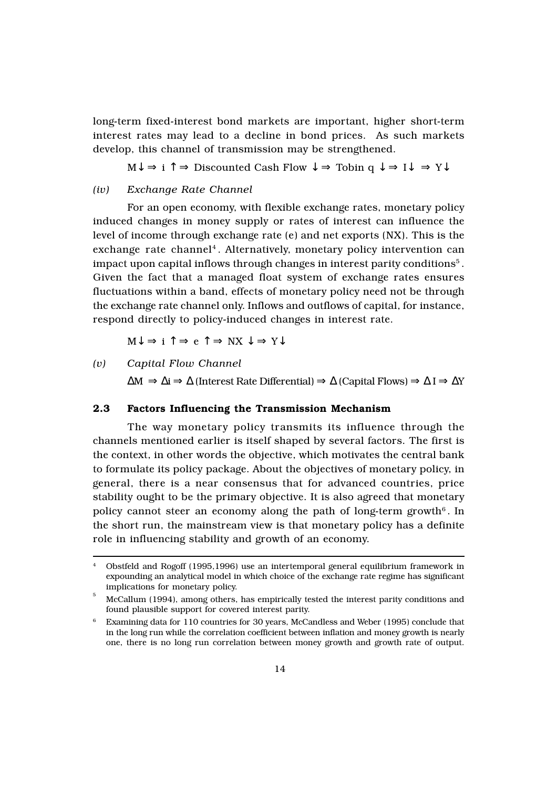long-term fixed-interest bond markets are important, higher short-term interest rates may lead to a decline in bond prices. As such markets develop, this channel of transmission may be strengthened.

 $M\downarrow \Rightarrow i \uparrow \Rightarrow Discounted$  Cash Flow  $\downarrow \Rightarrow$  Tobin  $q \downarrow \Rightarrow I\downarrow \Rightarrow Y\downarrow$ 

### *(iv) Exchange Rate Channel*

For an open economy, with flexible exchange rates, monetary policy induced changes in money supply or rates of interest can influence the level of income through exchange rate (e) and net exports (NX). This is the exchange rate channel<sup>4</sup>. Alternatively, monetary policy intervention can impact upon capital inflows through changes in interest parity conditions<sup>5</sup>. Given the fact that a managed float system of exchange rates ensures fluctuations within a band, effects of monetary policy need not be through the exchange rate channel only. Inflows and outflows of capital, for instance, respond directly to policy-induced changes in interest rate.

 $M\downarrow \Rightarrow i \uparrow \Rightarrow e \uparrow \Rightarrow NX \downarrow \Rightarrow Y\downarrow$ 

*(v) Capital Flow Channel*

 $\Delta M \Rightarrow \Delta i \Rightarrow \Delta$  (Interest Rate Differential)  $\Rightarrow \Delta$  (Capital Flows)  $\Rightarrow \Delta I \Rightarrow \Delta Y$ 

### 2.3 Factors Influencing the Transmission Mechanism

The way monetary policy transmits its influence through the channels mentioned earlier is itself shaped by several factors. The first is the context, in other words the objective, which motivates the central bank to formulate its policy package. About the objectives of monetary policy, in general, there is a near consensus that for advanced countries, price stability ought to be the primary objective. It is also agreed that monetary policy cannot steer an economy along the path of long-term growth<sup> $6$ </sup>. In the short run, the mainstream view is that monetary policy has a definite role in influencing stability and growth of an economy.

<sup>4</sup> Obstfeld and Rogoff (1995,1996) use an intertemporal general equilibrium framework in expounding an analytical model in which choice of the exchange rate regime has significant implications for monetary policy.

<sup>5</sup> McCallum (1994), among others, has empirically tested the interest parity conditions and found plausible support for covered interest parity.

<sup>6</sup> Examining data for 110 countries for 30 years, McCandless and Weber (1995) conclude that in the long run while the correlation coefficient between inflation and money growth is nearly one, there is no long run correlation between money growth and growth rate of output.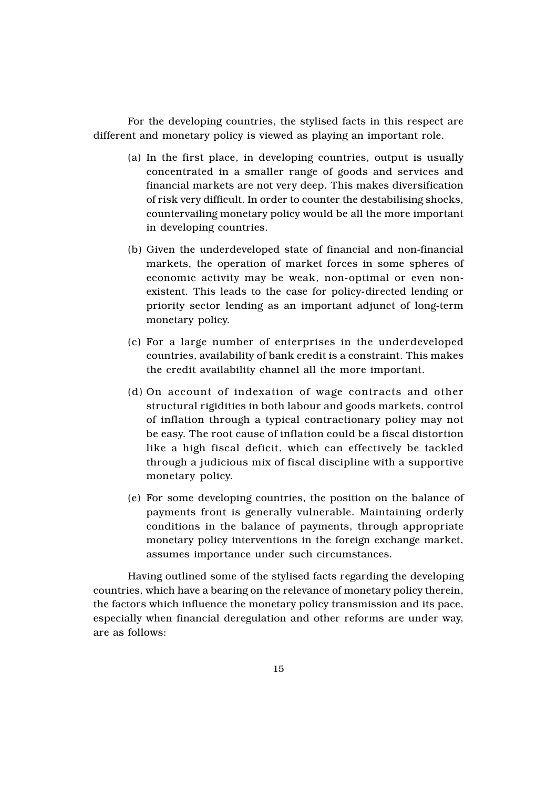For the developing countries, the stylised facts in this respect are different and monetary policy is viewed as playing an important role.

- (a) In the first place, in developing countries, output is usually concentrated in a smaller range of goods and services and financial markets are not very deep. This makes diversification of risk very difficult. In order to counter the destabilising shocks, countervailing monetary policy would be all the more important in developing countries.
- (b) Given the underdeveloped state of financial and non-financial markets, the operation of market forces in some spheres of economic activity may be weak, non-optimal or even nonexistent. This leads to the case for policy-directed lending or priority sector lending as an important adjunct of long-term monetary policy.
- (c) For a large number of enterprises in the underdeveloped countries, availability of bank credit is a constraint. This makes the credit availability channel all the more important.
- (d) On account of indexation of wage contracts and other structural rigidities in both labour and goods markets, control of inflation through a typical contractionary policy may not be easy. The root cause of inflation could be a fiscal distortion like a high fiscal deficit, which can effectively be tackled through a judicious mix of fiscal discipline with a supportive monetary policy.
- (e) For some developing countries, the position on the balance of payments front is generally vulnerable. Maintaining orderly conditions in the balance of payments, through appropriate monetary policy interventions in the foreign exchange market, assumes importance under such circumstances.

Having outlined some of the stylised facts regarding the developing countries, which have a bearing on the relevance of monetary policy therein, the factors which influence the monetary policy transmission and its pace, especially when financial deregulation and other reforms are under way, are as follows: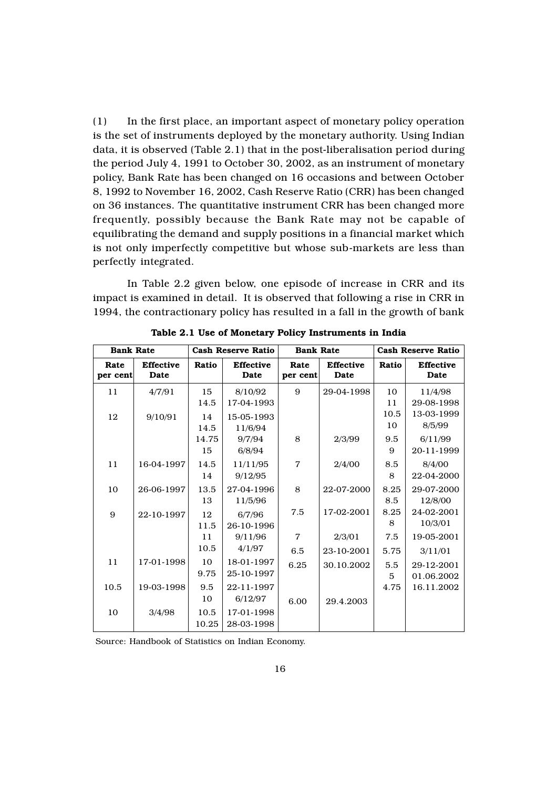(1) In the first place, an important aspect of monetary policy operation is the set of instruments deployed by the monetary authority. Using Indian data, it is observed (Table 2.1) that in the post-liberalisation period during the period July 4, 1991 to October 30, 2002, as an instrument of monetary policy, Bank Rate has been changed on 16 occasions and between October 8, 1992 to November 16, 2002, Cash Reserve Ratio (CRR) has been changed on 36 instances. The quantitative instrument CRR has been changed more frequently, possibly because the Bank Rate may not be capable of equilibrating the demand and supply positions in a financial market which is not only imperfectly competitive but whose sub-markets are less than perfectly integrated.

In Table 2.2 given below, one episode of increase in CRR and its impact is examined in detail. It is observed that following a rise in CRR in 1994, the contractionary policy has resulted in a fall in the growth of bank

| <b>Bank Rate</b> |                          | <b>Cash Reserve Ratio</b> |                          | <b>Bank Rate</b> |                          | <b>Cash Reserve Ratio</b> |                          |  |
|------------------|--------------------------|---------------------------|--------------------------|------------------|--------------------------|---------------------------|--------------------------|--|
| Rate<br>per cent | <b>Effective</b><br>Date | Ratio                     | <b>Effective</b><br>Date | Rate<br>per cent | <b>Effective</b><br>Date | Ratio                     | <b>Effective</b><br>Date |  |
| 11               | 4/7/91                   | 15<br>14.5                | 8/10/92<br>17-04-1993    | 9                | 29-04-1998               | 10<br>11                  | 11/4/98<br>29-08-1998    |  |
| 12               | 9/10/91                  | 14<br>14.5                | 15-05-1993<br>11/6/94    |                  |                          | 10.5<br>10                | 13-03-1999<br>8/5/99     |  |
|                  |                          | 14.75<br>15               | 9/7/94<br>6/8/94         | 8                | 2/3/99                   | 9.5<br>9                  | 6/11/99<br>20-11-1999    |  |
| 11               | 16-04-1997               | 14.5<br>14                | 11/11/95<br>9/12/95      | $\overline{7}$   | 2/4/00                   | 8.5<br>8                  | 8/4/00<br>22-04-2000     |  |
| 10               | 26-06-1997               | 13.5<br>13                | 27-04-1996<br>11/5/96    | 8                | 22-07-2000               | 8.25<br>8.5               | 29-07-2000<br>12/8/00    |  |
| 9                | 22-10-1997               | 12<br>11.5                | 6/7/96<br>26-10-1996     | 7.5              | 17-02-2001               | 8.25<br>8                 | 24-02-2001<br>10/3/01    |  |
|                  |                          | 11                        | 9/11/96                  | $\overline{7}$   | 2/3/01                   | 7.5                       | 19-05-2001               |  |
|                  |                          | 10.5                      | 4/1/97                   | 6.5              | 23-10-2001               | 5.75                      | 3/11/01                  |  |
| 11               | 17-01-1998               | 10<br>9.75                | 18-01-1997<br>25-10-1997 | 6.25             | 30.10.2002               | 5.5<br>5                  | 29-12-2001<br>01.06.2002 |  |
| 10.5             | 19-03-1998               | 9.5<br>10                 | 22-11-1997<br>6/12/97    | 6.00             | 29.4.2003                | 4.75                      | 16.11.2002               |  |
| 10               | 3/4/98                   | 10.5<br>10.25             | 17-01-1998<br>28-03-1998 |                  |                          |                           |                          |  |

Table 2.1 Use of Monetary Policy Instruments in India

Source: Handbook of Statistics on Indian Economy.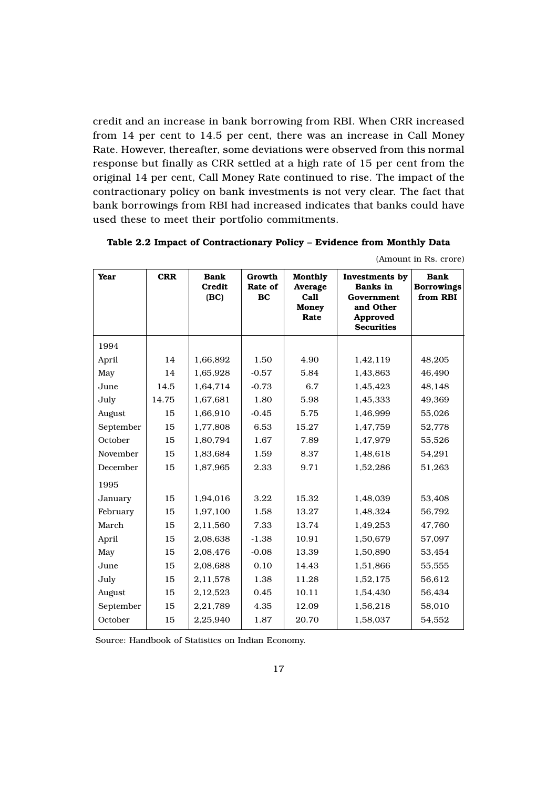credit and an increase in bank borrowing from RBI. When CRR increased from 14 per cent to 14.5 per cent, there was an increase in Call Money Rate. However, thereafter, some deviations were observed from this normal response but finally as CRR settled at a high rate of 15 per cent from the original 14 per cent, Call Money Rate continued to rise. The impact of the contractionary policy on bank investments is not very clear. The fact that bank borrowings from RBI had increased indicates that banks could have used these to meet their portfolio commitments.

| Year      | <b>CRR</b> | <b>Bank</b><br><b>Credit</b><br>(BC) | Growth<br>Rate of<br><b>BC</b> | Monthly<br>Average<br>Call<br><b>Money</b><br>Rate | Investments by<br><b>Banks</b> in<br>Government<br>and Other<br>Approved<br><b>Securities</b> | <b>Bank</b><br><b>Borrowings</b><br>from RBI |
|-----------|------------|--------------------------------------|--------------------------------|----------------------------------------------------|-----------------------------------------------------------------------------------------------|----------------------------------------------|
| 1994      |            |                                      |                                |                                                    |                                                                                               |                                              |
| April     | 14         | 1,66,892                             | 1.50                           | 4.90                                               | 1,42,119                                                                                      | 48,205                                       |
| May       | 14         | 1,65,928                             | $-0.57$                        | 5.84                                               | 1,43,863                                                                                      | 46,490                                       |
| June      | 14.5       | 1,64,714                             | $-0.73$                        | 6.7                                                | 1,45,423                                                                                      | 48,148                                       |
| July      | 14.75      | 1,67,681                             | 1.80                           | 5.98                                               | 1,45,333                                                                                      | 49,369                                       |
| August    | 15         | 1,66,910                             | $-0.45$                        | 5.75                                               | 1,46,999                                                                                      | 55,026                                       |
| September | 15         | 1,77,808                             | 6.53                           | 15.27                                              | 1,47,759                                                                                      | 52,778                                       |
| October   | 15         | 1,80,794                             | 1.67                           | 7.89                                               | 1,47,979                                                                                      | 55,526                                       |
| November  | 15         | 1,83,684                             | 1.59                           | 8.37                                               | 1,48,618                                                                                      | 54,291                                       |
| December  | 15         | 1,87,965                             | 2.33                           | 9.71                                               | 1,52,286                                                                                      | 51,263                                       |
| 1995      |            |                                      |                                |                                                    |                                                                                               |                                              |
| January   | 15         | 1,94,016                             | 3.22                           | 15.32                                              | 1,48,039                                                                                      | 53,408                                       |
| February  | 15         | 1,97,100                             | 1.58                           | 13.27                                              | 1,48,324                                                                                      | 56,792                                       |
| March     | 15         | 2,11,560                             | 7.33                           | 13.74                                              | 1,49,253                                                                                      | 47,760                                       |
| April     | 15         | 2,08,638                             | $-1.38$                        | 10.91                                              | 1,50,679                                                                                      | 57,097                                       |
| May       | 15         | 2,08,476                             | $-0.08$                        | 13.39                                              | 1,50,890                                                                                      | 53,454                                       |
| June      | 15         | 2,08,688                             | 0.10                           | 14.43                                              | 1,51,866                                                                                      | 55,555                                       |
| July      | 15         | 2,11,578                             | 1.38                           | 11.28                                              | 1,52,175                                                                                      | 56,612                                       |
| August    | 15         | 2,12,523                             | 0.45                           | 10.11                                              | 1,54,430                                                                                      | 56,434                                       |
| September | 15         | 2,21,789                             | 4.35                           | 12.09                                              | 1,56,218                                                                                      | 58,010                                       |
| October   | 15         | 2,25,940                             | 1.87                           | 20.70                                              | 1,58,037                                                                                      | 54,552                                       |

Table 2.2 Impact of Contractionary Policy – Evidence from Monthly Data

(Amount in Rs. crore)

Source: Handbook of Statistics on Indian Economy.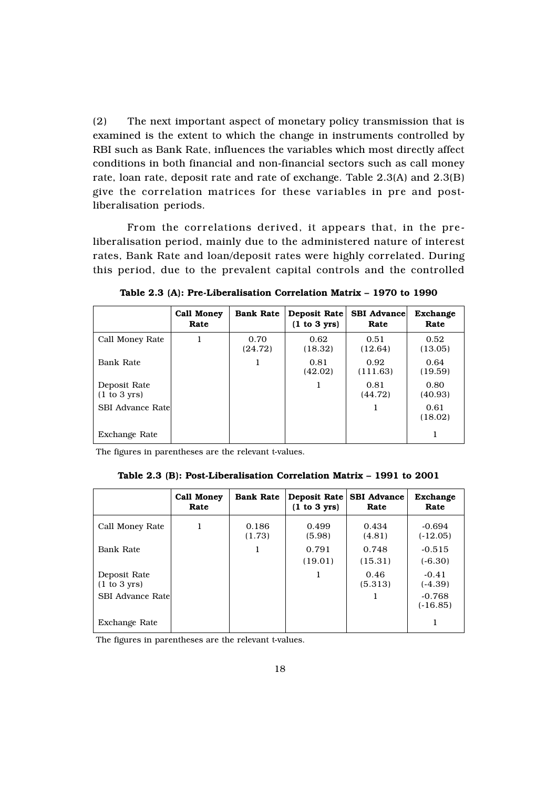(2) The next important aspect of monetary policy transmission that is examined is the extent to which the change in instruments controlled by RBI such as Bank Rate, influences the variables which most directly affect conditions in both financial and non-financial sectors such as call money rate, loan rate, deposit rate and rate of exchange. Table 2.3(A) and 2.3(B) give the correlation matrices for these variables in pre and postliberalisation periods.

From the correlations derived, it appears that, in the preliberalisation period, mainly due to the administered nature of interest rates, Bank Rate and loan/deposit rates were highly correlated. During this period, due to the prevalent capital controls and the controlled

|                                      | <b>Call Money</b><br>Rate | <b>Bank Rate</b> | Deposit Rate<br>(1 to 3 yrs) | <b>SBI</b> Advance<br>Rate | Exchange<br>Rate |
|--------------------------------------|---------------------------|------------------|------------------------------|----------------------------|------------------|
| Call Money Rate                      | 1                         | 0.70<br>(24.72)  | 0.62<br>(18.32)              | 0.51<br>(12.64)            | 0.52<br>(13.05)  |
| Bank Rate                            |                           | 1                | 0.81<br>(42.02)              | 0.92<br>(111.63)           | 0.64<br>(19.59)  |
| Deposit Rate<br>(1 to 3 <i>wrs</i> ) |                           |                  | 1                            | 0.81<br>(44.72)            | 0.80<br>(40.93)  |
| <b>SBI Advance Ratel</b>             |                           |                  |                              |                            | 0.61<br>(18.02)  |
| Exchange Rate                        |                           |                  |                              |                            |                  |

Table 2.3 (A): Pre-Liberalisation Correlation Matrix – 1970 to 1990

The figures in parentheses are the relevant t-values.

Table 2.3 (B): Post-Liberalisation Correlation Matrix – 1991 to 2001

|                                      | Call Money<br>Rate | <b>Bank Rate</b> | Deposit Rate<br>(1 to 3 yrs) | <b>SBI</b> Advance<br>Rate | <b>Exchange</b><br>Rate |
|--------------------------------------|--------------------|------------------|------------------------------|----------------------------|-------------------------|
| Call Money Rate                      | 1                  | 0.186<br>(1.73)  | 0.499<br>(5.98)              | 0.434<br>(4.81)            | $-0.694$<br>$(-12.05)$  |
| Bank Rate                            |                    | 1                | 0.791<br>(19.01)             | 0.748<br>(15.31)           | $-0.515$<br>$(-6.30)$   |
| Deposit Rate<br>(1 to 3 <i>vrs</i> ) |                    |                  | 1                            | 0.46<br>(5.313)            | $-0.41$<br>$(-4.39)$    |
| <b>SBI Advance Rate</b>              |                    |                  |                              |                            | $-0.768$<br>$(-16.85)$  |
| Exchange Rate                        |                    |                  |                              |                            |                         |

The figures in parentheses are the relevant t-values.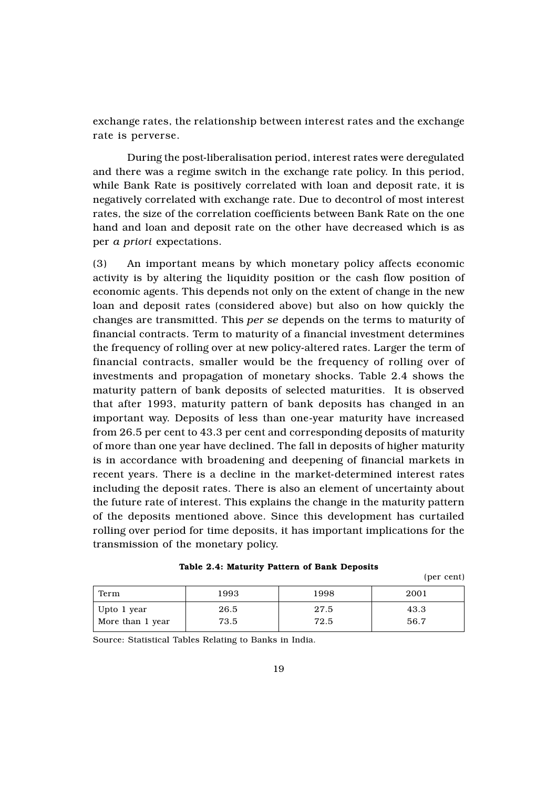exchange rates, the relationship between interest rates and the exchange rate is perverse.

During the post-liberalisation period, interest rates were deregulated and there was a regime switch in the exchange rate policy. In this period, while Bank Rate is positively correlated with loan and deposit rate, it is negatively correlated with exchange rate. Due to decontrol of most interest rates, the size of the correlation coefficients between Bank Rate on the one hand and loan and deposit rate on the other have decreased which is as per *a priori* expectations.

(3) An important means by which monetary policy affects economic activity is by altering the liquidity position or the cash flow position of economic agents. This depends not only on the extent of change in the new loan and deposit rates (considered above) but also on how quickly the changes are transmitted. This *per se* depends on the terms to maturity of financial contracts. Term to maturity of a financial investment determines the frequency of rolling over at new policy-altered rates. Larger the term of financial contracts, smaller would be the frequency of rolling over of investments and propagation of monetary shocks. Table 2.4 shows the maturity pattern of bank deposits of selected maturities. It is observed that after 1993, maturity pattern of bank deposits has changed in an important way. Deposits of less than one-year maturity have increased from 26.5 per cent to 43.3 per cent and corresponding deposits of maturity of more than one year have declined. The fall in deposits of higher maturity is in accordance with broadening and deepening of financial markets in recent years. There is a decline in the market-determined interest rates including the deposit rates. There is also an element of uncertainty about the future rate of interest. This explains the change in the maturity pattern of the deposits mentioned above. Since this development has curtailed rolling over period for time deposits, it has important implications for the transmission of the monetary policy.

|                  |      |      | $\cdots$ $\cdots$ |
|------------------|------|------|-------------------|
| Term             | 1993 | 1998 | 2001              |
| Upto 1 year      | 26.5 | 27.5 | 43.3              |
| More than 1 year | 73.5 | 72.5 | 56.7              |

|  | Table 2.4: Maturity Pattern of Bank Deposits |  |  |  |  |
|--|----------------------------------------------|--|--|--|--|
|--|----------------------------------------------|--|--|--|--|

(per cent)

Source: Statistical Tables Relating to Banks in India.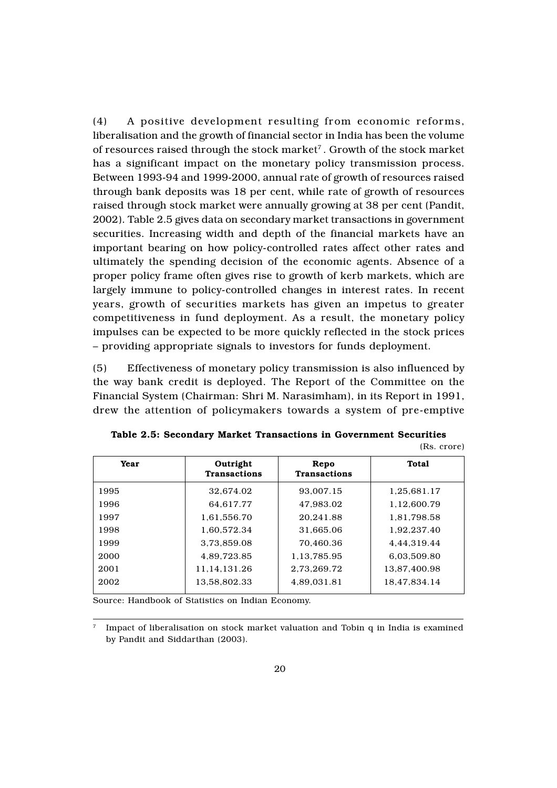(4) A positive development resulting from economic reforms, liberalisation and the growth of financial sector in India has been the volume of resources raised through the stock market<sup>7</sup>. Growth of the stock market has a significant impact on the monetary policy transmission process. Between 1993-94 and 1999-2000, annual rate of growth of resources raised through bank deposits was 18 per cent, while rate of growth of resources raised through stock market were annually growing at 38 per cent (Pandit, 2002). Table 2.5 gives data on secondary market transactions in government securities. Increasing width and depth of the financial markets have an important bearing on how policy-controlled rates affect other rates and ultimately the spending decision of the economic agents. Absence of a proper policy frame often gives rise to growth of kerb markets, which are largely immune to policy-controlled changes in interest rates. In recent years, growth of securities markets has given an impetus to greater competitiveness in fund deployment. As a result, the monetary policy impulses can be expected to be more quickly reflected in the stock prices – providing appropriate signals to investors for funds deployment.

(5) Effectiveness of monetary policy transmission is also influenced by the way bank credit is deployed. The Report of the Committee on the Financial System (Chairman: Shri M. Narasimham), in its Report in 1991, drew the attention of policymakers towards a system of pre-emptive

| Year | Outright<br><b>Transactions</b> | Repo<br><b>Transactions</b> | <b>Total</b> |
|------|---------------------------------|-----------------------------|--------------|
| 1995 | 32.674.02                       | 93.007.15                   | 1.25.681.17  |
| 1996 | 64.617.77                       | 47.983.02                   | 1,12,600.79  |
| 1997 | 1.61.556.70                     | 20.241.88                   | 1.81.798.58  |
| 1998 | 1,60,572.34                     | 31.665.06                   | 1.92.237.40  |
| 1999 | 3.73.859.08                     | 70.460.36                   | 4.44.319.44  |
| 2000 | 4.89.723.85                     | 1,13,785.95                 | 6.03.509.80  |
| 2001 | 11, 14, 131. 26                 | 2.73.269.72                 | 13.87.400.98 |
| 2002 | 13.58.802.33                    | 4,89,031.81                 | 18.47.834.14 |

|  | Table 2.5: Secondary Market Transactions in Government Securities |  |             |
|--|-------------------------------------------------------------------|--|-------------|
|  |                                                                   |  | (Rs. crore) |

Source: Handbook of Statistics on Indian Economy.

<sup>7</sup> Impact of liberalisation on stock market valuation and Tobin q in India is examined by Pandit and Siddarthan (2003).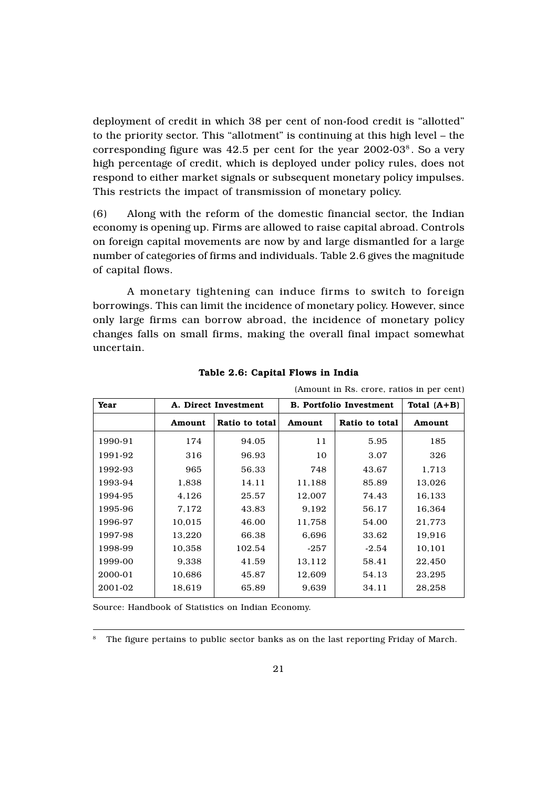deployment of credit in which 38 per cent of non-food credit is "allotted" to the priority sector. This "allotment" is continuing at this high level – the corresponding figure was  $42.5$  per cent for the year  $2002-03^8$ . So a very high percentage of credit, which is deployed under policy rules, does not respond to either market signals or subsequent monetary policy impulses. This restricts the impact of transmission of monetary policy.

(6) Along with the reform of the domestic financial sector, the Indian economy is opening up. Firms are allowed to raise capital abroad. Controls on foreign capital movements are now by and large dismantled for a large number of categories of firms and individuals. Table 2.6 gives the magnitude of capital flows.

A monetary tightening can induce firms to switch to foreign borrowings. This can limit the incidence of monetary policy. However, since only large firms can borrow abroad, the incidence of monetary policy changes falls on small firms, making the overall final impact somewhat uncertain.

| Year    |        | <b>B. Portfolio Investment</b><br>A. Direct Investment |        |                | Total $(A+B)$ |
|---------|--------|--------------------------------------------------------|--------|----------------|---------------|
|         | Amount | Ratio to total                                         | Amount | Ratio to total | Amount        |
| 1990-91 | 174    | 94.05                                                  | 11     | 5.95           | 185           |
| 1991-92 | 316    | 96.93                                                  | 10     | 3.07           | 326           |
| 1992-93 | 965    | 56.33                                                  | 748    | 43.67          | 1,713         |
| 1993-94 | 1,838  | 14.11                                                  | 11,188 | 85.89          | 13,026        |
| 1994-95 | 4,126  | 25.57                                                  | 12,007 | 74.43          | 16,133        |
| 1995-96 | 7,172  | 43.83                                                  | 9,192  | 56.17          | 16,364        |
| 1996-97 | 10,015 | 46.00                                                  | 11,758 | 54.00          | 21,773        |
| 1997-98 | 13,220 | 66.38                                                  | 6,696  | 33.62          | 19,916        |
| 1998-99 | 10,358 | 102.54                                                 | -257   | $-2.54$        | 10,101        |
| 1999-00 | 9,338  | 41.59                                                  | 13,112 | 58.41          | 22,450        |
| 2000-01 | 10,686 | 45.87                                                  | 12,609 | 54.13          | 23,295        |
| 2001-02 | 18,619 | 65.89                                                  | 9,639  | 34.11          | 28,258        |

Table 2.6: Capital Flows in India

(Amount in Rs. crore, ratios in per cent)

Source: Handbook of Statistics on Indian Economy.

<sup>8</sup> The figure pertains to public sector banks as on the last reporting Friday of March.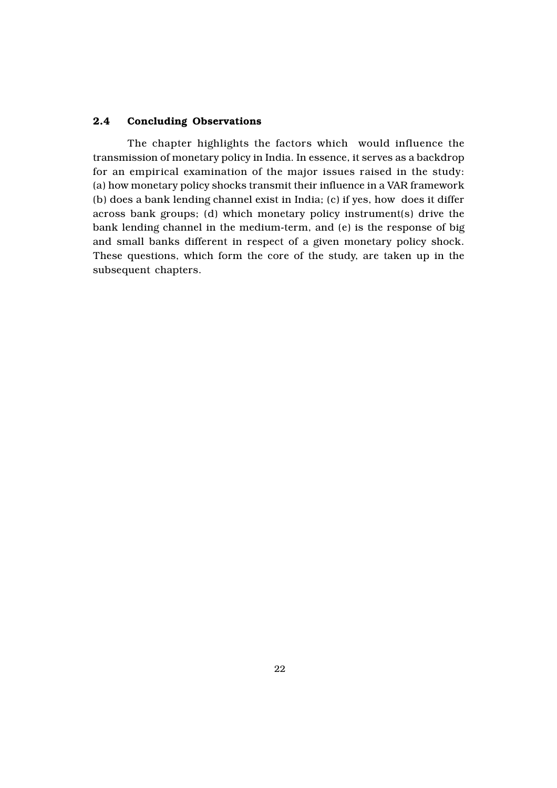### 2.4 Concluding Observations

The chapter highlights the factors which would influence the transmission of monetary policy in India. In essence, it serves as a backdrop for an empirical examination of the major issues raised in the study: (a) how monetary policy shocks transmit their influence in a VAR framework (b) does a bank lending channel exist in India; (c) if yes, how does it differ across bank groups; (d) which monetary policy instrument(s) drive the bank lending channel in the medium-term, and (e) is the response of big and small banks different in respect of a given monetary policy shock. These questions, which form the core of the study, are taken up in the subsequent chapters.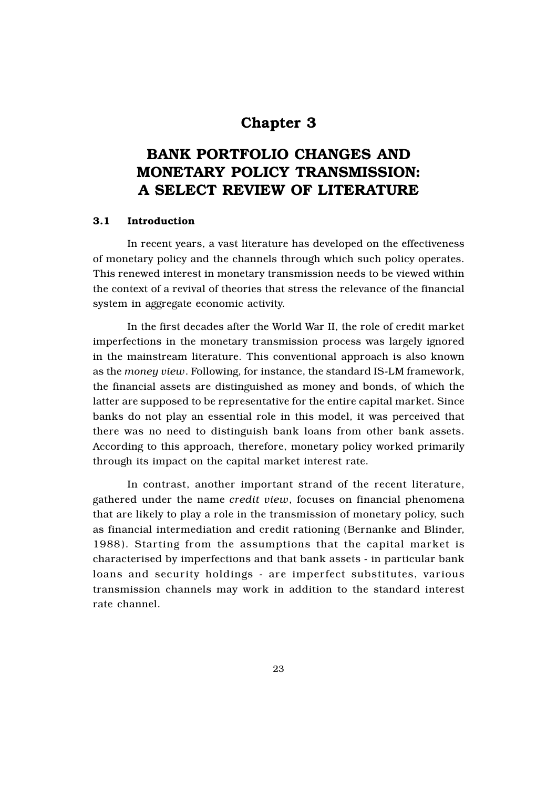### Chapter 3

## BANK PORTFOLIO CHANGES AND MONETARY POLICY TRANSMISSION: A SELECT REVIEW OF LITERATURE

### 3.1 Introduction

In recent years, a vast literature has developed on the effectiveness of monetary policy and the channels through which such policy operates. This renewed interest in monetary transmission needs to be viewed within the context of a revival of theories that stress the relevance of the financial system in aggregate economic activity.

In the first decades after the World War II, the role of credit market imperfections in the monetary transmission process was largely ignored in the mainstream literature. This conventional approach is also known as the *money view*. Following, for instance, the standard IS-LM framework, the financial assets are distinguished as money and bonds, of which the latter are supposed to be representative for the entire capital market. Since banks do not play an essential role in this model, it was perceived that there was no need to distinguish bank loans from other bank assets. According to this approach, therefore, monetary policy worked primarily through its impact on the capital market interest rate.

In contrast, another important strand of the recent literature, gathered under the name *credit view*, focuses on financial phenomena that are likely to play a role in the transmission of monetary policy, such as financial intermediation and credit rationing (Bernanke and Blinder, 1988). Starting from the assumptions that the capital market is characterised by imperfections and that bank assets - in particular bank loans and security holdings - are imperfect substitutes, various transmission channels may work in addition to the standard interest rate channel.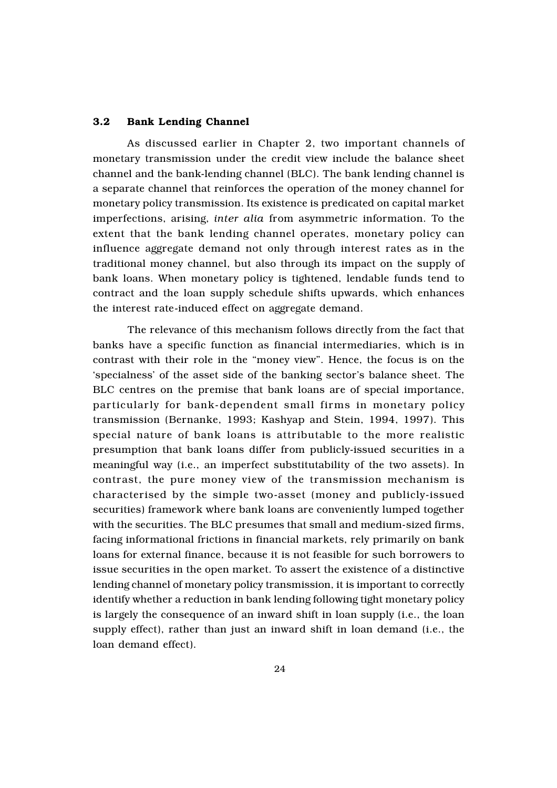### 3.2 Bank Lending Channel

As discussed earlier in Chapter 2, two important channels of monetary transmission under the credit view include the balance sheet channel and the bank-lending channel (BLC). The bank lending channel is a separate channel that reinforces the operation of the money channel for monetary policy transmission. Its existence is predicated on capital market imperfections, arising, *inter alia* from asymmetric information. To the extent that the bank lending channel operates, monetary policy can influence aggregate demand not only through interest rates as in the traditional money channel, but also through its impact on the supply of bank loans. When monetary policy is tightened, lendable funds tend to contract and the loan supply schedule shifts upwards, which enhances the interest rate-induced effect on aggregate demand.

The relevance of this mechanism follows directly from the fact that banks have a specific function as financial intermediaries, which is in contrast with their role in the "money view". Hence, the focus is on the 'specialness' of the asset side of the banking sector's balance sheet. The BLC centres on the premise that bank loans are of special importance, particularly for bank-dependent small firms in monetary policy transmission (Bernanke, 1993; Kashyap and Stein, 1994, 1997). This special nature of bank loans is attributable to the more realistic presumption that bank loans differ from publicly-issued securities in a meaningful way (i.e., an imperfect substitutability of the two assets). In contrast, the pure money view of the transmission mechanism is characterised by the simple two-asset (money and publicly-issued securities) framework where bank loans are conveniently lumped together with the securities. The BLC presumes that small and medium-sized firms, facing informational frictions in financial markets, rely primarily on bank loans for external finance, because it is not feasible for such borrowers to issue securities in the open market. To assert the existence of a distinctive lending channel of monetary policy transmission, it is important to correctly identify whether a reduction in bank lending following tight monetary policy is largely the consequence of an inward shift in loan supply (i.e., the loan supply effect), rather than just an inward shift in loan demand (i.e., the loan demand effect).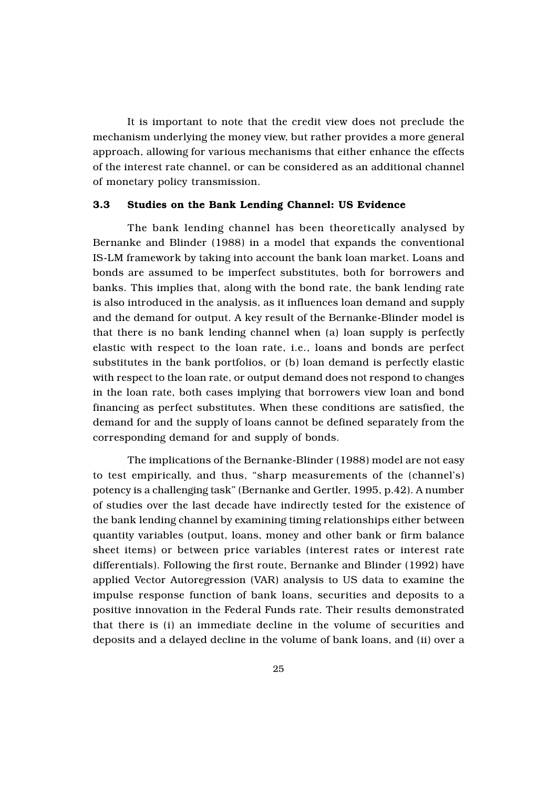It is important to note that the credit view does not preclude the mechanism underlying the money view, but rather provides a more general approach, allowing for various mechanisms that either enhance the effects of the interest rate channel, or can be considered as an additional channel of monetary policy transmission.

### 3.3 Studies on the Bank Lending Channel: US Evidence

The bank lending channel has been theoretically analysed by Bernanke and Blinder (1988) in a model that expands the conventional IS-LM framework by taking into account the bank loan market. Loans and bonds are assumed to be imperfect substitutes, both for borrowers and banks. This implies that, along with the bond rate, the bank lending rate is also introduced in the analysis, as it influences loan demand and supply and the demand for output. A key result of the Bernanke-Blinder model is that there is no bank lending channel when (a) loan supply is perfectly elastic with respect to the loan rate, i.e., loans and bonds are perfect substitutes in the bank portfolios, or (b) loan demand is perfectly elastic with respect to the loan rate, or output demand does not respond to changes in the loan rate, both cases implying that borrowers view loan and bond financing as perfect substitutes. When these conditions are satisfied, the demand for and the supply of loans cannot be defined separately from the corresponding demand for and supply of bonds.

The implications of the Bernanke-Blinder (1988) model are not easy to test empirically, and thus, "sharp measurements of the (channel's) potency is a challenging task" (Bernanke and Gertler, 1995, p.42). A number of studies over the last decade have indirectly tested for the existence of the bank lending channel by examining timing relationships either between quantity variables (output, loans, money and other bank or firm balance sheet items) or between price variables (interest rates or interest rate differentials). Following the first route, Bernanke and Blinder (1992) have applied Vector Autoregression (VAR) analysis to US data to examine the impulse response function of bank loans, securities and deposits to a positive innovation in the Federal Funds rate. Their results demonstrated that there is (i) an immediate decline in the volume of securities and deposits and a delayed decline in the volume of bank loans, and (ii) over a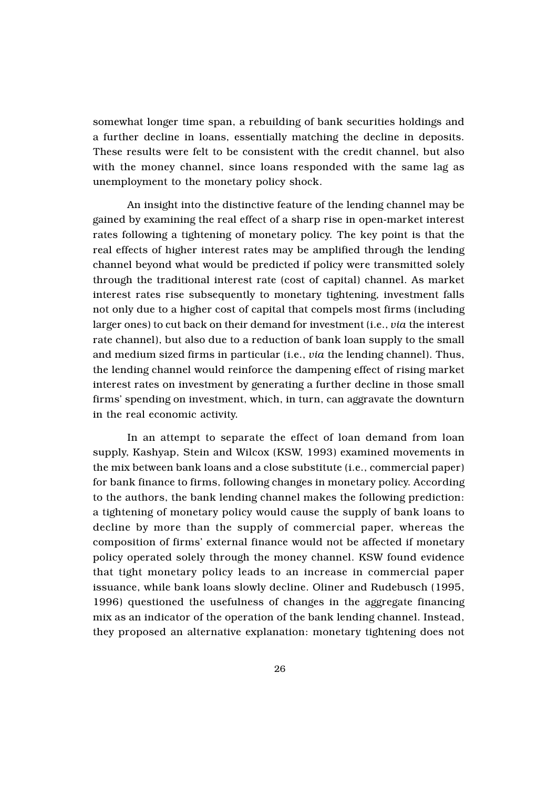somewhat longer time span, a rebuilding of bank securities holdings and a further decline in loans, essentially matching the decline in deposits. These results were felt to be consistent with the credit channel, but also with the money channel, since loans responded with the same lag as unemployment to the monetary policy shock.

An insight into the distinctive feature of the lending channel may be gained by examining the real effect of a sharp rise in open-market interest rates following a tightening of monetary policy. The key point is that the real effects of higher interest rates may be amplified through the lending channel beyond what would be predicted if policy were transmitted solely through the traditional interest rate (cost of capital) channel. As market interest rates rise subsequently to monetary tightening, investment falls not only due to a higher cost of capital that compels most firms (including larger ones) to cut back on their demand for investment (i.e., *via* the interest rate channel), but also due to a reduction of bank loan supply to the small and medium sized firms in particular (i.e., *via* the lending channel). Thus, the lending channel would reinforce the dampening effect of rising market interest rates on investment by generating a further decline in those small firms' spending on investment, which, in turn, can aggravate the downturn in the real economic activity.

In an attempt to separate the effect of loan demand from loan supply, Kashyap, Stein and Wilcox (KSW, 1993) examined movements in the mix between bank loans and a close substitute (i.e., commercial paper) for bank finance to firms, following changes in monetary policy. According to the authors, the bank lending channel makes the following prediction: a tightening of monetary policy would cause the supply of bank loans to decline by more than the supply of commercial paper, whereas the composition of firms' external finance would not be affected if monetary policy operated solely through the money channel. KSW found evidence that tight monetary policy leads to an increase in commercial paper issuance, while bank loans slowly decline. Oliner and Rudebusch (1995, 1996) questioned the usefulness of changes in the aggregate financing mix as an indicator of the operation of the bank lending channel. Instead, they proposed an alternative explanation: monetary tightening does not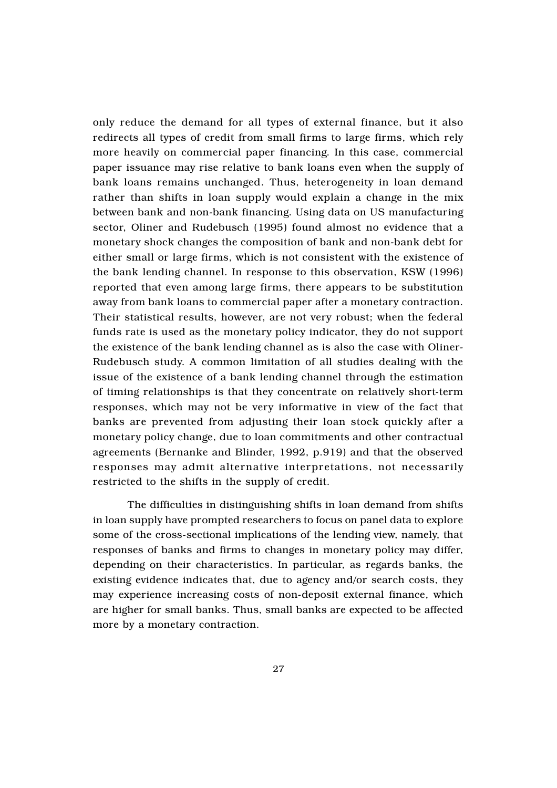only reduce the demand for all types of external finance, but it also redirects all types of credit from small firms to large firms, which rely more heavily on commercial paper financing. In this case, commercial paper issuance may rise relative to bank loans even when the supply of bank loans remains unchanged. Thus, heterogeneity in loan demand rather than shifts in loan supply would explain a change in the mix between bank and non-bank financing. Using data on US manufacturing sector, Oliner and Rudebusch (1995) found almost no evidence that a monetary shock changes the composition of bank and non-bank debt for either small or large firms, which is not consistent with the existence of the bank lending channel. In response to this observation, KSW (1996) reported that even among large firms, there appears to be substitution away from bank loans to commercial paper after a monetary contraction. Their statistical results, however, are not very robust; when the federal funds rate is used as the monetary policy indicator, they do not support the existence of the bank lending channel as is also the case with Oliner-Rudebusch study. A common limitation of all studies dealing with the issue of the existence of a bank lending channel through the estimation of timing relationships is that they concentrate on relatively short-term responses, which may not be very informative in view of the fact that banks are prevented from adjusting their loan stock quickly after a monetary policy change, due to loan commitments and other contractual agreements (Bernanke and Blinder, 1992, p.919) and that the observed responses may admit alternative interpretations, not necessarily restricted to the shifts in the supply of credit.

The difficulties in distinguishing shifts in loan demand from shifts in loan supply have prompted researchers to focus on panel data to explore some of the cross-sectional implications of the lending view, namely, that responses of banks and firms to changes in monetary policy may differ, depending on their characteristics. In particular, as regards banks, the existing evidence indicates that, due to agency and/or search costs, they may experience increasing costs of non-deposit external finance, which are higher for small banks. Thus, small banks are expected to be affected more by a monetary contraction.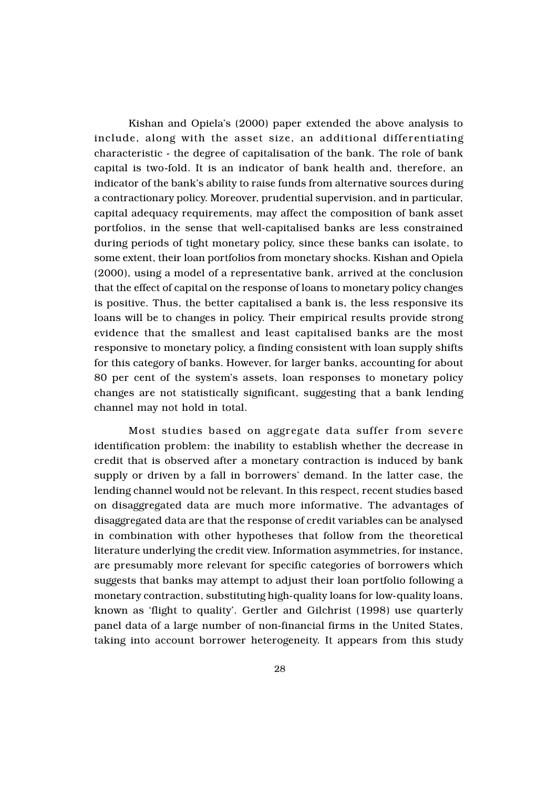Kishan and Opiela's (2000) paper extended the above analysis to include, along with the asset size, an additional differentiating characteristic - the degree of capitalisation of the bank. The role of bank capital is two-fold. It is an indicator of bank health and, therefore, an indicator of the bank's ability to raise funds from alternative sources during a contractionary policy. Moreover, prudential supervision, and in particular, capital adequacy requirements, may affect the composition of bank asset portfolios, in the sense that well-capitalised banks are less constrained during periods of tight monetary policy, since these banks can isolate, to some extent, their loan portfolios from monetary shocks. Kishan and Opiela (2000), using a model of a representative bank, arrived at the conclusion that the effect of capital on the response of loans to monetary policy changes is positive. Thus, the better capitalised a bank is, the less responsive its loans will be to changes in policy. Their empirical results provide strong evidence that the smallest and least capitalised banks are the most responsive to monetary policy, a finding consistent with loan supply shifts for this category of banks. However, for larger banks, accounting for about 80 per cent of the system's assets, loan responses to monetary policy changes are not statistically significant, suggesting that a bank lending channel may not hold in total.

Most studies based on aggregate data suffer from severe identification problem: the inability to establish whether the decrease in credit that is observed after a monetary contraction is induced by bank supply or driven by a fall in borrowers' demand. In the latter case, the lending channel would not be relevant. In this respect, recent studies based on disaggregated data are much more informative. The advantages of disaggregated data are that the response of credit variables can be analysed in combination with other hypotheses that follow from the theoretical literature underlying the credit view. Information asymmetries, for instance, are presumably more relevant for specific categories of borrowers which suggests that banks may attempt to adjust their loan portfolio following a monetary contraction, substituting high-quality loans for low-quality loans, known as 'flight to quality'. Gertler and Gilchrist (1998) use quarterly panel data of a large number of non-financial firms in the United States, taking into account borrower heterogeneity. It appears from this study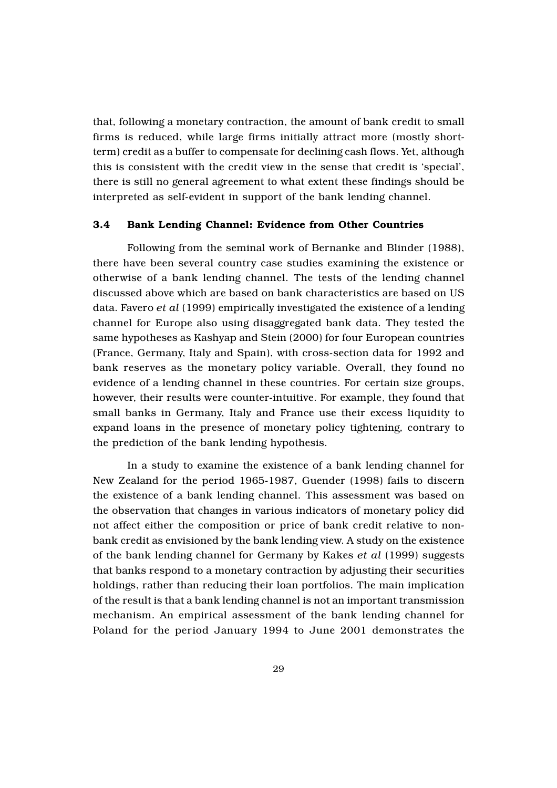that, following a monetary contraction, the amount of bank credit to small firms is reduced, while large firms initially attract more (mostly shortterm) credit as a buffer to compensate for declining cash flows. Yet, although this is consistent with the credit view in the sense that credit is 'special', there is still no general agreement to what extent these findings should be interpreted as self-evident in support of the bank lending channel.

### 3.4 Bank Lending Channel: Evidence from Other Countries

Following from the seminal work of Bernanke and Blinder (1988), there have been several country case studies examining the existence or otherwise of a bank lending channel. The tests of the lending channel discussed above which are based on bank characteristics are based on US data. Favero *et al* (1999) empirically investigated the existence of a lending channel for Europe also using disaggregated bank data. They tested the same hypotheses as Kashyap and Stein (2000) for four European countries (France, Germany, Italy and Spain), with cross-section data for 1992 and bank reserves as the monetary policy variable. Overall, they found no evidence of a lending channel in these countries. For certain size groups, however, their results were counter-intuitive. For example, they found that small banks in Germany, Italy and France use their excess liquidity to expand loans in the presence of monetary policy tightening, contrary to the prediction of the bank lending hypothesis.

In a study to examine the existence of a bank lending channel for New Zealand for the period 1965-1987, Guender (1998) fails to discern the existence of a bank lending channel. This assessment was based on the observation that changes in various indicators of monetary policy did not affect either the composition or price of bank credit relative to nonbank credit as envisioned by the bank lending view. A study on the existence of the bank lending channel for Germany by Kakes *et al* (1999) suggests that banks respond to a monetary contraction by adjusting their securities holdings, rather than reducing their loan portfolios. The main implication of the result is that a bank lending channel is not an important transmission mechanism. An empirical assessment of the bank lending channel for Poland for the period January 1994 to June 2001 demonstrates the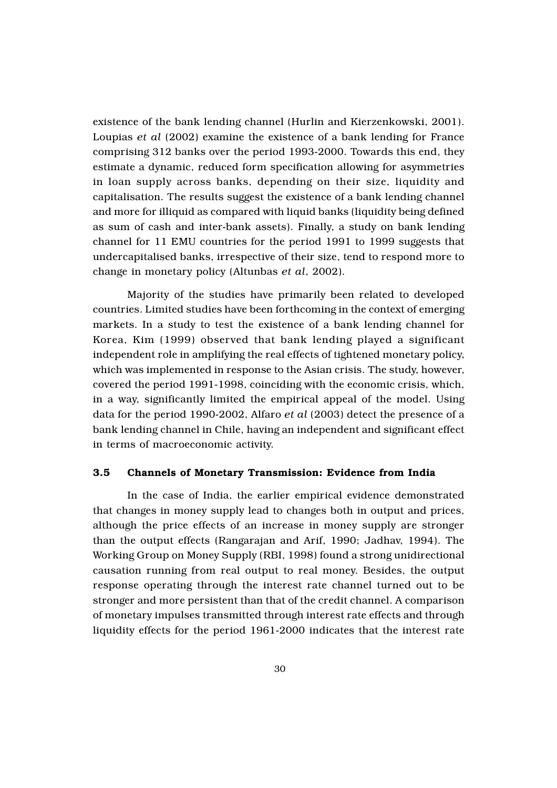existence of the bank lending channel (Hurlin and Kierzenkowski, 2001). Loupias *et al* (2002) examine the existence of a bank lending for France comprising 312 banks over the period 1993-2000. Towards this end, they estimate a dynamic, reduced form specification allowing for asymmetries in loan supply across banks, depending on their size, liquidity and capitalisation. The results suggest the existence of a bank lending channel and more for illiquid as compared with liquid banks (liquidity being defined as sum of cash and inter-bank assets). Finally, a study on bank lending channel for 11 EMU countries for the period 1991 to 1999 suggests that undercapitalised banks, irrespective of their size, tend to respond more to change in monetary policy (Altunbas *et al*, 2002).

Majority of the studies have primarily been related to developed countries. Limited studies have been forthcoming in the context of emerging markets. In a study to test the existence of a bank lending channel for Korea, Kim (1999) observed that bank lending played a significant independent role in amplifying the real effects of tightened monetary policy, which was implemented in response to the Asian crisis. The study, however, covered the period 1991-1998, coinciding with the economic crisis, which, in a way, significantly limited the empirical appeal of the model. Using data for the period 1990-2002, Alfaro *et al* (2003) detect the presence of a bank lending channel in Chile, having an independent and significant effect in terms of macroeconomic activity.

### 3.5 Channels of Monetary Transmission: Evidence from India

In the case of India, the earlier empirical evidence demonstrated that changes in money supply lead to changes both in output and prices, although the price effects of an increase in money supply are stronger than the output effects (Rangarajan and Arif, 1990; Jadhav, 1994). The Working Group on Money Supply (RBI, 1998) found a strong unidirectional causation running from real output to real money. Besides, the output response operating through the interest rate channel turned out to be stronger and more persistent than that of the credit channel. A comparison of monetary impulses transmitted through interest rate effects and through liquidity effects for the period 1961-2000 indicates that the interest rate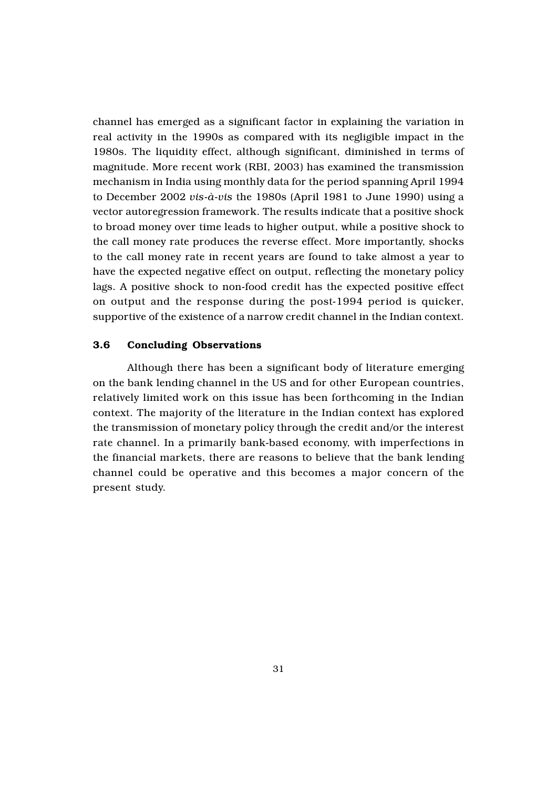channel has emerged as a significant factor in explaining the variation in real activity in the 1990s as compared with its negligible impact in the 1980s. The liquidity effect, although significant, diminished in terms of magnitude. More recent work (RBI, 2003) has examined the transmission mechanism in India using monthly data for the period spanning April 1994 to December 2002 *vis-à-vis* the 1980s (April 1981 to June 1990) using a vector autoregression framework. The results indicate that a positive shock to broad money over time leads to higher output, while a positive shock to the call money rate produces the reverse effect. More importantly, shocks to the call money rate in recent years are found to take almost a year to have the expected negative effect on output, reflecting the monetary policy lags. A positive shock to non-food credit has the expected positive effect on output and the response during the post-1994 period is quicker, supportive of the existence of a narrow credit channel in the Indian context.

#### 3.6 Concluding Observations

Although there has been a significant body of literature emerging on the bank lending channel in the US and for other European countries, relatively limited work on this issue has been forthcoming in the Indian context. The majority of the literature in the Indian context has explored the transmission of monetary policy through the credit and/or the interest rate channel. In a primarily bank-based economy, with imperfections in the financial markets, there are reasons to believe that the bank lending channel could be operative and this becomes a major concern of the present study.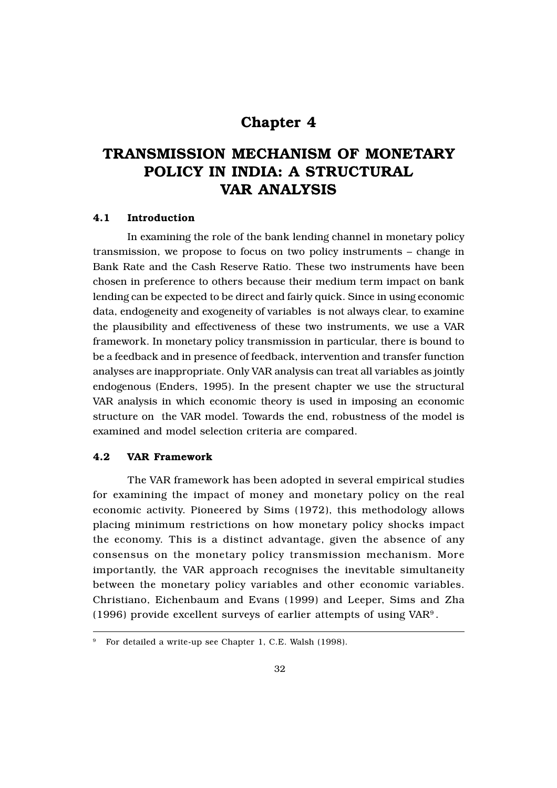## Chapter 4

# TRANSMISSION MECHANISM OF MONETARY POLICY IN INDIA: A STRUCTURAL VAR ANALYSIS

#### 4.1 Introduction

In examining the role of the bank lending channel in monetary policy transmission, we propose to focus on two policy instruments – change in Bank Rate and the Cash Reserve Ratio. These two instruments have been chosen in preference to others because their medium term impact on bank lending can be expected to be direct and fairly quick. Since in using economic data, endogeneity and exogeneity of variables is not always clear, to examine the plausibility and effectiveness of these two instruments, we use a VAR framework. In monetary policy transmission in particular, there is bound to be a feedback and in presence of feedback, intervention and transfer function analyses are inappropriate. Only VAR analysis can treat all variables as jointly endogenous (Enders, 1995). In the present chapter we use the structural VAR analysis in which economic theory is used in imposing an economic structure on the VAR model. Towards the end, robustness of the model is examined and model selection criteria are compared.

## 4.2 VAR Framework

The VAR framework has been adopted in several empirical studies for examining the impact of money and monetary policy on the real economic activity. Pioneered by Sims (1972), this methodology allows placing minimum restrictions on how monetary policy shocks impact the economy. This is a distinct advantage, given the absence of any consensus on the monetary policy transmission mechanism. More importantly, the VAR approach recognises the inevitable simultaneity between the monetary policy variables and other economic variables. Christiano, Eichenbaum and Evans (1999) and Leeper, Sims and Zha (1996) provide excellent surveys of earlier attempts of using VAR9 .

<sup>9</sup> For detailed a write-up see Chapter 1, C.E. Walsh (1998).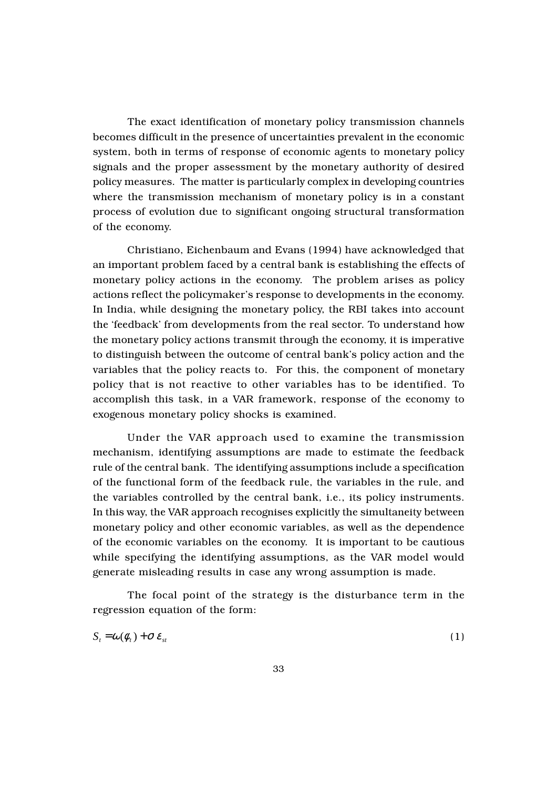The exact identification of monetary policy transmission channels becomes difficult in the presence of uncertainties prevalent in the economic system, both in terms of response of economic agents to monetary policy signals and the proper assessment by the monetary authority of desired policy measures. The matter is particularly complex in developing countries where the transmission mechanism of monetary policy is in a constant process of evolution due to significant ongoing structural transformation of the economy.

Christiano, Eichenbaum and Evans (1994) have acknowledged that an important problem faced by a central bank is establishing the effects of monetary policy actions in the economy. The problem arises as policy actions reflect the policymaker's response to developments in the economy. In India, while designing the monetary policy, the RBI takes into account the 'feedback' from developments from the real sector. To understand how the monetary policy actions transmit through the economy, it is imperative to distinguish between the outcome of central bank's policy action and the variables that the policy reacts to. For this, the component of monetary policy that is not reactive to other variables has to be identified. To accomplish this task, in a VAR framework, response of the economy to exogenous monetary policy shocks is examined.

Under the VAR approach used to examine the transmission mechanism, identifying assumptions are made to estimate the feedback rule of the central bank. The identifying assumptions include a specification of the functional form of the feedback rule, the variables in the rule, and the variables controlled by the central bank, i.e., its policy instruments. In this way, the VAR approach recognises explicitly the simultaneity between monetary policy and other economic variables, as well as the dependence of the economic variables on the economy. It is important to be cautious while specifying the identifying assumptions, as the VAR model would generate misleading results in case any wrong assumption is made.

The focal point of the strategy is the disturbance term in the regression equation of the form:

$$
S_t = \omega(\phi_t) + \sigma \, \varepsilon_{st} \tag{1}
$$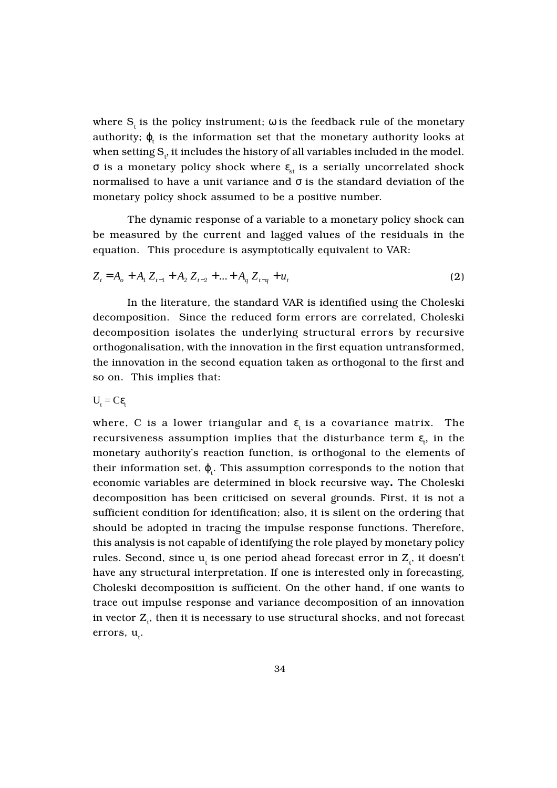where  $S_t$  is the policy instrument;  $\omega$  is the feedback rule of the monetary authority;  $\varphi_{_{\!t}}$  is the information set that the monetary authority looks at when setting  $\mathrm{S_{t^{\prime}}}$  it includes the history of all variables included in the model. σ is a monetary policy shock where  $ε<sub>st</sub>$  is a serially uncorrelated shock normalised to have a unit variance and σ is the standard deviation of the monetary policy shock assumed to be a positive number.

The dynamic response of a variable to a monetary policy shock can be measured by the current and lagged values of the residuals in the equation. This procedure is asymptotically equivalent to VAR:

$$
Z_t = A_o + A_1 Z_{t-1} + A_2 Z_{t-2} + \dots + A_q Z_{t-q} + u_t
$$
\n(2)

In the literature, the standard VAR is identified using the Choleski decomposition. Since the reduced form errors are correlated, Choleski decomposition isolates the underlying structural errors by recursive orthogonalisation, with the innovation in the first equation untransformed, the innovation in the second equation taken as orthogonal to the first and so on. This implies that:

 $U_t = C \varepsilon_t$ 

where, C is a lower triangular and  $\varepsilon_t$  is a covariance matrix. The recursiveness assumption implies that the disturbance term  $\bm{\epsilon}_{\text{t}}^{}$ , in the monetary authority's reaction function, is orthogonal to the elements of their information set,  $\varphi_{t}$ . This assumption corresponds to the notion that economic variables are determined in block recursive way. The Choleski decomposition has been criticised on several grounds. First, it is not a sufficient condition for identification; also, it is silent on the ordering that should be adopted in tracing the impulse response functions. Therefore, this analysis is not capable of identifying the role played by monetary policy rules. Second, since  $\boldsymbol{\mathsf{u}}_{_{\! \rm t}}$  is one period ahead forecast error in  $\boldsymbol{Z}_{_{\! \rm t}}$ , it doesn't have any structural interpretation. If one is interested only in forecasting, Choleski decomposition is sufficient. On the other hand, if one wants to trace out impulse response and variance decomposition of an innovation in vector  $\operatorname{Z}_t$ , then it is necessary to use structural shocks, and not forecast errors, u<sub>t</sub>.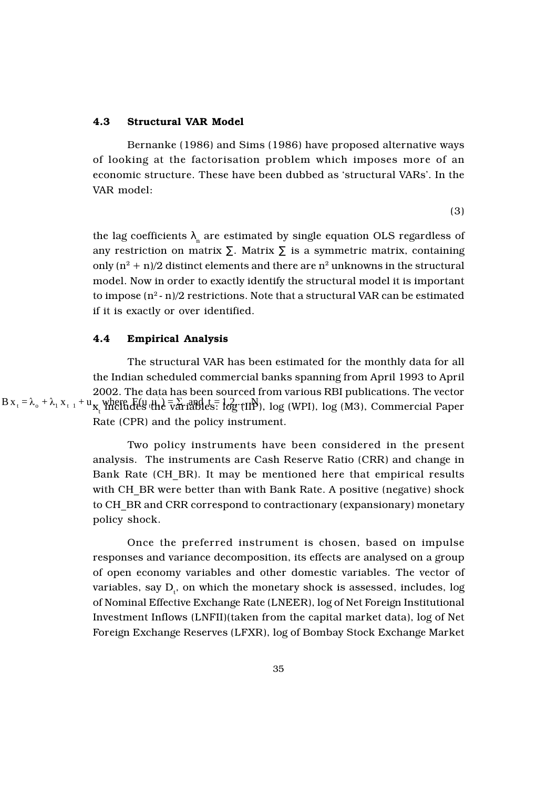#### 4.3 Structural VAR Model

Bernanke (1986) and Sims (1986) have proposed alternative ways of looking at the factorisation problem which imposes more of an economic structure. These have been dubbed as 'structural VARs'. In the VAR model:

(3)

the lag coefficients  $\lambda_n$  are estimated by single equation OLS regardless of any restriction on matrix  $\Sigma$ . Matrix  $\Sigma$  is a symmetric matrix, containing only  $(n^2 + n)/2$  distinct elements and there are  $n^2$  unknowns in the structural model. Now in order to exactly identify the structural model it is important to impose  $(n^2 - n)/2$  restrictions. Note that a structural VAR can be estimated if it is exactly or over identified.

#### 4.4 Empirical Analysis

The structural VAR has been estimated for the monthly data for all the Indian scheduled commercial banks spanning from April 1993 to April 2002. The data has been sourced from various RBI publications. The vector  $B x_t = \lambda_0 + \lambda_1 x_{t-1} + u_{\mathbf{x}_t}$  where  $E(y_t, \mathbf{u}_t) = \sum_{t=1}^{\infty} \text{ and } t = 1,2$ . Includes the variables: log (IIP), log (WPI), log (M3), Commercial Paper Rate (CPR) and the policy instrument.

> Two policy instruments have been considered in the present analysis. The instruments are Cash Reserve Ratio (CRR) and change in Bank Rate (CH\_BR). It may be mentioned here that empirical results with CH\_BR were better than with Bank Rate. A positive (negative) shock to CH\_BR and CRR correspond to contractionary (expansionary) monetary policy shock.

> Once the preferred instrument is chosen, based on impulse responses and variance decomposition, its effects are analysed on a group of open economy variables and other domestic variables. The vector of variables, say  $\mathrm{D}_\mathrm{t}$ , on which the monetary shock is assessed, includes, log of Nominal Effective Exchange Rate (LNEER), log of Net Foreign Institutional Investment Inflows (LNFII)(taken from the capital market data), log of Net Foreign Exchange Reserves (LFXR), log of Bombay Stock Exchange Market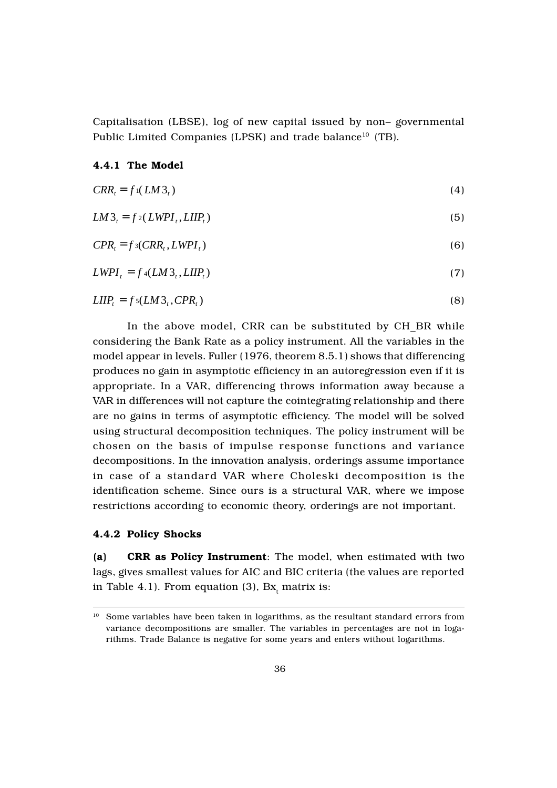Capitalisation (LBSE), log of new capital issued by non– governmental Public Limited Companies (LPSK) and trade balance<sup>10</sup> (TB).

#### 4.4.1 The Model

$$
CRR_t = f_1(LM3_t)
$$
\n
$$
LM3_t = f_2(LWPI_t, LIIP_t)
$$
\n
$$
CPR_t = f_3(CRR_t, LWPI_t)
$$
\n
$$
(6)
$$
\n
$$
LWPI_t = f_4(LM3_t, LIIP_t)
$$
\n
$$
(7)
$$

$$
LIP_t = f s(LM3_t, CPR_t)
$$
\n(8)

In the above model, CRR can be substituted by CH\_BR while considering the Bank Rate as a policy instrument. All the variables in the model appear in levels. Fuller (1976, theorem 8.5.1) shows that differencing produces no gain in asymptotic efficiency in an autoregression even if it is appropriate. In a VAR, differencing throws information away because a VAR in differences will not capture the cointegrating relationship and there are no gains in terms of asymptotic efficiency. The model will be solved using structural decomposition techniques. The policy instrument will be chosen on the basis of impulse response functions and variance decompositions. In the innovation analysis, orderings assume importance in case of a standard VAR where Choleski decomposition is the identification scheme. Since ours is a structural VAR, where we impose restrictions according to economic theory, orderings are not important.

#### 4.4.2 Policy Shocks

(a) CRR as Policy Instrument: The model, when estimated with two lags, gives smallest values for AIC and BIC criteria (the values are reported in Table 4.1). From equation (3),  ${\rm Bx}_{\rm t}$  matrix is:

<sup>&</sup>lt;sup>10</sup> Some variables have been taken in logarithms, as the resultant standard errors from variance decompositions are smaller. The variables in percentages are not in logarithms. Trade Balance is negative for some years and enters without logarithms.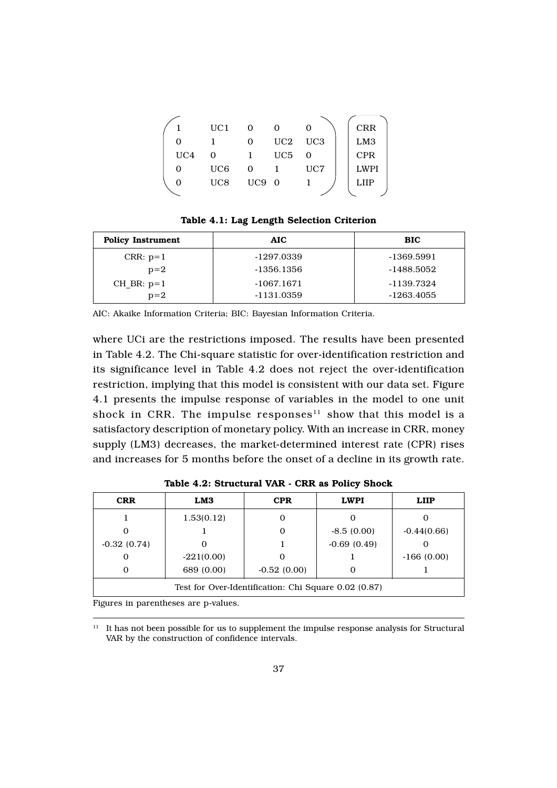|                 | UC <sub>1</sub> |                 |                 |     | <b>CRR</b>      |
|-----------------|-----------------|-----------------|-----------------|-----|-----------------|
| $\Omega$        |                 | 0               | UC2             | UC3 | LM <sub>3</sub> |
| UC <sub>4</sub> | 0               |                 | UC <sub>5</sub> | 0   | <b>CPR</b>      |
| 0               | UC <sub>6</sub> |                 |                 | UC7 | <b>LWPI</b>     |
| 0               | UC8             | UC <sub>9</sub> | - 0             |     | LIIP            |
|                 |                 |                 |                 |     |                 |

Table 4.1: Lag Length Selection Criterion

| <b>Policy Instrument</b> | AIC.       | <b>BIC</b>   |
|--------------------------|------------|--------------|
| $CRR: p=1$               | -1297.0339 | -1369.5991   |
| $p=2$                    | -1356.1356 | -1488.5052   |
| CH BR: $p=1$             | -1067.1671 | -1139.7324   |
| $p=2$                    | -1131.0359 | $-1263.4055$ |

AIC: Akaike Information Criteria; BIC: Bayesian Information Criteria.

where UCi are the restrictions imposed. The results have been presented in Table 4.2. The Chi-square statistic for over-identification restriction and its significance level in Table 4.2 does not reject the over-identification restriction, implying that this model is consistent with our data set. Figure 4.1 presents the impulse response of variables in the model to one unit shock in CRR. The impulse responses<sup>11</sup> show that this model is a satisfactory description of monetary policy. With an increase in CRR, money supply (LM3) decreases, the market-determined interest rate (CPR) rises and increases for 5 months before the onset of a decline in its growth rate.

| <b>CRR</b>                                           | LM3          | <b>CPR</b>    | <b>LWPI</b>   | <b>LIIP</b>   |  |
|------------------------------------------------------|--------------|---------------|---------------|---------------|--|
|                                                      | 1.53(0.12)   | 0             |               |               |  |
| $\Omega$                                             |              | 0             | $-8.5(0.00)$  | $-0.44(0.66)$ |  |
| $-0.32(0.74)$                                        |              |               | $-0.69(0.49)$ |               |  |
| 0                                                    | $-221(0.00)$ |               |               | $-166(0.00)$  |  |
| 0                                                    | 689 (0.00)   | $-0.52(0.00)$ |               |               |  |
| Test for Over-Identification: Chi Square 0.02 (0.87) |              |               |               |               |  |

Table 4.2: Structural VAR - CRR as Policy Shock

Figures in parentheses are p-values.

<sup>11</sup> It has not been possible for us to supplement the impulse response analysis for Structural VAR by the construction of confidence intervals.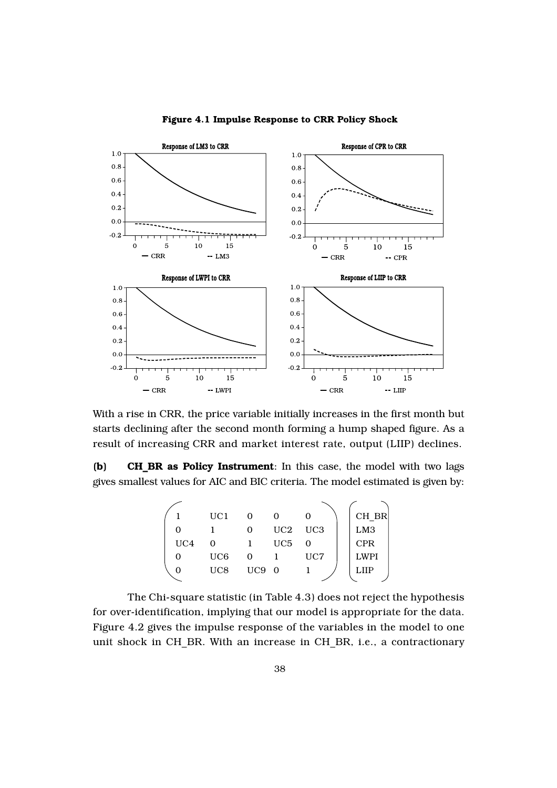

Figure 4.1 Impulse Response to CRR Policy Shock

With a rise in CRR, the price variable initially increases in the first month but starts declining after the second month forming a hump shaped figure. As a result of increasing CRR and market interest rate, output (LIIP) declines.

(b) CH\_BR as Policy Instrument: In this case, the model with two lags gives smallest values for AIC and BIC criteria. The model estimated is given by:

| 1   | UC <sub>1</sub> |         | 0            |     | CH BR           |
|-----|-----------------|---------|--------------|-----|-----------------|
| ∩   |                 |         | $_{\rm UC2}$ | UC3 | LM <sub>3</sub> |
| UC4 | Ω               |         | UC5          | 0   | <b>CPR</b>      |
| 0   | UC6             | ∩       |              | UC7 | <b>LWPI</b>     |
| 0   | UC8             | $UC9$ 0 |              |     | LHP             |
|     |                 |         |              |     |                 |

The Chi-square statistic (in Table 4.3) does not reject the hypothesis for over-identification, implying that our model is appropriate for the data. Figure 4.2 gives the impulse response of the variables in the model to one unit shock in CH\_BR. With an increase in CH\_BR, i.e., a contractionary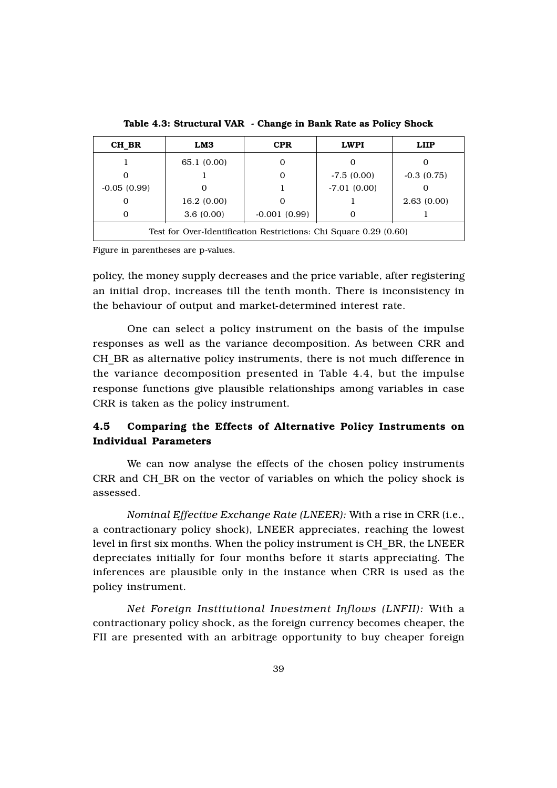| CH BR                                                             | LM3         | <b>CPR</b>     | <b>LWPI</b>   | <b>LIIP</b>  |  |
|-------------------------------------------------------------------|-------------|----------------|---------------|--------------|--|
|                                                                   | 65.1 (0.00) | O              |               |              |  |
|                                                                   |             | 0              | $-7.5(0.00)$  | $-0.3(0.75)$ |  |
| $-0.05(0.99)$                                                     |             |                | $-7.01(0.00)$ |              |  |
|                                                                   | 16.2(0.00)  |                |               | 2.63(0.00)   |  |
|                                                                   | 3.6(0.00)   | $-0.001(0.99)$ |               |              |  |
| Test for Over-Identification Restrictions: Chi Square 0.29 (0.60) |             |                |               |              |  |

Table 4.3: Structural VAR - Change in Bank Rate as Policy Shock

Figure in parentheses are p-values.

policy, the money supply decreases and the price variable, after registering an initial drop, increases till the tenth month. There is inconsistency in the behaviour of output and market-determined interest rate.

One can select a policy instrument on the basis of the impulse responses as well as the variance decomposition. As between CRR and CH\_BR as alternative policy instruments, there is not much difference in the variance decomposition presented in Table 4.4, but the impulse response functions give plausible relationships among variables in case CRR is taken as the policy instrument.

## 4.5 Comparing the Effects of Alternative Policy Instruments on Individual Parameters

We can now analyse the effects of the chosen policy instruments CRR and CH\_BR on the vector of variables on which the policy shock is assessed.

*Nominal Effective Exchange Rate (LNEER):* With a rise in CRR (i.e., a contractionary policy shock), LNEER appreciates, reaching the lowest level in first six months. When the policy instrument is CH\_BR, the LNEER depreciates initially for four months before it starts appreciating. The inferences are plausible only in the instance when CRR is used as the policy instrument.

*Net Foreign Institutional Investment Inflows (LNFII):* With a contractionary policy shock, as the foreign currency becomes cheaper, the FII are presented with an arbitrage opportunity to buy cheaper foreign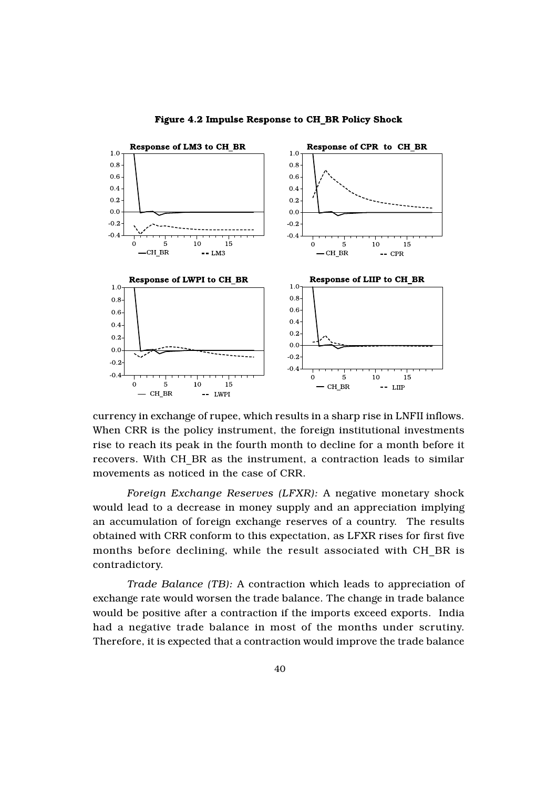

Figure 4.2 Impulse Response to CH BR Policy Shock

currency in exchange of rupee, which results in a sharp rise in LNFII inflows. When CRR is the policy instrument, the foreign institutional investments rise to reach its peak in the fourth month to decline for a month before it recovers. With CH\_BR as the instrument, a contraction leads to similar movements as noticed in the case of CRR.

*Foreign Exchange Reserves (LFXR):* A negative monetary shock would lead to a decrease in money supply and an appreciation implying an accumulation of foreign exchange reserves of a country. The results obtained with CRR conform to this expectation, as LFXR rises for first five months before declining, while the result associated with CH\_BR is contradictory.

*Trade Balance (TB):* A contraction which leads to appreciation of exchange rate would worsen the trade balance. The change in trade balance would be positive after a contraction if the imports exceed exports. India had a negative trade balance in most of the months under scrutiny. Therefore, it is expected that a contraction would improve the trade balance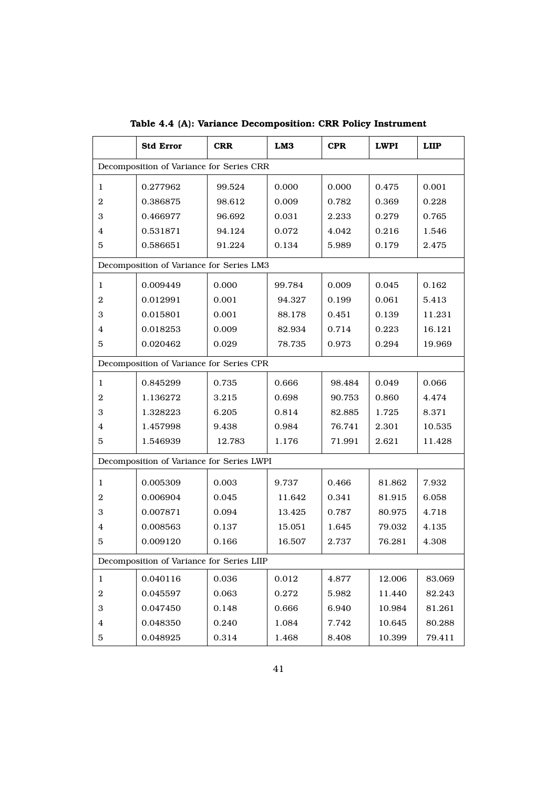|                  | <b>Std Error</b>                          | <b>CRR</b> | LM3    | <b>CPR</b> | <b>LWPI</b> | <b>LIIP</b> |
|------------------|-------------------------------------------|------------|--------|------------|-------------|-------------|
|                  | Decomposition of Variance for Series CRR  |            |        |            |             |             |
| 1                | 0.277962                                  | 99.524     | 0.000  | 0.000      | 0.475       | 0.001       |
| $\overline{2}$   | 0.386875                                  | 98.612     | 0.009  | 0.782      | 0.369       | 0.228       |
| 3                | 0.466977                                  | 96.692     | 0.031  | 2.233      | 0.279       | 0.765       |
| 4                | 0.531871                                  | 94.124     | 0.072  | 4.042      | 0.216       | 1.546       |
| 5                | 0.586651                                  | 91.224     | 0.134  | 5.989      | 0.179       | 2.475       |
|                  | Decomposition of Variance for Series LM3  |            |        |            |             |             |
| 1                | 0.009449                                  | 0.000      | 99.784 | 0.009      | 0.045       | 0.162       |
| 2                | 0.012991                                  | 0.001      | 94.327 | 0.199      | 0.061       | 5.413       |
| 3                | 0.015801                                  | 0.001      | 88.178 | 0.451      | 0.139       | 11.231      |
| 4                | 0.018253                                  | 0.009      | 82.934 | 0.714      | 0.223       | 16.121      |
| 5                | 0.020462                                  | 0.029      | 78.735 | 0.973      | 0.294       | 19.969      |
|                  | Decomposition of Variance for Series CPR  |            |        |            |             |             |
| 1                | 0.845299                                  | 0.735      | 0.666  | 98.484     | 0.049       | 0.066       |
| $\boldsymbol{2}$ | 1.136272                                  | 3.215      | 0.698  | 90.753     | 0.860       | 4.474       |
| 3                | 1.328223                                  | 6.205      | 0.814  | 82.885     | 1.725       | 8.371       |
| 4                | 1.457998                                  | 9.438      | 0.984  | 76.741     | 2.301       | 10.535      |
| 5                | 1.546939                                  | 12.783     | 1.176  | 71.991     | 2.621       | 11.428      |
|                  | Decomposition of Variance for Series LWPI |            |        |            |             |             |
| 1                | 0.005309                                  | 0.003      | 9.737  | 0.466      | 81.862      | 7.932       |
| 2                | 0.006904                                  | 0.045      | 11.642 | 0.341      | 81.915      | 6.058       |
| 3                | 0.007871                                  | 0.094      | 13.425 | 0.787      | 80.975      | 4.718       |
| 4                | 0.008563                                  | 0.137      | 15.051 | 1.645      | 79.032      | 4.135       |
| 5                | 0.009120                                  | 0.166      | 16.507 | 2.737      | 76.281      | 4.308       |
|                  | Decomposition of Variance for Series LIIP |            |        |            |             |             |
| $\mathbf{1}$     | 0.040116                                  | 0.036      | 0.012  | 4.877      | 12.006      | 83.069      |
| $\boldsymbol{2}$ | 0.045597                                  | 0.063      | 0.272  | 5.982      | 11.440      | 82.243      |
| 3                | 0.047450                                  | 0.148      | 0.666  | 6.940      | 10.984      | 81.261      |
| 4                | 0.048350                                  | 0.240      | 1.084  | 7.742      | 10.645      | 80.288      |
| 5                | 0.048925                                  | 0.314      | 1.468  | 8.408      | 10.399      | 79.411      |

Table 4.4 (A): Variance Decomposition: CRR Policy Instrument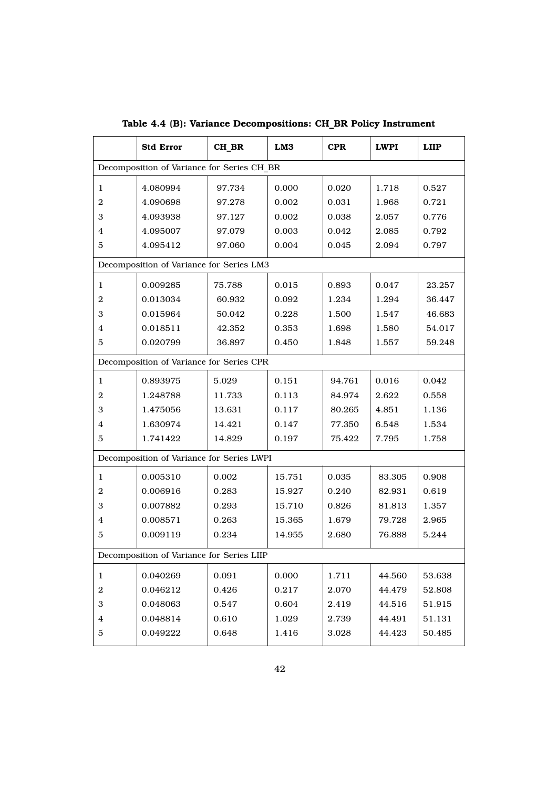|                  | <b>Std Error</b>                           | CH_BR  | LM3    | <b>CPR</b> | <b>LWPI</b> | <b>LIIP</b> |
|------------------|--------------------------------------------|--------|--------|------------|-------------|-------------|
|                  | Decomposition of Variance for Series CH BR |        |        |            |             |             |
| 1                | 4.080994                                   | 97.734 | 0.000  | 0.020      | 1.718       | 0.527       |
| $\mathbf{2}$     | 4.090698                                   | 97.278 | 0.002  | 0.031      | 1.968       | 0.721       |
| 3                | 4.093938                                   | 97.127 | 0.002  | 0.038      | 2.057       | 0.776       |
| 4                | 4.095007                                   | 97.079 | 0.003  | 0.042      | 2.085       | 0.792       |
| 5                | 4.095412                                   | 97.060 | 0.004  | 0.045      | 2.094       | 0.797       |
|                  | Decomposition of Variance for Series LM3   |        |        |            |             |             |
| 1                | 0.009285                                   | 75.788 | 0.015  | 0.893      | 0.047       | 23.257      |
| $\overline{2}$   | 0.013034                                   | 60.932 | 0.092  | 1.234      | 1.294       | 36.447      |
| 3                | 0.015964                                   | 50.042 | 0.228  | 1.500      | 1.547       | 46.683      |
| 4                | 0.018511                                   | 42.352 | 0.353  | 1.698      | 1.580       | 54.017      |
| 5                | 0.020799                                   | 36.897 | 0.450  | 1.848      | 1.557       | 59.248      |
|                  | Decomposition of Variance for Series CPR   |        |        |            |             |             |
| 1                | 0.893975                                   | 5.029  | 0.151  | 94.761     | 0.016       | 0.042       |
| $\boldsymbol{2}$ | 1.248788                                   | 11.733 | 0.113  | 84.974     | 2.622       | 0.558       |
| 3                | 1.475056                                   | 13.631 | 0.117  | 80.265     | 4.851       | 1.136       |
| 4                | 1.630974                                   | 14.421 | 0.147  | 77.350     | 6.548       | 1.534       |
| 5                | 1.741422                                   | 14.829 | 0.197  | 75.422     | 7.795       | 1.758       |
|                  | Decomposition of Variance for Series LWPI  |        |        |            |             |             |
| 1                | 0.005310                                   | 0.002  | 15.751 | 0.035      | 83.305      | 0.908       |
| 2                | 0.006916                                   | 0.283  | 15.927 | 0.240      | 82.931      | 0.619       |
| 3                | 0.007882                                   | 0.293  | 15.710 | 0.826      | 81.813      | 1.357       |
| $\overline{4}$   | 0.008571                                   | 0.263  | 15.365 | 1.679      | 79.728      | 2.965       |
| 5                | 0.009119                                   | 0.234  | 14.955 | 2.680      | 76.888      | 5.244       |
|                  | Decomposition of Variance for Series LIIP  |        |        |            |             |             |
| 1                | 0.040269                                   | 0.091  | 0.000  | 1.711      | 44.560      | 53.638      |
| $\boldsymbol{2}$ | 0.046212                                   | 0.426  | 0.217  | 2.070      | 44.479      | 52.808      |
| 3                | 0.048063                                   | 0.547  | 0.604  | 2.419      | 44.516      | 51.915      |
| $\overline{4}$   | 0.048814                                   | 0.610  | 1.029  | 2.739      | 44.491      | 51.131      |
| 5                | 0.049222                                   | 0.648  | 1.416  | 3.028      | 44.423      | 50.485      |

Table 4.4 (B): Variance Decompositions: CH\_BR Policy Instrument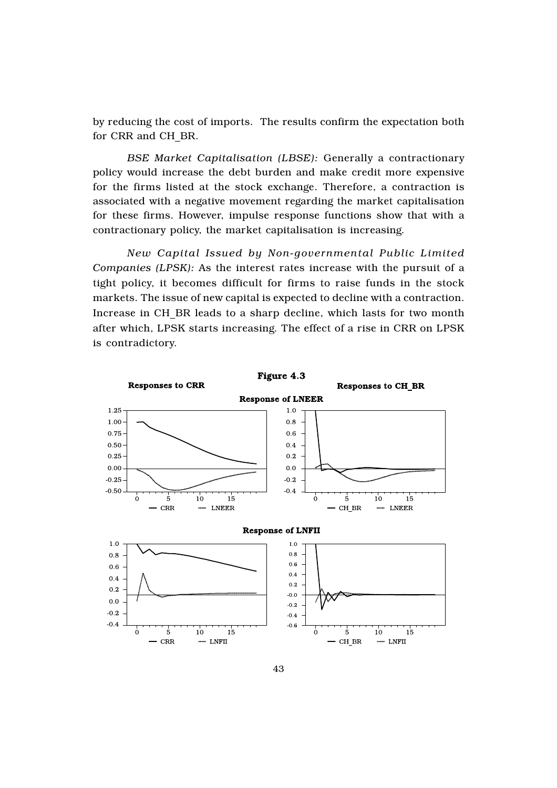by reducing the cost of imports. The results confirm the expectation both for CRR and CH\_BR.

*BSE Market Capitalisation (LBSE):* Generally a contractionary policy would increase the debt burden and make credit more expensive for the firms listed at the stock exchange. Therefore, a contraction is associated with a negative movement regarding the market capitalisation for these firms. However, impulse response functions show that with a contractionary policy, the market capitalisation is increasing.

*New Capital Issued by Non-governmental Public Limited Companies (LPSK):* As the interest rates increase with the pursuit of a tight policy, it becomes difficult for firms to raise funds in the stock markets. The issue of new capital is expected to decline with a contraction. Increase in CH\_BR leads to a sharp decline, which lasts for two month after which, LPSK starts increasing. The effect of a rise in CRR on LPSK is contradictory.

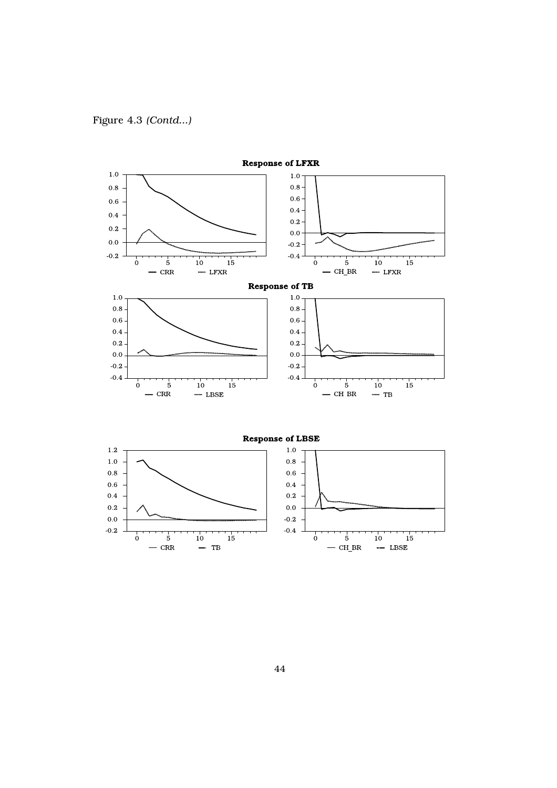

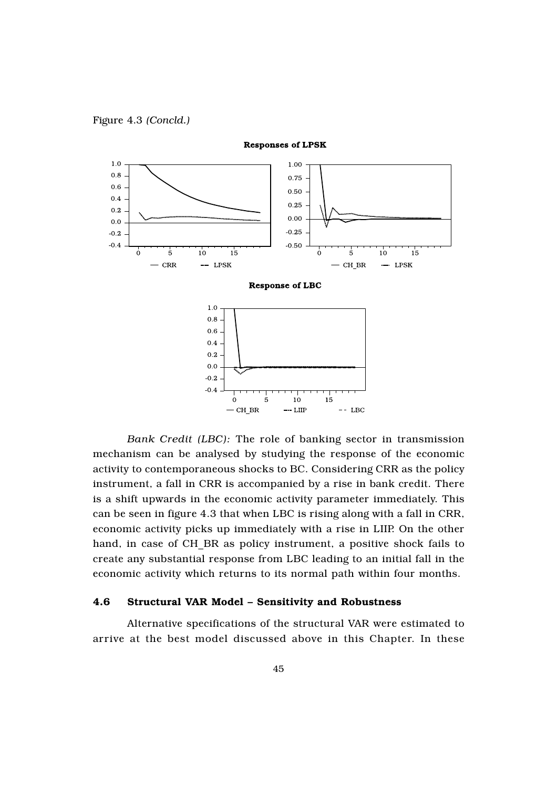Figure 4.3 *(Concld.)*



**Responses of LPSK** 

*Bank Credit (LBC):* The role of banking sector in transmission mechanism can be analysed by studying the response of the economic activity to contemporaneous shocks to BC. Considering CRR as the policy instrument, a fall in CRR is accompanied by a rise in bank credit. There is a shift upwards in the economic activity parameter immediately. This can be seen in figure 4.3 that when LBC is rising along with a fall in CRR, economic activity picks up immediately with a rise in LIIP. On the other hand, in case of CH\_BR as policy instrument, a positive shock fails to create any substantial response from LBC leading to an initial fall in the economic activity which returns to its normal path within four months.

#### 4.6 Structural VAR Model – Sensitivity and Robustness

Alternative specifications of the structural VAR were estimated to arrive at the best model discussed above in this Chapter. In these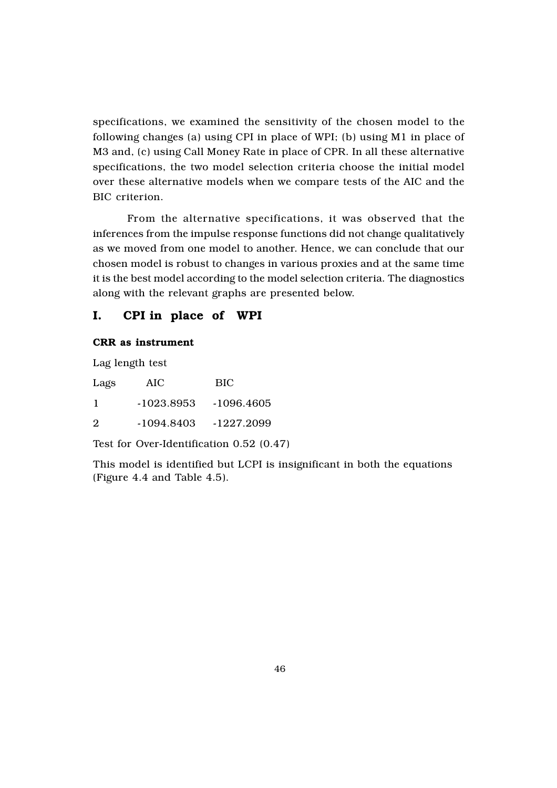specifications, we examined the sensitivity of the chosen model to the following changes (a) using CPI in place of WPI; (b) using M1 in place of M3 and, (c) using Call Money Rate in place of CPR. In all these alternative specifications, the two model selection criteria choose the initial model over these alternative models when we compare tests of the AIC and the BIC criterion.

From the alternative specifications, it was observed that the inferences from the impulse response functions did not change qualitatively as we moved from one model to another. Hence, we can conclude that our chosen model is robust to changes in various proxies and at the same time it is the best model according to the model selection criteria. The diagnostics along with the relevant graphs are presented below.

## I. CPI in place of WPI

## CRR as instrument

Lag length test

| Lags | AIC        | <b>BIC</b> |
|------|------------|------------|
| ı    | -1023.8953 | -1096.4605 |
| 2    | -1094.8403 | -1227.2099 |

Test for Over-Identification 0.52 (0.47)

This model is identified but LCPI is insignificant in both the equations (Figure 4.4 and Table 4.5).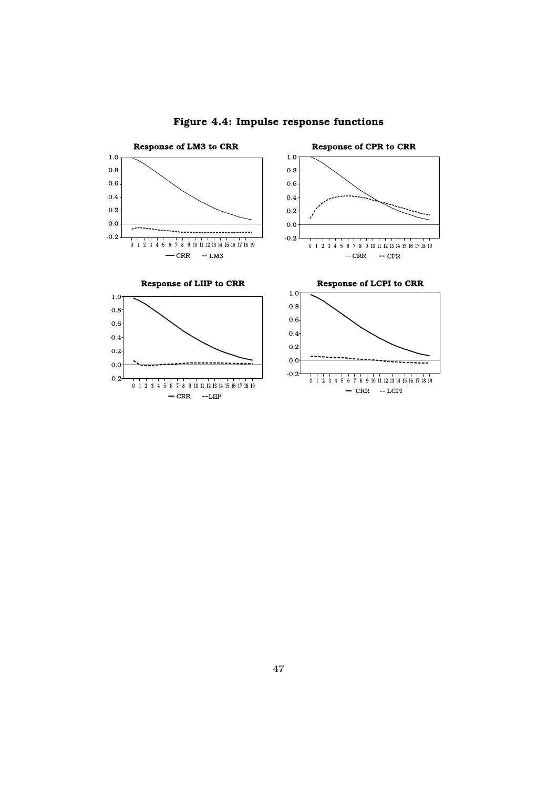

Figure 4.4: Impulse response functions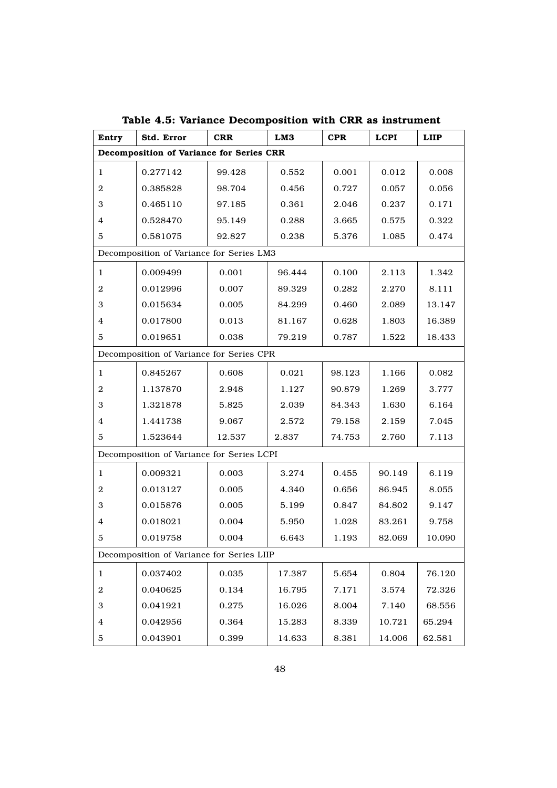| Entry                   | Std. Error                                | <b>CRR</b> | LM3    | <b>CPR</b> | <b>LCPI</b> | <b>LIIP</b> |
|-------------------------|-------------------------------------------|------------|--------|------------|-------------|-------------|
|                         | Decomposition of Variance for Series CRR  |            |        |            |             |             |
| 1                       | 0.277142                                  | 99.428     | 0.552  | 0.001      | 0.012       | 0.008       |
| $\overline{2}$          | 0.385828                                  | 98.704     | 0.456  | 0.727      | 0.057       | 0.056       |
| 3                       | 0.465110                                  | 97.185     | 0.361  | 2.046      | 0.237       | 0.171       |
| 4                       | 0.528470                                  | 95.149     | 0.288  | 3.665      | 0.575       | 0.322       |
| 5                       | 0.581075                                  | 92.827     | 0.238  | 5.376      | 1.085       | 0.474       |
|                         | Decomposition of Variance for Series LM3  |            |        |            |             |             |
| 1                       | 0.009499                                  | 0.001      | 96.444 | 0.100      | 2.113       | 1.342       |
| $\boldsymbol{2}$        | 0.012996                                  | 0.007      | 89.329 | 0.282      | 2.270       | 8.111       |
| 3                       | 0.015634                                  | 0.005      | 84.299 | 0.460      | 2.089       | 13.147      |
| 4                       | 0.017800                                  | 0.013      | 81.167 | 0.628      | 1.803       | 16.389      |
| 5                       | 0.019651                                  | 0.038      | 79.219 | 0.787      | 1.522       | 18.433      |
|                         | Decomposition of Variance for Series CPR  |            |        |            |             |             |
| 1                       | 0.845267                                  | 0.608      | 0.021  | 98.123     | 1.166       | 0.082       |
| $\boldsymbol{2}$        | 1.137870                                  | 2.948      | 1.127  | 90.879     | 1.269       | 3.777       |
| 3                       | 1.321878                                  | 5.825      | 2.039  | 84.343     | 1.630       | 6.164       |
| 4                       | 1.441738                                  | 9.067      | 2.572  | 79.158     | 2.159       | 7.045       |
| 5                       | 1.523644                                  | 12.537     | 2.837  | 74.753     | 2.760       | 7.113       |
|                         | Decomposition of Variance for Series LCPI |            |        |            |             |             |
| 1                       | 0.009321                                  | 0.003      | 3.274  | 0.455      | 90.149      | 6.119       |
| $\boldsymbol{2}$        | 0.013127                                  | 0.005      | 4.340  | 0.656      | 86.945      | 8.055       |
| 3                       | 0.015876                                  | 0.005      | 5.199  | 0.847      | 84.802      | 9.147       |
| 4                       | 0.018021                                  | 0.004      | 5.950  | 1.028      | 83.261      | 9.758       |
| 5                       | 0.019758                                  | 0.004      | 6.643  | 1.193      | 82.069      | 10.090      |
|                         | Decomposition of Variance for Series LIIP |            |        |            |             |             |
| $\mathbf{1}$            | 0.037402                                  | 0.035      | 17.387 | 5.654      | 0.804       | 76.120      |
| $\,2$                   | 0.040625                                  | 0.134      | 16.795 | 7.171      | 3.574       | 72.326      |
| 3                       | 0.041921                                  | 0.275      | 16.026 | 8.004      | 7.140       | 68.556      |
| $\overline{\mathbf{4}}$ | 0.042956                                  | 0.364      | 15.283 | 8.339      | 10.721      | 65.294      |
| 5                       | 0.043901                                  | 0.399      | 14.633 | 8.381      | 14.006      | 62.581      |

Table 4.5: Variance Decomposition with CRR as instrument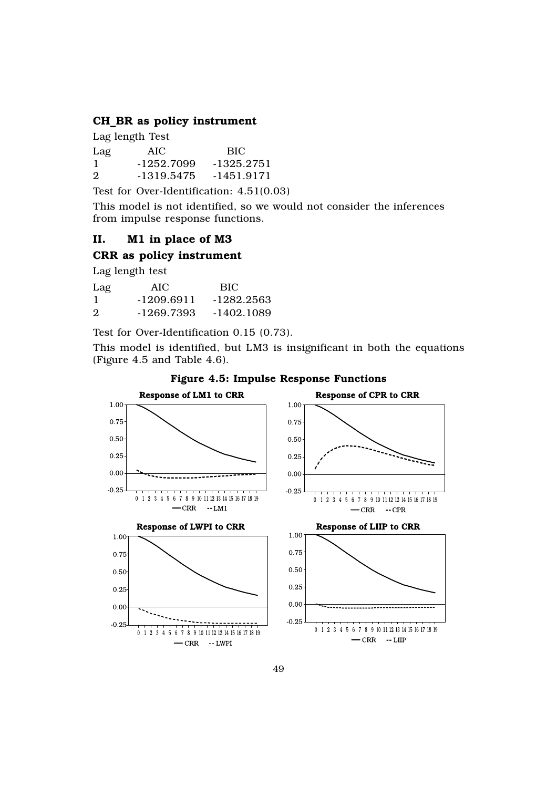## CH BR as policy instrument

Lag length Test

| Lag | AIC        | <b>BIC</b>   |
|-----|------------|--------------|
|     | -1252.7099 | $-1325.2751$ |
| 2   | -1319.5475 | -1451.9171   |

Test for Over-Identification: 4.51(0.03)

This model is not identified, so we would not consider the inferences from impulse response functions.

#### II. M1 in place of M3

## CRR as policy instrument

Lag length test

| Lag | AIC.       | BIC          |
|-----|------------|--------------|
| -1  | -1209.6911 | $-1282.2563$ |
| 2   | -1269.7393 | -1402.1089   |

Test for Over-Identification 0.15 (0.73).

This model is identified, but LM3 is insignificant in both the equations (Figure 4.5 and Table 4.6).



Figure 4.5: Impulse Response Functions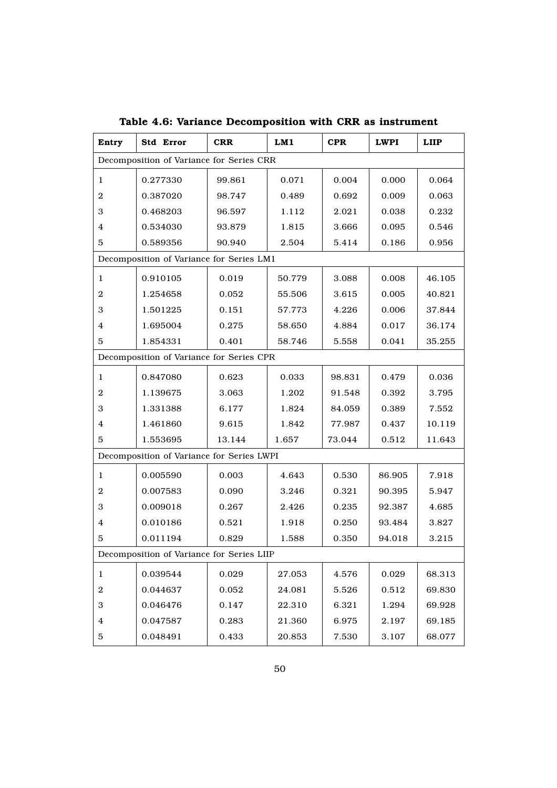| Entry            | Std Error                                 | <b>CRR</b> | LM1    | <b>CPR</b> | <b>LWPI</b> | <b>LIIP</b> |
|------------------|-------------------------------------------|------------|--------|------------|-------------|-------------|
|                  | Decomposition of Variance for Series CRR  |            |        |            |             |             |
| 1                | 0.277330                                  | 99.861     | 0.071  | 0.004      | 0.000       | 0.064       |
| $\overline{2}$   | 0.387020                                  | 98.747     | 0.489  | 0.692      | 0.009       | 0.063       |
| 3                | 0.468203                                  | 96.597     | 1.112  | 2.021      | 0.038       | 0.232       |
| 4                | 0.534030                                  | 93.879     | 1.815  | 3.666      | 0.095       | 0.546       |
| 5                | 0.589356                                  | 90.940     | 2.504  | 5.414      | 0.186       | 0.956       |
|                  | Decomposition of Variance for Series LM1  |            |        |            |             |             |
| 1                | 0.910105                                  | 0.019      | 50.779 | 3.088      | 0.008       | 46.105      |
| $\overline{2}$   | 1.254658                                  | 0.052      | 55.506 | 3.615      | 0.005       | 40.821      |
| 3                | 1.501225                                  | 0.151      | 57.773 | 4.226      | 0.006       | 37.844      |
| 4                | 1.695004                                  | 0.275      | 58.650 | 4.884      | 0.017       | 36.174      |
| 5                | 1.854331                                  | 0.401      | 58.746 | 5.558      | 0.041       | 35.255      |
|                  | Decomposition of Variance for Series CPR  |            |        |            |             |             |
| 1                | 0.847080                                  | 0.623      | 0.033  | 98.831     | 0.479       | 0.036       |
| $\boldsymbol{2}$ | 1.139675                                  | 3.063      | 1.202  | 91.548     | 0.392       | 3.795       |
| 3                | 1.331388                                  | 6.177      | 1.824  | 84.059     | 0.389       | 7.552       |
| 4                | 1.461860                                  | 9.615      | 1.842  | 77.987     | 0.437       | 10.119      |
| 5                | 1.553695                                  | 13.144     | 1.657  | 73.044     | 0.512       | 11.643      |
|                  | Decomposition of Variance for Series LWPI |            |        |            |             |             |
| 1                | 0.005590                                  | 0.003      | 4.643  | 0.530      | 86.905      | 7.918       |
| $\boldsymbol{2}$ | 0.007583                                  | 0.090      | 3.246  | 0.321      | 90.395      | 5.947       |
| 3                | 0.009018                                  | 0.267      | 2.426  | 0.235      | 92.387      | 4.685       |
| 4                | 0.010186                                  | 0.521      | 1.918  | 0.250      | 93.484      | 3.827       |
| 5                | 0.011194                                  | 0.829      | 1.588  | 0.350      | 94.018      | 3.215       |
|                  | Decomposition of Variance for Series LIIP |            |        |            |             |             |
| $\mathbf{1}$     | 0.039544                                  | 0.029      | 27.053 | 4.576      | 0.029       | 68.313      |
| $\boldsymbol{2}$ | 0.044637                                  | 0.052      | 24.081 | 5.526      | 0.512       | 69.830      |
| 3                | 0.046476                                  | 0.147      | 22.310 | 6.321      | 1.294       | 69.928      |
| 4                | 0.047587                                  | 0.283      | 21.360 | 6.975      | 2.197       | 69.185      |
| 5                | 0.048491                                  | 0.433      | 20.853 | 7.530      | 3.107       | 68.077      |

Table 4.6: Variance Decomposition with CRR as instrument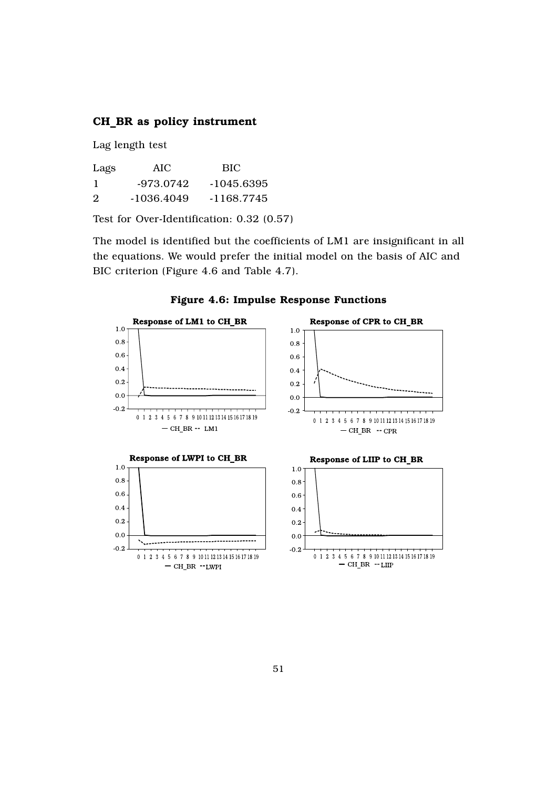## CH\_BR as policy instrument

Lag length test

| Lags | AIC.       | BIC        |
|------|------------|------------|
| -1   | -973.0742  | -1045.6395 |
| 2    | -1036.4049 | -1168.7745 |

Test for Over-Identification: 0.32 (0.57)

The model is identified but the coefficients of LM1 are insignificant in all the equations. We would prefer the initial model on the basis of AIC and BIC criterion (Figure 4.6 and Table 4.7).



Figure 4.6: Impulse Response Functions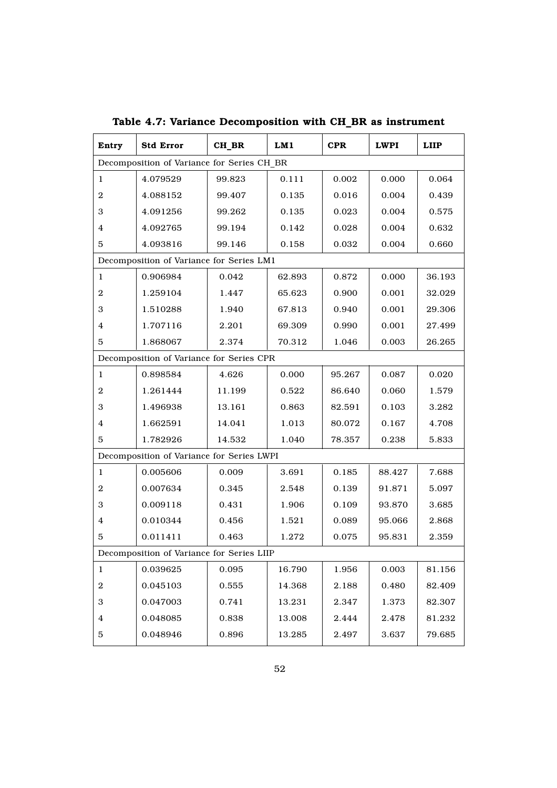| Entry                                      | <b>Std Error</b>                          | CH_BR  | LM1    | <b>CPR</b> | <b>LWPI</b> | <b>LIIP</b> |
|--------------------------------------------|-------------------------------------------|--------|--------|------------|-------------|-------------|
| Decomposition of Variance for Series CH BR |                                           |        |        |            |             |             |
| 1                                          | 4.079529                                  | 99.823 | 0.111  | 0.002      | 0.000       | 0.064       |
| $\boldsymbol{2}$                           | 4.088152                                  | 99.407 | 0.135  | 0.016      | 0.004       | 0.439       |
| 3                                          | 4.091256                                  | 99.262 | 0.135  | 0.023      | 0.004       | 0.575       |
| 4                                          | 4.092765                                  | 99.194 | 0.142  | 0.028      | 0.004       | 0.632       |
| 5                                          | 4.093816                                  | 99.146 | 0.158  | 0.032      | 0.004       | 0.660       |
|                                            | Decomposition of Variance for Series LM1  |        |        |            |             |             |
| 1                                          | 0.906984                                  | 0.042  | 62.893 | 0.872      | 0.000       | 36.193      |
| $\overline{2}$                             | 1.259104                                  | 1.447  | 65.623 | 0.900      | 0.001       | 32.029      |
| 3                                          | 1.510288                                  | 1.940  | 67.813 | 0.940      | 0.001       | 29.306      |
| 4                                          | 1.707116                                  | 2.201  | 69.309 | 0.990      | 0.001       | 27.499      |
| 5                                          | 1.868067                                  | 2.374  | 70.312 | 1.046      | 0.003       | 26.265      |
|                                            | Decomposition of Variance for Series CPR  |        |        |            |             |             |
| 1                                          | 0.898584                                  | 4.626  | 0.000  | 95.267     | 0.087       | 0.020       |
| $\boldsymbol{2}$                           | 1.261444                                  | 11.199 | 0.522  | 86.640     | 0.060       | 1.579       |
| 3                                          | 1.496938                                  | 13.161 | 0.863  | 82.591     | 0.103       | 3.282       |
| 4                                          | 1.662591                                  | 14.041 | 1.013  | 80.072     | 0.167       | 4.708       |
| 5                                          | 1.782926                                  | 14.532 | 1.040  | 78.357     | 0.238       | 5.833       |
|                                            | Decomposition of Variance for Series LWPI |        |        |            |             |             |
| $\mathbf{1}$                               | 0.005606                                  | 0.009  | 3.691  | 0.185      | 88.427      | 7.688       |
| 2                                          | 0.007634                                  | 0.345  | 2.548  | 0.139      | 91.871      | 5.097       |
| 3                                          | 0.009118                                  | 0.431  | 1.906  | 0.109      | 93.870      | 3.685       |
| 4                                          | 0.010344                                  | 0.456  | 1.521  | 0.089      | 95.066      | 2.868       |
| 5                                          | 0.011411                                  | 0.463  | 1.272  | 0.075      | 95.831      | 2.359       |
| Decomposition of Variance for Series LIIP  |                                           |        |        |            |             |             |
| $\mathbf{1}$                               | 0.039625                                  | 0.095  | 16.790 | 1.956      | 0.003       | 81.156      |
| $\boldsymbol{2}$                           | 0.045103                                  | 0.555  | 14.368 | 2.188      | 0.480       | 82.409      |
| 3                                          | 0.047003                                  | 0.741  | 13.231 | 2.347      | 1.373       | 82.307      |
| 4                                          | 0.048085                                  | 0.838  | 13.008 | 2.444      | 2.478       | 81.232      |
| 5                                          | 0.048946                                  | 0.896  | 13.285 | 2.497      | 3.637       | 79.685      |

Table 4.7: Variance Decomposition with CH\_BR as instrument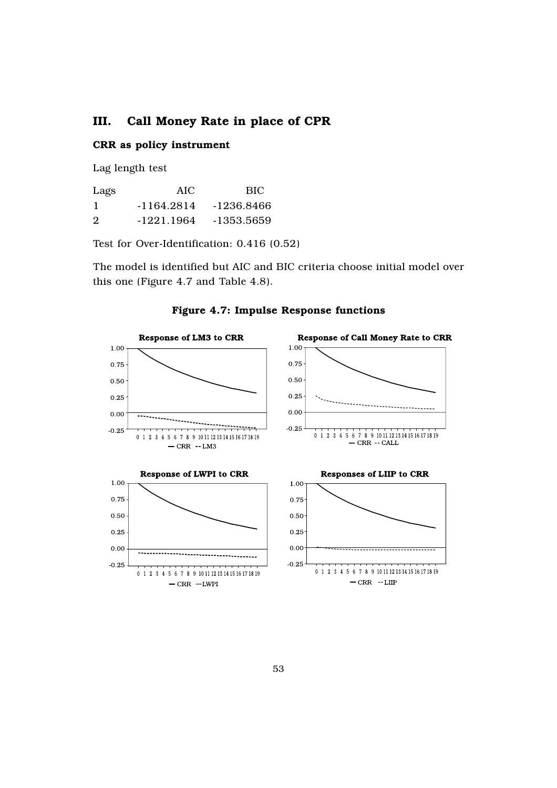## III. Call Money Rate in place of CPR

#### CRR as policy instrument

Lag length test

| Lags | AIC.       | <b>BIC</b> |
|------|------------|------------|
| -1   | -1164.2814 | -1236.8466 |
| 2    | -1221.1964 | -1353.5659 |

Test for Over-Identification: 0.416 (0.52)

The model is identified but AIC and BIC criteria choose initial model over this one (Figure 4.7 and Table 4.8).



#### Figure 4.7: Impulse Response functions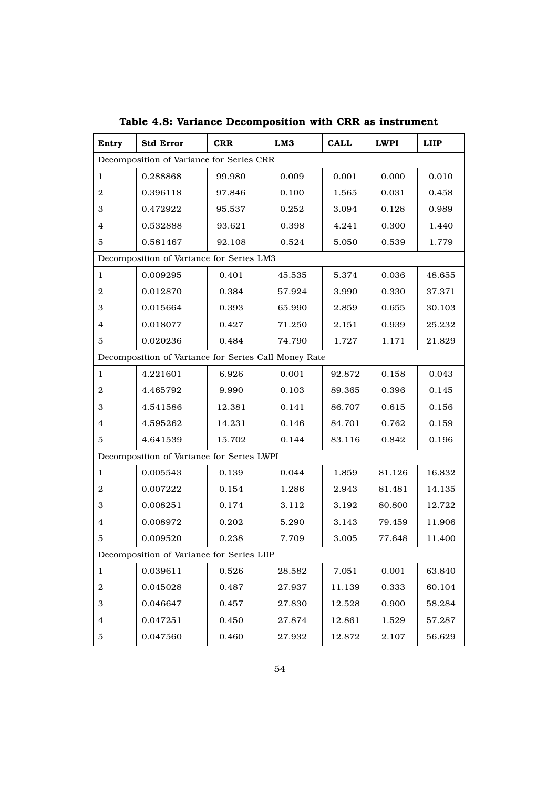| Entry                                     | <b>Std Error</b>                                     | <b>CRR</b> | LM3    | <b>CALL</b> | <b>LWPI</b> | <b>LIIP</b> |
|-------------------------------------------|------------------------------------------------------|------------|--------|-------------|-------------|-------------|
| Decomposition of Variance for Series CRR  |                                                      |            |        |             |             |             |
| 1                                         | 0.288868                                             | 99.980     | 0.009  | 0.001       | 0.000       | 0.010       |
| $\boldsymbol{2}$                          | 0.396118                                             | 97.846     | 0.100  | 1.565       | 0.031       | 0.458       |
| 3                                         | 0.472922                                             | 95.537     | 0.252  | 3.094       | 0.128       | 0.989       |
| 4                                         | 0.532888                                             | 93.621     | 0.398  | 4.241       | 0.300       | 1.440       |
| 5                                         | 0.581467                                             | 92.108     | 0.524  | 5.050       | 0.539       | 1.779       |
|                                           | Decomposition of Variance for Series LM3             |            |        |             |             |             |
| $\mathbf{1}$                              | 0.009295                                             | 0.401      | 45.535 | 5.374       | 0.036       | 48.655      |
| $\overline{2}$                            | 0.012870                                             | 0.384      | 57.924 | 3.990       | 0.330       | 37.371      |
| 3                                         | 0.015664                                             | 0.393      | 65.990 | 2.859       | 0.655       | 30.103      |
| 4                                         | 0.018077                                             | 0.427      | 71.250 | 2.151       | 0.939       | 25.232      |
| 5                                         | 0.020236                                             | 0.484      | 74.790 | 1.727       | 1.171       | 21.829      |
|                                           | Decomposition of Variance for Series Call Money Rate |            |        |             |             |             |
| $\mathbf{1}$                              | 4.221601                                             | 6.926      | 0.001  | 92.872      | 0.158       | 0.043       |
| $\boldsymbol{2}$                          | 4.465792                                             | 9.990      | 0.103  | 89.365      | 0.396       | 0.145       |
| 3                                         | 4.541586                                             | 12.381     | 0.141  | 86.707      | 0.615       | 0.156       |
| 4                                         | 4.595262                                             | 14.231     | 0.146  | 84.701      | 0.762       | 0.159       |
| 5                                         | 4.641539                                             | 15.702     | 0.144  | 83.116      | 0.842       | 0.196       |
|                                           | Decomposition of Variance for Series LWPI            |            |        |             |             |             |
| $\mathbf{1}$                              | 0.005543                                             | 0.139      | 0.044  | 1.859       | 81.126      | 16.832      |
| 2                                         | 0.007222                                             | 0.154      | 1.286  | 2.943       | 81.481      | 14.135      |
| $\,3$                                     | 0.008251                                             | 0.174      | 3.112  | 3.192       | 80.800      | 12.722      |
| 4                                         | 0.008972                                             | 0.202      | 5.290  | 3.143       | 79.459      | 11.906      |
| 5                                         | 0.009520                                             | 0.238      | 7.709  | 3.005       | 77.648      | 11.400      |
| Decomposition of Variance for Series LIIP |                                                      |            |        |             |             |             |
| $\mathbf{1}$                              | 0.039611                                             | 0.526      | 28.582 | 7.051       | 0.001       | 63.840      |
| $\boldsymbol{2}$                          | 0.045028                                             | 0.487      | 27.937 | 11.139      | 0.333       | 60.104      |
| 3                                         | 0.046647                                             | 0.457      | 27.830 | 12.528      | 0.900       | 58.284      |
| 4                                         | 0.047251                                             | 0.450      | 27.874 | 12.861      | 1.529       | 57.287      |
| $\mathbf 5$                               | 0.047560                                             | 0.460      | 27.932 | 12.872      | 2.107       | 56.629      |

Table 4.8: Variance Decomposition with CRR as instrument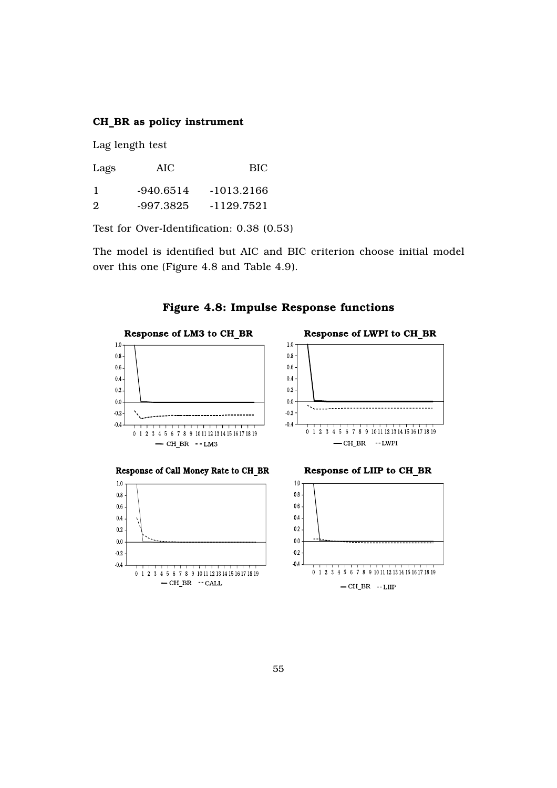## CH\_BR as policy instrument

Lag length test

| Lags | AIC         | <b>BIC</b> |
|------|-------------|------------|
|      | $-940.6514$ | -1013.2166 |
| 2    | -997.3825   | -1129.7521 |

Test for Over-Identification: 0.38 (0.53)

The model is identified but AIC and BIC criterion choose initial model over this one (Figure 4.8 and Table 4.9).

## Figure 4.8: Impulse Response functions

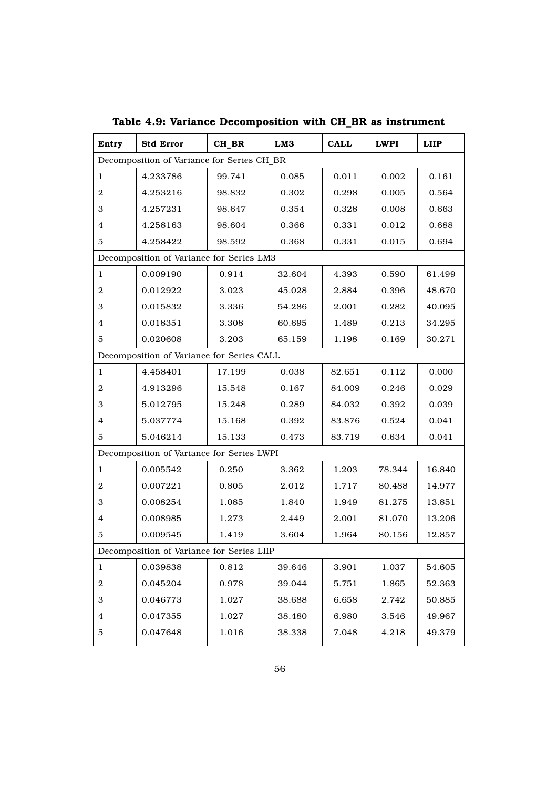| Entry                                      | <b>Std Error</b>                          | CH_BR  | LM3    | <b>CALL</b> | <b>LWPI</b> | <b>LIIP</b> |
|--------------------------------------------|-------------------------------------------|--------|--------|-------------|-------------|-------------|
| Decomposition of Variance for Series CH BR |                                           |        |        |             |             |             |
| 1                                          | 4.233786                                  | 99.741 | 0.085  | 0.011       | 0.002       | 0.161       |
| $\boldsymbol{2}$                           | 4.253216                                  | 98.832 | 0.302  | 0.298       | 0.005       | 0.564       |
| 3                                          | 4.257231                                  | 98.647 | 0.354  | 0.328       | 0.008       | 0.663       |
| 4                                          | 4.258163                                  | 98.604 | 0.366  | 0.331       | 0.012       | 0.688       |
| 5                                          | 4.258422                                  | 98.592 | 0.368  | 0.331       | 0.015       | 0.694       |
|                                            | Decomposition of Variance for Series LM3  |        |        |             |             |             |
| $\mathbf{1}$                               | 0.009190                                  | 0.914  | 32.604 | 4.393       | 0.590       | 61.499      |
| $\boldsymbol{2}$                           | 0.012922                                  | 3.023  | 45.028 | 2.884       | 0.396       | 48.670      |
| 3                                          | 0.015832                                  | 3.336  | 54.286 | 2.001       | 0.282       | 40.095      |
| 4                                          | 0.018351                                  | 3.308  | 60.695 | 1.489       | 0.213       | 34.295      |
| 5                                          | 0.020608                                  | 3.203  | 65.159 | 1.198       | 0.169       | 30.271      |
|                                            | Decomposition of Variance for Series CALL |        |        |             |             |             |
| $\mathbf{1}$                               | 4.458401                                  | 17.199 | 0.038  | 82.651      | 0.112       | 0.000       |
| $\boldsymbol{2}$                           | 4.913296                                  | 15.548 | 0.167  | 84.009      | 0.246       | 0.029       |
| 3                                          | 5.012795                                  | 15.248 | 0.289  | 84.032      | 0.392       | 0.039       |
| 4                                          | 5.037774                                  | 15.168 | 0.392  | 83.876      | 0.524       | 0.041       |
| 5                                          | 5.046214                                  | 15.133 | 0.473  | 83.719      | 0.634       | 0.041       |
|                                            | Decomposition of Variance for Series LWPI |        |        |             |             |             |
| $\mathbf{1}$                               | 0.005542                                  | 0.250  | 3.362  | 1.203       | 78.344      | 16.840      |
| $\boldsymbol{2}$                           | 0.007221                                  | 0.805  | 2.012  | 1.717       | 80.488      | 14.977      |
| 3                                          | 0.008254                                  | 1.085  | 1.840  | 1.949       | 81.275      | 13.851      |
| 4                                          | 0.008985                                  | 1.273  | 2.449  | 2.001       | 81.070      | 13.206      |
| 5                                          | 0.009545                                  | 1.419  | 3.604  | 1.964       | 80.156      | 12.857      |
| Decomposition of Variance for Series LIIP  |                                           |        |        |             |             |             |
| 1                                          | 0.039838                                  | 0.812  | 39.646 | 3.901       | 1.037       | 54.605      |
| $\boldsymbol{2}$                           | 0.045204                                  | 0.978  | 39.044 | 5.751       | 1.865       | 52.363      |
| 3                                          | 0.046773                                  | 1.027  | 38.688 | 6.658       | 2.742       | 50.885      |
| 4                                          | 0.047355                                  | 1.027  | 38.480 | 6.980       | 3.546       | 49.967      |
| 5                                          | 0.047648                                  | 1.016  | 38.338 | 7.048       | 4.218       | 49.379      |

Table 4.9: Variance Decomposition with CH\_BR as instrument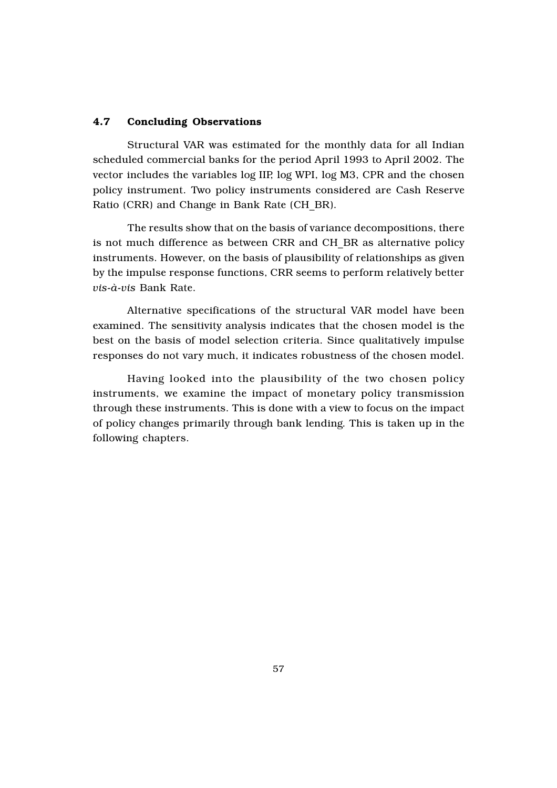### 4.7 Concluding Observations

Structural VAR was estimated for the monthly data for all Indian scheduled commercial banks for the period April 1993 to April 2002. The vector includes the variables log IIP, log WPI, log M3, CPR and the chosen policy instrument. Two policy instruments considered are Cash Reserve Ratio (CRR) and Change in Bank Rate (CH\_BR).

The results show that on the basis of variance decompositions, there is not much difference as between CRR and CH\_BR as alternative policy instruments. However, on the basis of plausibility of relationships as given by the impulse response functions, CRR seems to perform relatively better *vis-à-vis* Bank Rate.

Alternative specifications of the structural VAR model have been examined. The sensitivity analysis indicates that the chosen model is the best on the basis of model selection criteria. Since qualitatively impulse responses do not vary much, it indicates robustness of the chosen model.

Having looked into the plausibility of the two chosen policy instruments, we examine the impact of monetary policy transmission through these instruments. This is done with a view to focus on the impact of policy changes primarily through bank lending. This is taken up in the following chapters.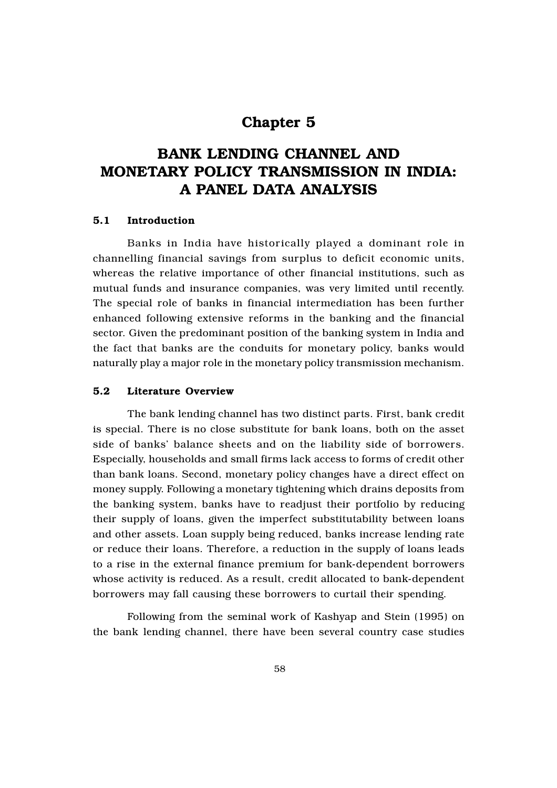## Chapter 5

# BANK LENDING CHANNEL AND MONETARY POLICY TRANSMISSION IN INDIA: A PANEL DATA ANALYSIS

## 5.1 Introduction

Banks in India have historically played a dominant role in channelling financial savings from surplus to deficit economic units, whereas the relative importance of other financial institutions, such as mutual funds and insurance companies, was very limited until recently. The special role of banks in financial intermediation has been further enhanced following extensive reforms in the banking and the financial sector. Given the predominant position of the banking system in India and the fact that banks are the conduits for monetary policy, banks would naturally play a major role in the monetary policy transmission mechanism.

#### 5.2 Literature Overview

The bank lending channel has two distinct parts. First, bank credit is special. There is no close substitute for bank loans, both on the asset side of banks' balance sheets and on the liability side of borrowers. Especially, households and small firms lack access to forms of credit other than bank loans. Second, monetary policy changes have a direct effect on money supply. Following a monetary tightening which drains deposits from the banking system, banks have to readjust their portfolio by reducing their supply of loans, given the imperfect substitutability between loans and other assets. Loan supply being reduced, banks increase lending rate or reduce their loans. Therefore, a reduction in the supply of loans leads to a rise in the external finance premium for bank-dependent borrowers whose activity is reduced. As a result, credit allocated to bank-dependent borrowers may fall causing these borrowers to curtail their spending.

Following from the seminal work of Kashyap and Stein (1995) on the bank lending channel, there have been several country case studies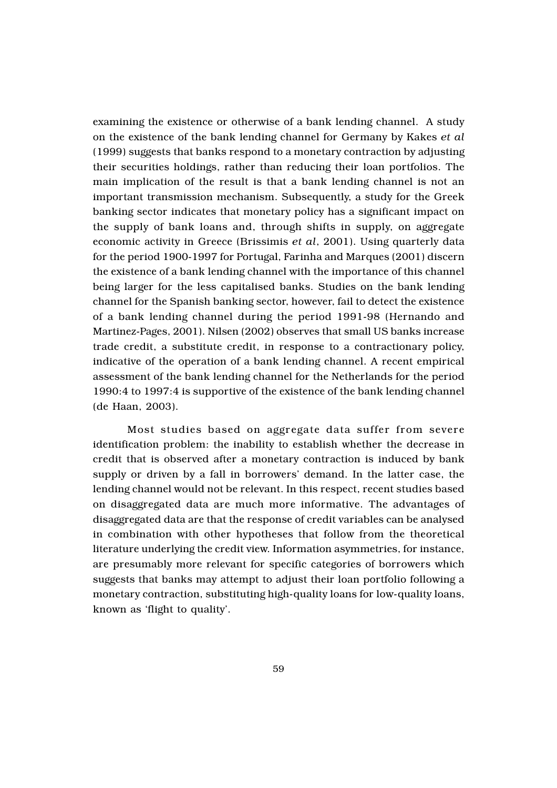examining the existence or otherwise of a bank lending channel. A study on the existence of the bank lending channel for Germany by Kakes *et al* (1999) suggests that banks respond to a monetary contraction by adjusting their securities holdings, rather than reducing their loan portfolios. The main implication of the result is that a bank lending channel is not an important transmission mechanism. Subsequently, a study for the Greek banking sector indicates that monetary policy has a significant impact on the supply of bank loans and, through shifts in supply, on aggregate economic activity in Greece (Brissimis *et al*, 2001). Using quarterly data for the period 1900-1997 for Portugal, Farinha and Marques (2001) discern the existence of a bank lending channel with the importance of this channel being larger for the less capitalised banks. Studies on the bank lending channel for the Spanish banking sector, however, fail to detect the existence of a bank lending channel during the period 1991-98 (Hernando and Martinez-Pages, 2001). Nilsen (2002) observes that small US banks increase trade credit, a substitute credit, in response to a contractionary policy, indicative of the operation of a bank lending channel. A recent empirical assessment of the bank lending channel for the Netherlands for the period 1990:4 to 1997:4 is supportive of the existence of the bank lending channel (de Haan, 2003).

Most studies based on aggregate data suffer from severe identification problem: the inability to establish whether the decrease in credit that is observed after a monetary contraction is induced by bank supply or driven by a fall in borrowers' demand. In the latter case, the lending channel would not be relevant. In this respect, recent studies based on disaggregated data are much more informative. The advantages of disaggregated data are that the response of credit variables can be analysed in combination with other hypotheses that follow from the theoretical literature underlying the credit view. Information asymmetries, for instance, are presumably more relevant for specific categories of borrowers which suggests that banks may attempt to adjust their loan portfolio following a monetary contraction, substituting high-quality loans for low-quality loans, known as 'flight to quality'.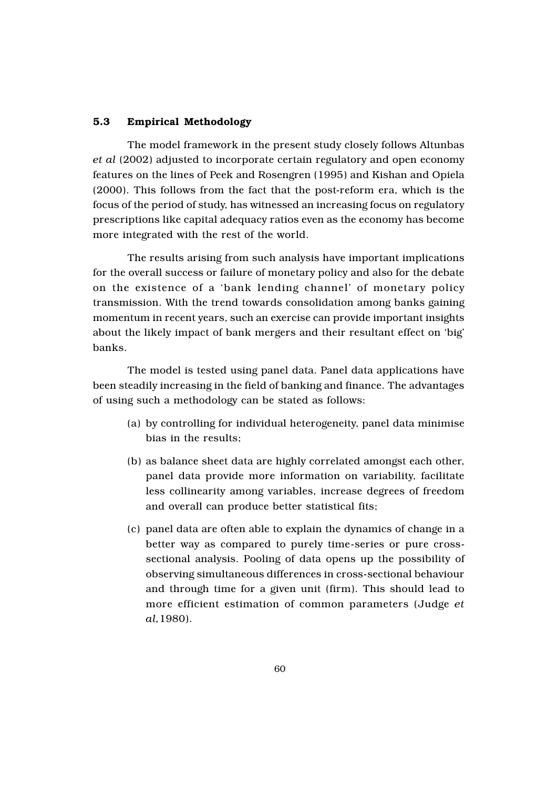### 5.3 Empirical Methodology

The model framework in the present study closely follows Altunbas *et al* (2002) adjusted to incorporate certain regulatory and open economy features on the lines of Peek and Rosengren (1995) and Kishan and Opiela (2000). This follows from the fact that the post-reform era, which is the focus of the period of study, has witnessed an increasing focus on regulatory prescriptions like capital adequacy ratios even as the economy has become more integrated with the rest of the world.

The results arising from such analysis have important implications for the overall success or failure of monetary policy and also for the debate on the existence of a 'bank lending channel' of monetary policy transmission. With the trend towards consolidation among banks gaining momentum in recent years, such an exercise can provide important insights about the likely impact of bank mergers and their resultant effect on 'big' banks.

The model is tested using panel data. Panel data applications have been steadily increasing in the field of banking and finance. The advantages of using such a methodology can be stated as follows:

- (a) by controlling for individual heterogeneity, panel data minimise bias in the results;
- (b) as balance sheet data are highly correlated amongst each other, panel data provide more information on variability, facilitate less collinearity among variables, increase degrees of freedom and overall can produce better statistical fits;
- (c) panel data are often able to explain the dynamics of change in a better way as compared to purely time-series or pure crosssectional analysis. Pooling of data opens up the possibility of observing simultaneous differences in cross-sectional behaviour and through time for a given unit (firm). This should lead to more efficient estimation of common parameters (Judge *et al,*1980).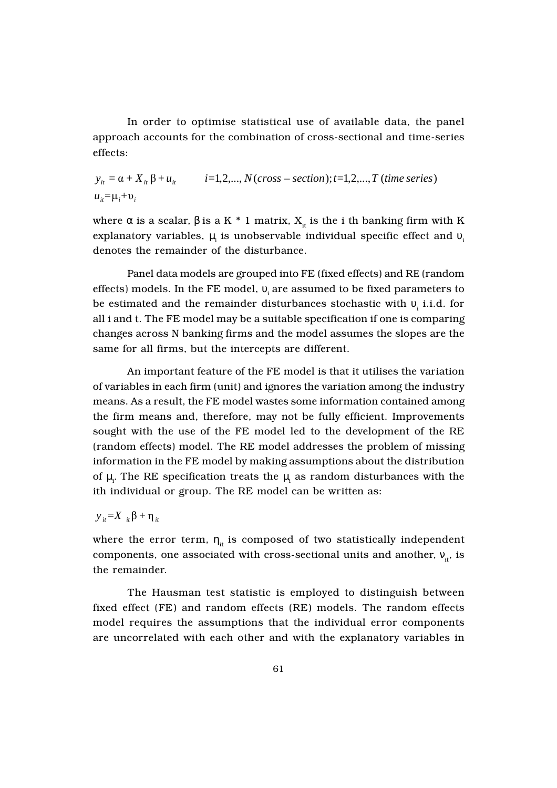In order to optimise statistical use of available data, the panel approach accounts for the combination of cross-sectional and time-series effects:

$$
y_{it} = \alpha + X_{it} \beta + u_{it}
$$
  $i=1,2,...,N(cross - section); t=1,2,...,T (time series)$   

$$
u_{it} = \mu_i + v_i
$$

where α is a scalar,  $β$  is a K  $*$  1 matrix,  $X_{i}$  is the i th banking firm with K explanatory variables,  $\mu_i$  is unobservable individual specific effect and  $\nu_i$ denotes the remainder of the disturbance.

Panel data models are grouped into FE (fixed effects) and RE (random effects) models. In the FE model,  $v_i$  are assumed to be fixed parameters to be estimated and the remainder disturbances stochastic with  $v_{\rm i}$  i.i.d. for all i and t. The FE model may be a suitable specification if one is comparing changes across N banking firms and the model assumes the slopes are the same for all firms, but the intercepts are different.

An important feature of the FE model is that it utilises the variation of variables in each firm (unit) and ignores the variation among the industry means. As a result, the FE model wastes some information contained among the firm means and, therefore, may not be fully efficient. Improvements sought with the use of the FE model led to the development of the RE (random effects) model. The RE model addresses the problem of missing information in the FE model by making assumptions about the distribution of  $\mu_i$ . The RE specification treats the  $\mu_i$  as random disturbances with the ith individual or group. The RE model can be written as:

*y*<sub>*it</sub>* =*X*  $_{it}$  β + η<sub>*it*</sub></sub>

where the error term,  $\eta_{it}$  is composed of two statistically independent components, one associated with cross-sectional units and another,  $v_{i}$ , is the remainder.

The Hausman test statistic is employed to distinguish between fixed effect (FE) and random effects (RE) models. The random effects model requires the assumptions that the individual error components are uncorrelated with each other and with the explanatory variables in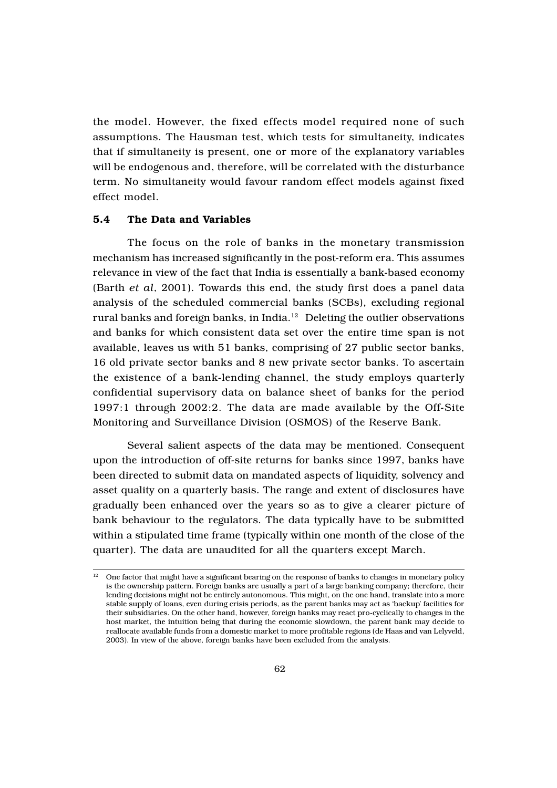the model. However, the fixed effects model required none of such assumptions. The Hausman test, which tests for simultaneity, indicates that if simultaneity is present, one or more of the explanatory variables will be endogenous and, therefore, will be correlated with the disturbance term. No simultaneity would favour random effect models against fixed effect model.

#### 5.4 The Data and Variables

The focus on the role of banks in the monetary transmission mechanism has increased significantly in the post-reform era. This assumes relevance in view of the fact that India is essentially a bank-based economy (Barth *et al*, 2001). Towards this end, the study first does a panel data analysis of the scheduled commercial banks (SCBs), excluding regional rural banks and foreign banks, in India.<sup>12</sup> Deleting the outlier observations and banks for which consistent data set over the entire time span is not available, leaves us with 51 banks, comprising of 27 public sector banks, 16 old private sector banks and 8 new private sector banks. To ascertain the existence of a bank-lending channel, the study employs quarterly confidential supervisory data on balance sheet of banks for the period 1997:1 through 2002:2. The data are made available by the Off-Site Monitoring and Surveillance Division (OSMOS) of the Reserve Bank.

Several salient aspects of the data may be mentioned. Consequent upon the introduction of off-site returns for banks since 1997, banks have been directed to submit data on mandated aspects of liquidity, solvency and asset quality on a quarterly basis. The range and extent of disclosures have gradually been enhanced over the years so as to give a clearer picture of bank behaviour to the regulators. The data typically have to be submitted within a stipulated time frame (typically within one month of the close of the quarter). The data are unaudited for all the quarters except March.

 $12$  One factor that might have a significant bearing on the response of banks to changes in monetary policy is the ownership pattern. Foreign banks are usually a part of a large banking company; therefore, their lending decisions might not be entirely autonomous. This might, on the one hand, translate into a more stable supply of loans, even during crisis periods, as the parent banks may act as 'backup' facilities for their subsidiaries. On the other hand, however, foreign banks may react pro-cyclically to changes in the host market, the intuition being that during the economic slowdown, the parent bank may decide to reallocate available funds from a domestic market to more profitable regions (de Haas and van Lelyveld, 2003). In view of the above, foreign banks have been excluded from the analysis.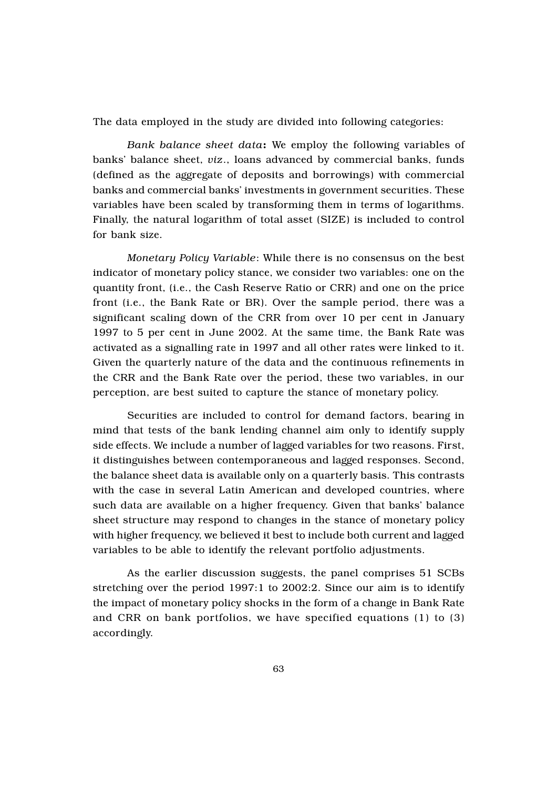The data employed in the study are divided into following categories:

*Bank balance sheet data*: We employ the following variables of banks' balance sheet, *viz*., loans advanced by commercial banks, funds (defined as the aggregate of deposits and borrowings) with commercial banks and commercial banks' investments in government securities. These variables have been scaled by transforming them in terms of logarithms. Finally, the natural logarithm of total asset (SIZE) is included to control for bank size.

*Monetary Policy Variable*: While there is no consensus on the best indicator of monetary policy stance, we consider two variables: one on the quantity front, (i.e., the Cash Reserve Ratio or CRR) and one on the price front (i.e., the Bank Rate or BR). Over the sample period, there was a significant scaling down of the CRR from over 10 per cent in January 1997 to 5 per cent in June 2002. At the same time, the Bank Rate was activated as a signalling rate in 1997 and all other rates were linked to it. Given the quarterly nature of the data and the continuous refinements in the CRR and the Bank Rate over the period, these two variables, in our perception, are best suited to capture the stance of monetary policy.

Securities are included to control for demand factors, bearing in mind that tests of the bank lending channel aim only to identify supply side effects. We include a number of lagged variables for two reasons. First, it distinguishes between contemporaneous and lagged responses. Second, the balance sheet data is available only on a quarterly basis. This contrasts with the case in several Latin American and developed countries, where such data are available on a higher frequency. Given that banks' balance sheet structure may respond to changes in the stance of monetary policy with higher frequency, we believed it best to include both current and lagged variables to be able to identify the relevant portfolio adjustments.

As the earlier discussion suggests, the panel comprises 51 SCBs stretching over the period 1997:1 to 2002:2. Since our aim is to identify the impact of monetary policy shocks in the form of a change in Bank Rate and CRR on bank portfolios, we have specified equations (1) to (3) accordingly.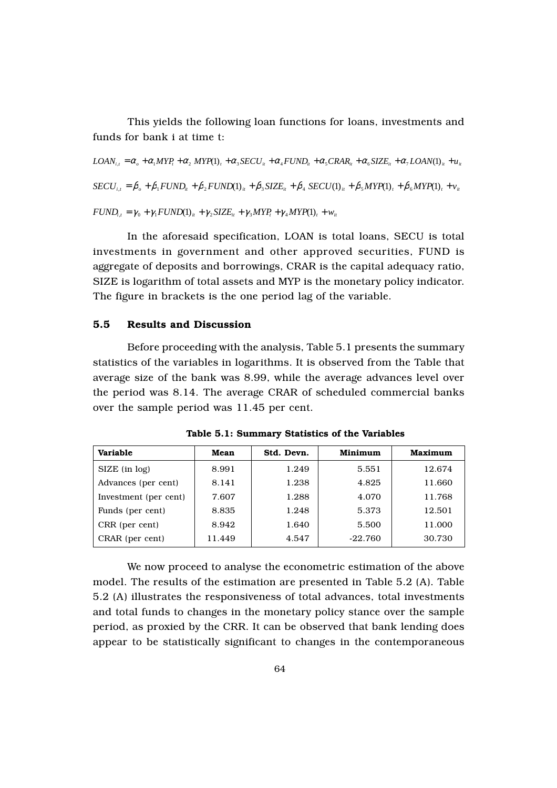This yields the following loan functions for loans, investments and funds for bank i at time t:

 $LOAN_{i,t} = \alpha_a + \alpha_1 MYP_t + \alpha_2 MYP(1)_t + \alpha_3 SECU_{it} + \alpha_4 FUND_{it} + \alpha_5 CRAR_{it} + \alpha_6 SIZE_{it} + \alpha_7 LOAN(1)_{it} + u_{it}$  $SECU_i = \beta_a + \beta_1 FUND_{ii} + \beta_2 FUND_{i}$  +  $\beta_3 SIZE_{ii} + \beta_4 SECU(1)_{ii} + \beta_5 MYP(1)_{i} + \beta_6 MYP(1)_{i} + \nu_{ii}$  $FUND_{i,t} = \gamma_0 + \gamma_1 FUND(1)_{it} + \gamma_2 SIZE_{it} + \gamma_3 MYP_t + \gamma_4 MYP(1)_{t} + w_{it}$ 

In the aforesaid specification, LOAN is total loans, SECU is total investments in government and other approved securities, FUND is aggregate of deposits and borrowings, CRAR is the capital adequacy ratio, SIZE is logarithm of total assets and MYP is the monetary policy indicator. The figure in brackets is the one period lag of the variable.

## 5.5 Results and Discussion

Before proceeding with the analysis, Table 5.1 presents the summary statistics of the variables in logarithms. It is observed from the Table that average size of the bank was 8.99, while the average advances level over the period was 8.14. The average CRAR of scheduled commercial banks over the sample period was 11.45 per cent.

| Variable              | Mean   | Std. Devn. | Minimum   | <b>Maximum</b> |
|-----------------------|--------|------------|-----------|----------------|
| SIZE (in log)         | 8.991  | 1.249      | 5.551     | 12.674         |
| Advances (per cent)   | 8.141  | 1.238      | 4.825     | 11.660         |
| Investment (per cent) | 7.607  | 1.288      | 4.070     | 11.768         |
| Funds (per cent)      | 8.835  | 1.248      | 5.373     | 12.501         |
| CRR (per cent)        | 8.942  | 1.640      | 5.500     | 11.000         |
| CRAR (per cent)       | 11.449 | 4.547      | $-22.760$ | 30.730         |

Table 5.1: Summary Statistics of the Variables

We now proceed to analyse the econometric estimation of the above model. The results of the estimation are presented in Table 5.2 (A). Table 5.2 (A) illustrates the responsiveness of total advances, total investments and total funds to changes in the monetary policy stance over the sample period, as proxied by the CRR. It can be observed that bank lending does appear to be statistically significant to changes in the contemporaneous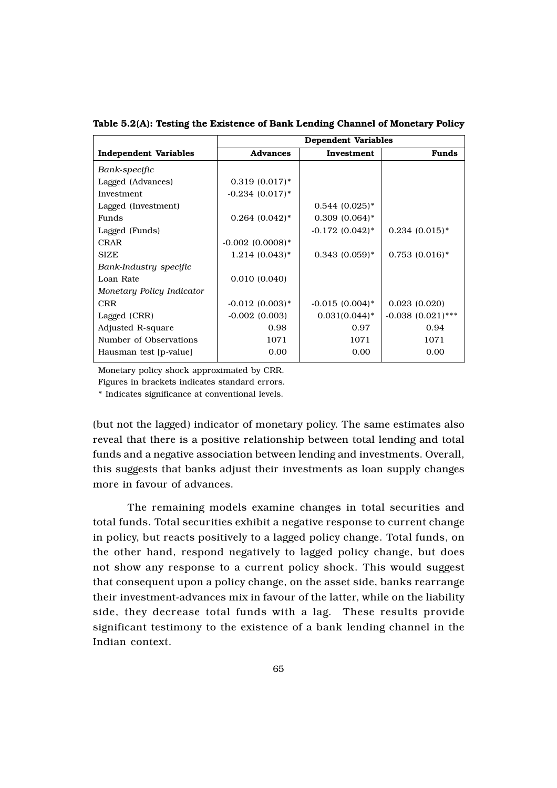|                              | <b>Dependent Variables</b>     |                   |                     |
|------------------------------|--------------------------------|-------------------|---------------------|
| <b>Independent Variables</b> | <b>Advances</b>                | Investment        | Funds               |
| Bank-specific                |                                |                   |                     |
| Lagged (Advances)            | $0.319(0.017)^*$               |                   |                     |
| Investment                   | $-0.234(0.017)^*$              |                   |                     |
| Lagged (Investment)          |                                | $0.544(0.025)^*$  |                     |
| Funds                        | $0.264$ $(0.042)$ <sup>*</sup> | $0.309(0.064)$ *  |                     |
| Lagged (Funds)               |                                | $-0.172(0.042)^*$ | $0.234(0.015)*$     |
| <b>CRAR</b>                  | $-0.002$ $(0.0008)*$           |                   |                     |
| <b>SIZE</b>                  | $1.214(0.043)*$                | $0.343(0.059)^*$  | $0.753(0.016)^*$    |
| Bank-Industry specific       |                                |                   |                     |
| Loan Rate                    | 0.010(0.040)                   |                   |                     |
| Monetary Policy Indicator    |                                |                   |                     |
| <b>CRR</b>                   | $-0.012$ $(0.003)*$            | $-0.015(0.004)^*$ | 0.023(0.020)        |
| Lagged (CRR)                 | $-0.002(0.003)$                | $0.031(0.044)*$   | $-0.038(0.021)$ *** |
| Adjusted R-square            | 0.98                           | 0.97              | 0.94                |
| Number of Observations       | 1071                           | 1071              | 1071                |
| Hausman test [p-value]       | 0.00                           | 0.00              | 0.00                |

Table 5.2(A): Testing the Existence of Bank Lending Channel of Monetary Policy

Monetary policy shock approximated by CRR.

Figures in brackets indicates standard errors.

\* Indicates significance at conventional levels.

(but not the lagged) indicator of monetary policy. The same estimates also reveal that there is a positive relationship between total lending and total funds and a negative association between lending and investments. Overall, this suggests that banks adjust their investments as loan supply changes more in favour of advances.

The remaining models examine changes in total securities and total funds. Total securities exhibit a negative response to current change in policy, but reacts positively to a lagged policy change. Total funds, on the other hand, respond negatively to lagged policy change, but does not show any response to a current policy shock. This would suggest that consequent upon a policy change, on the asset side, banks rearrange their investment-advances mix in favour of the latter, while on the liability side, they decrease total funds with a lag. These results provide significant testimony to the existence of a bank lending channel in the Indian context.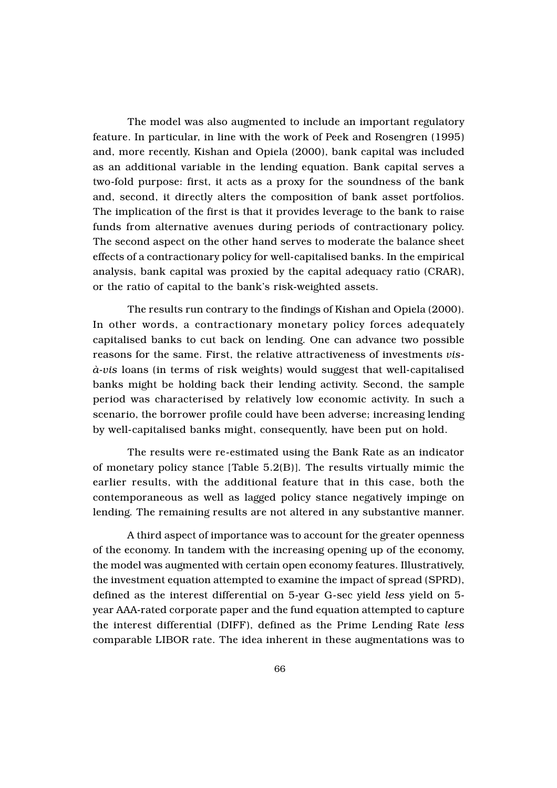The model was also augmented to include an important regulatory feature. In particular, in line with the work of Peek and Rosengren (1995) and, more recently, Kishan and Opiela (2000), bank capital was included as an additional variable in the lending equation. Bank capital serves a two-fold purpose: first, it acts as a proxy for the soundness of the bank and, second, it directly alters the composition of bank asset portfolios. The implication of the first is that it provides leverage to the bank to raise funds from alternative avenues during periods of contractionary policy. The second aspect on the other hand serves to moderate the balance sheet effects of a contractionary policy for well-capitalised banks. In the empirical analysis, bank capital was proxied by the capital adequacy ratio (CRAR), or the ratio of capital to the bank's risk-weighted assets.

The results run contrary to the findings of Kishan and Opiela (2000). In other words, a contractionary monetary policy forces adequately capitalised banks to cut back on lending. One can advance two possible reasons for the same. First, the relative attractiveness of investments *visà-vis* loans (in terms of risk weights) would suggest that well-capitalised banks might be holding back their lending activity. Second, the sample period was characterised by relatively low economic activity. In such a scenario, the borrower profile could have been adverse; increasing lending by well-capitalised banks might, consequently, have been put on hold.

The results were re-estimated using the Bank Rate as an indicator of monetary policy stance [Table 5.2(B)]. The results virtually mimic the earlier results, with the additional feature that in this case, both the contemporaneous as well as lagged policy stance negatively impinge on lending. The remaining results are not altered in any substantive manner.

A third aspect of importance was to account for the greater openness of the economy. In tandem with the increasing opening up of the economy, the model was augmented with certain open economy features. Illustratively, the investment equation attempted to examine the impact of spread (SPRD), defined as the interest differential on 5-year G-sec yield *less* yield on 5 year AAA-rated corporate paper and the fund equation attempted to capture the interest differential (DIFF), defined as the Prime Lending Rate *less* comparable LIBOR rate. The idea inherent in these augmentations was to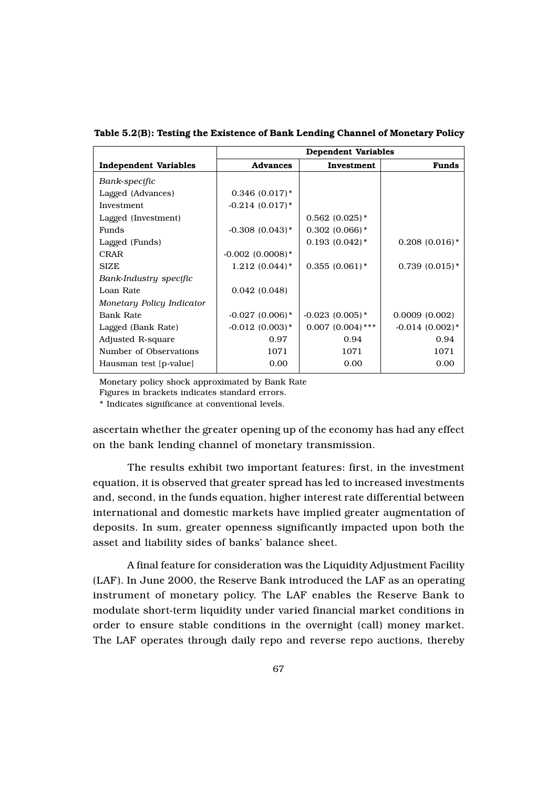|                              |                             | Dependent Variables             |                  |  |  |  |
|------------------------------|-----------------------------|---------------------------------|------------------|--|--|--|
| <b>Independent Variables</b> | <b>Advances</b>             | Investment                      | Funds            |  |  |  |
| Bank-specific                |                             |                                 |                  |  |  |  |
| Lagged (Advances)            | $0.346(0.017)^*$            |                                 |                  |  |  |  |
| Investment                   | $-0.214(0.017)^*$           |                                 |                  |  |  |  |
| Lagged (Investment)          |                             | $0.562(0.025)$ *                |                  |  |  |  |
| Funds                        | $-0.308(0.043)*$            | $0.302(0.066)*$                 |                  |  |  |  |
| Lagged (Funds)               |                             | $0.193(0.042)^*$                | $0.208(0.016)*$  |  |  |  |
| <b>CRAR</b>                  | $-0.002$ $(0.0008)*$        |                                 |                  |  |  |  |
| <b>SIZE</b>                  | $1.212(0.044)$ <sup>*</sup> | $0.355(0.061)$ *                | $0.739(0.015)*$  |  |  |  |
| Bank-Industry specific       |                             |                                 |                  |  |  |  |
| Loan Rate                    | 0.042(0.048)                |                                 |                  |  |  |  |
| Monetary Policy Indicator    |                             |                                 |                  |  |  |  |
| Bank Rate                    | $-0.027(0.006)*$            | $-0.023$ $(0.005)$ <sup>*</sup> | 0.0009(0.002)    |  |  |  |
| Lagged (Bank Rate)           | $-0.012(0.003)*$            | $0.007(0.004)$ ***              | $-0.014(0.002)*$ |  |  |  |
| Adjusted R-square            | 0.97                        | 0.94                            | 0.94             |  |  |  |
| Number of Observations       | 1071                        | 1071                            | 1071             |  |  |  |
| Hausman test [p-value]       | 0.00                        | 0.00                            | 0.00             |  |  |  |

Table 5.2(B): Testing the Existence of Bank Lending Channel of Monetary Policy

Monetary policy shock approximated by Bank Rate

Figures in brackets indicates standard errors.

\* Indicates significance at conventional levels.

ascertain whether the greater opening up of the economy has had any effect on the bank lending channel of monetary transmission.

The results exhibit two important features: first, in the investment equation, it is observed that greater spread has led to increased investments and, second, in the funds equation, higher interest rate differential between international and domestic markets have implied greater augmentation of deposits. In sum, greater openness significantly impacted upon both the asset and liability sides of banks' balance sheet.

A final feature for consideration was the Liquidity Adjustment Facility (LAF). In June 2000, the Reserve Bank introduced the LAF as an operating instrument of monetary policy. The LAF enables the Reserve Bank to modulate short-term liquidity under varied financial market conditions in order to ensure stable conditions in the overnight (call) money market. The LAF operates through daily repo and reverse repo auctions, thereby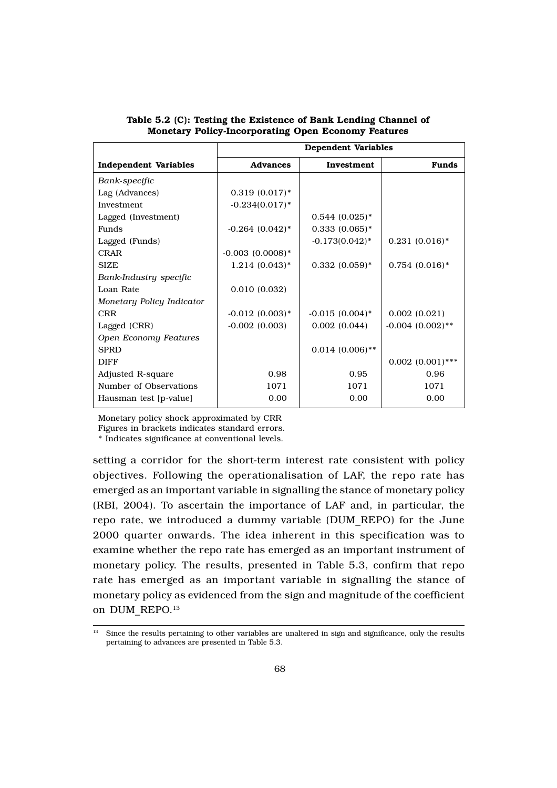|                              |                                 | <b>Dependent Variables</b> |                       |
|------------------------------|---------------------------------|----------------------------|-----------------------|
| <b>Independent Variables</b> | <b>Advances</b>                 | Investment                 | <b>Funds</b>          |
| Bank-specific                |                                 |                            |                       |
| Lag (Advances)               | $0.319(0.017)^*$                |                            |                       |
| Investment                   | $-0.234(0.017)^*$               |                            |                       |
| Lagged (Investment)          |                                 | $0.544(0.025)*$            |                       |
| Funds                        | $-0.264$ $(0.042)$ <sup>*</sup> | $0.333(0.065)*$            |                       |
| Lagged (Funds)               |                                 | $-0.173(0.042)^*$          | $0.231(0.016)*$       |
| <b>CRAR</b>                  | $-0.003$ $(0.0008)*$            |                            |                       |
| <b>SIZE</b>                  | $1.214 (0.043)^*$               | $0.332(0.059)*$            | $0.754(0.016)^*$      |
| Bank-Industry specific       |                                 |                            |                       |
| Loan Rate                    | 0.010(0.032)                    |                            |                       |
| Monetary Policy Indicator    |                                 |                            |                       |
| <b>CRR</b>                   | $-0.012$ (0.003) <sup>*</sup>   | $-0.015(0.004)^*$          | 0.002(0.021)          |
| Lagged (CRR)                 | $-0.002(0.003)$                 | 0.002(0.044)               | $-0.004$ $(0.002)$ ** |
| Open Economy Features        |                                 |                            |                       |
| <b>SPRD</b>                  |                                 | $0.014 (0.006)$ **         |                       |
| <b>DIFF</b>                  |                                 |                            | $0.002$ $(0.001)$ *** |
| Adjusted R-square            | 0.98                            | 0.95                       | 0.96                  |
| Number of Observations       | 1071                            | 1071                       | 1071                  |
| Hausman test [p-value]       | 0.00                            | 0.00                       | 0.00                  |

Table 5.2 (C): Testing the Existence of Bank Lending Channel of Monetary Policy-Incorporating Open Economy Features

Monetary policy shock approximated by CRR

Figures in brackets indicates standard errors.

\* Indicates significance at conventional levels.

setting a corridor for the short-term interest rate consistent with policy objectives. Following the operationalisation of LAF, the repo rate has emerged as an important variable in signalling the stance of monetary policy (RBI, 2004). To ascertain the importance of LAF and, in particular, the repo rate, we introduced a dummy variable (DUM\_REPO) for the June 2000 quarter onwards. The idea inherent in this specification was to examine whether the repo rate has emerged as an important instrument of monetary policy. The results, presented in Table 5.3, confirm that repo rate has emerged as an important variable in signalling the stance of monetary policy as evidenced from the sign and magnitude of the coefficient on DUM REPO.<sup>13</sup>

 $13$  Since the results pertaining to other variables are unaltered in sign and significance, only the results pertaining to advances are presented in Table 5.3.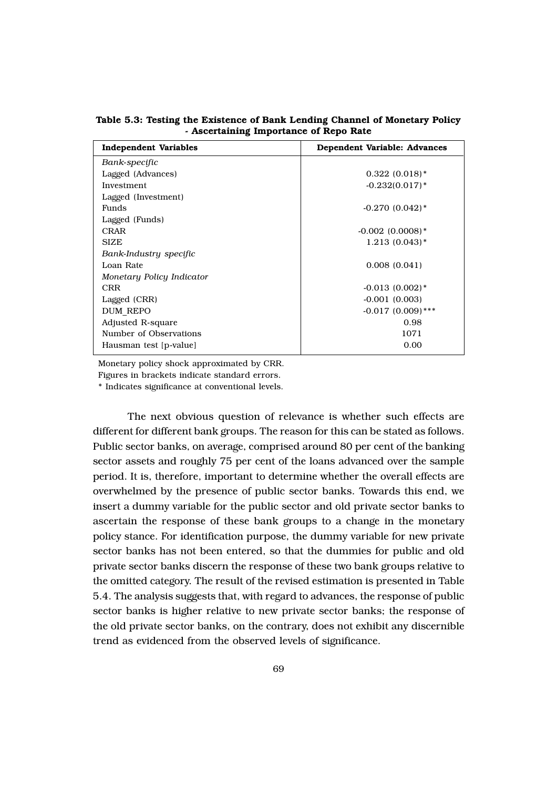| <b>Independent Variables</b> | Dependent Variable: Advances |
|------------------------------|------------------------------|
| Bank-specific                |                              |
| Lagged (Advances)            | $0.322(0.018)$ <sup>*</sup>  |
| Investment                   | $-0.232(0.017)^*$            |
| Lagged (Investment)          |                              |
| <b>Funds</b>                 | $-0.270(0.042)$ <sup>*</sup> |
| Lagged (Funds)               |                              |
| <b>CRAR</b>                  | $-0.002$ (0.0008)*           |
| <b>SIZE</b>                  | $1.213(0.043)$ <sup>*</sup>  |
| Bank-Industry specific       |                              |
| Loan Rate                    | 0.008(0.041)                 |
| Monetary Policy Indicator    |                              |
| <b>CRR</b>                   | $-0.013(0.002)$ <sup>*</sup> |
| Lagged (CRR)                 | $-0.001(0.003)$              |
| DUM REPO                     | $-0.017(0.009)$ ***          |
| Adjusted R-square            | 0.98                         |
| Number of Observations       | 1071                         |
| Hausman test [p-value]       | 0.00                         |

Table 5.3: Testing the Existence of Bank Lending Channel of Monetary Policy - Ascertaining Importance of Repo Rate

Monetary policy shock approximated by CRR.

Figures in brackets indicate standard errors.

\* Indicates significance at conventional levels.

The next obvious question of relevance is whether such effects are different for different bank groups. The reason for this can be stated as follows. Public sector banks, on average, comprised around 80 per cent of the banking sector assets and roughly 75 per cent of the loans advanced over the sample period. It is, therefore, important to determine whether the overall effects are overwhelmed by the presence of public sector banks. Towards this end, we insert a dummy variable for the public sector and old private sector banks to ascertain the response of these bank groups to a change in the monetary policy stance. For identification purpose, the dummy variable for new private sector banks has not been entered, so that the dummies for public and old private sector banks discern the response of these two bank groups relative to the omitted category. The result of the revised estimation is presented in Table 5.4. The analysis suggests that, with regard to advances, the response of public sector banks is higher relative to new private sector banks; the response of the old private sector banks, on the contrary, does not exhibit any discernible trend as evidenced from the observed levels of significance.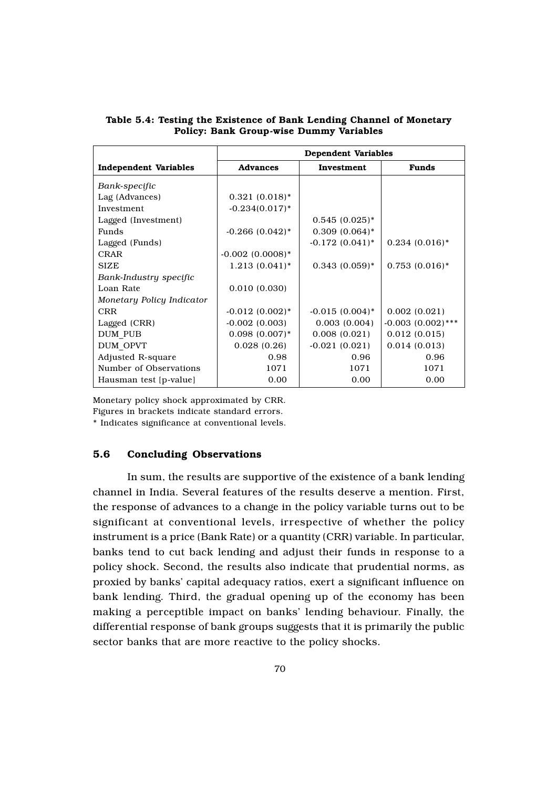|                              |                      | Dependent Variables |                     |
|------------------------------|----------------------|---------------------|---------------------|
| <b>Independent Variables</b> | <b>Advances</b>      | Investment          | <b>Funds</b>        |
| Bank-specific                |                      |                     |                     |
| Lag (Advances)               | $0.321(0.018)^*$     |                     |                     |
| Investment                   | $-0.234(0.017)$ *    |                     |                     |
| Lagged (Investment)          |                      | $0.545(0.025)^*$    |                     |
| Funds                        | $-0.266$ $(0.042)$ * | $0.309(0.064)$ *    |                     |
| Lagged (Funds)               |                      | $-0.172(0.041)^*$   | $0.234(0.016)*$     |
| <b>CRAR</b>                  | $-0.002$ $(0.0008)*$ |                     |                     |
| <b>SIZE</b>                  | $1.213(0.041)^*$     | $0.343(0.059)*$     | $0.753(0.016)^*$    |
| Bank-Industry specific       |                      |                     |                     |
| Loan Rate                    | 0.010(0.030)         |                     |                     |
| Monetary Policy Indicator    |                      |                     |                     |
| <b>CRR</b>                   | $-0.012$ $(0.002)*$  | $-0.015(0.004)^*$   | 0.002(0.021)        |
| Lagged (CRR)                 | $-0.002(0.003)$      | 0.003(0.004)        | $-0.003(0.002)$ *** |
| DUM PUB                      | $0.098(0.007)*$      | 0.008(0.021)        | 0.012(0.015)        |
| DUM OPVT                     | 0.028(0.26)          | $-0.021(0.021)$     | 0.014(0.013)        |
| Adjusted R-square            | 0.98                 | 0.96                | 0.96                |
| Number of Observations       | 1071                 | 1071                | 1071                |
| Hausman test [p-value]       | 0.00                 | 0.00                | 0.00                |

Table 5.4: Testing the Existence of Bank Lending Channel of Monetary Policy: Bank Group-wise Dummy Variables

Monetary policy shock approximated by CRR.

Figures in brackets indicate standard errors.

\* Indicates significance at conventional levels.

#### 5.6 Concluding Observations

In sum, the results are supportive of the existence of a bank lending channel in India. Several features of the results deserve a mention. First, the response of advances to a change in the policy variable turns out to be significant at conventional levels, irrespective of whether the policy instrument is a price (Bank Rate) or a quantity (CRR) variable. In particular, banks tend to cut back lending and adjust their funds in response to a policy shock. Second, the results also indicate that prudential norms, as proxied by banks' capital adequacy ratios, exert a significant influence on bank lending. Third, the gradual opening up of the economy has been making a perceptible impact on banks' lending behaviour. Finally, the differential response of bank groups suggests that it is primarily the public sector banks that are more reactive to the policy shocks.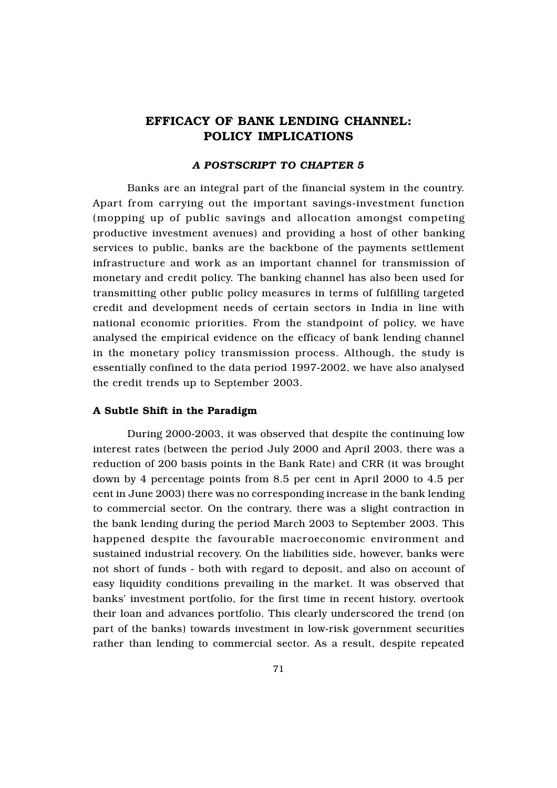### EFFICACY OF BANK LENDING CHANNEL: POLICY IMPLICATIONS

#### *A POSTSCRIPT TO CHAPTER 5*

Banks are an integral part of the financial system in the country. Apart from carrying out the important savings-investment function (mopping up of public savings and allocation amongst competing productive investment avenues) and providing a host of other banking services to public, banks are the backbone of the payments settlement infrastructure and work as an important channel for transmission of monetary and credit policy. The banking channel has also been used for transmitting other public policy measures in terms of fulfilling targeted credit and development needs of certain sectors in India in line with national economic priorities. From the standpoint of policy, we have analysed the empirical evidence on the efficacy of bank lending channel in the monetary policy transmission process. Although, the study is essentially confined to the data period 1997-2002, we have also analysed the credit trends up to September 2003.

#### A Subtle Shift in the Paradigm

During 2000-2003, it was observed that despite the continuing low interest rates (between the period July 2000 and April 2003, there was a reduction of 200 basis points in the Bank Rate) and CRR (it was brought down by 4 percentage points from 8.5 per cent in April 2000 to 4.5 per cent in June 2003) there was no corresponding increase in the bank lending to commercial sector. On the contrary, there was a slight contraction in the bank lending during the period March 2003 to September 2003. This happened despite the favourable macroeconomic environment and sustained industrial recovery. On the liabilities side, however, banks were not short of funds - both with regard to deposit, and also on account of easy liquidity conditions prevailing in the market. It was observed that banks' investment portfolio, for the first time in recent history, overtook their loan and advances portfolio. This clearly underscored the trend (on part of the banks) towards investment in low-risk government securities rather than lending to commercial sector. As a result, despite repeated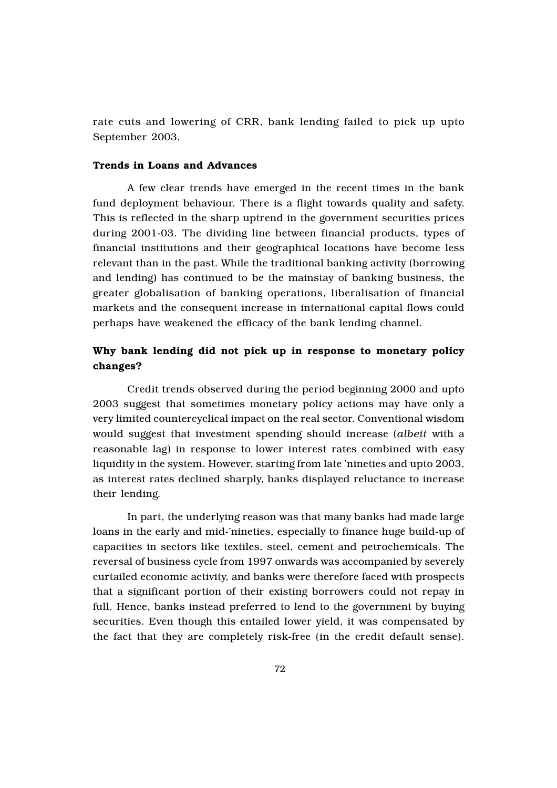rate cuts and lowering of CRR, bank lending failed to pick up upto September 2003.

#### Trends in Loans and Advances

A few clear trends have emerged in the recent times in the bank fund deployment behaviour. There is a flight towards quality and safety. This is reflected in the sharp uptrend in the government securities prices during 2001-03. The dividing line between financial products, types of financial institutions and their geographical locations have become less relevant than in the past. While the traditional banking activity (borrowing and lending) has continued to be the mainstay of banking business, the greater globalisation of banking operations, liberalisation of financial markets and the consequent increase in international capital flows could perhaps have weakened the efficacy of the bank lending channel.

### Why bank lending did not pick up in response to monetary policy changes?

Credit trends observed during the period beginning 2000 and upto 2003 suggest that sometimes monetary policy actions may have only a very limited countercyclical impact on the real sector. Conventional wisdom would suggest that investment spending should increase (*albeit* with a reasonable lag) in response to lower interest rates combined with easy liquidity in the system. However, starting from late 'nineties and upto 2003, as interest rates declined sharply, banks displayed reluctance to increase their lending.

In part, the underlying reason was that many banks had made large loans in the early and mid-'nineties, especially to finance huge build-up of capacities in sectors like textiles, steel, cement and petrochemicals. The reversal of business cycle from 1997 onwards was accompanied by severely curtailed economic activity, and banks were therefore faced with prospects that a significant portion of their existing borrowers could not repay in full. Hence, banks instead preferred to lend to the government by buying securities. Even though this entailed lower yield, it was compensated by the fact that they are completely risk-free (in the credit default sense).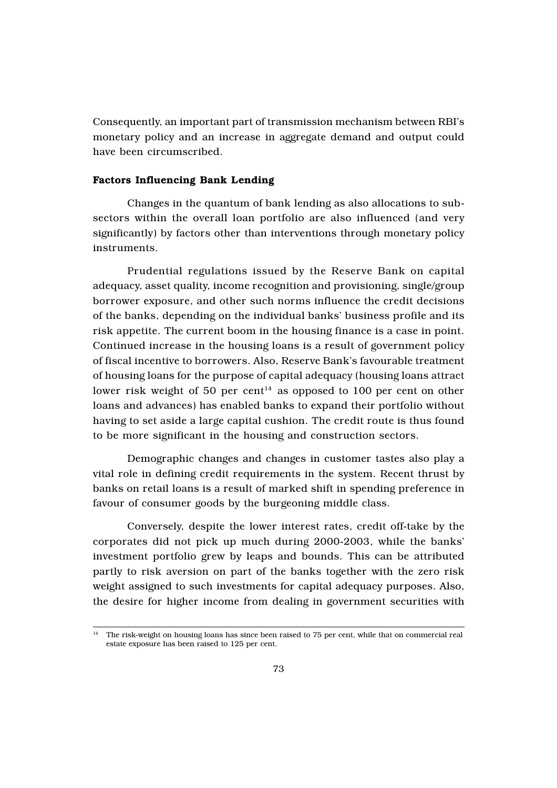Consequently, an important part of transmission mechanism between RBI's monetary policy and an increase in aggregate demand and output could have been circumscribed.

#### Factors Influencing Bank Lending

Changes in the quantum of bank lending as also allocations to subsectors within the overall loan portfolio are also influenced (and very significantly) by factors other than interventions through monetary policy instruments.

Prudential regulations issued by the Reserve Bank on capital adequacy, asset quality, income recognition and provisioning, single/group borrower exposure, and other such norms influence the credit decisions of the banks, depending on the individual banks' business profile and its risk appetite. The current boom in the housing finance is a case in point. Continued increase in the housing loans is a result of government policy of fiscal incentive to borrowers. Also, Reserve Bank's favourable treatment of housing loans for the purpose of capital adequacy (housing loans attract lower risk weight of 50 per cent<sup>14</sup> as opposed to 100 per cent on other loans and advances) has enabled banks to expand their portfolio without having to set aside a large capital cushion. The credit route is thus found to be more significant in the housing and construction sectors.

Demographic changes and changes in customer tastes also play a vital role in defining credit requirements in the system. Recent thrust by banks on retail loans is a result of marked shift in spending preference in favour of consumer goods by the burgeoning middle class.

Conversely, despite the lower interest rates, credit off-take by the corporates did not pick up much during 2000-2003, while the banks' investment portfolio grew by leaps and bounds. This can be attributed partly to risk aversion on part of the banks together with the zero risk weight assigned to such investments for capital adequacy purposes. Also, the desire for higher income from dealing in government securities with

<sup>&</sup>lt;sup>14</sup> The risk-weight on housing loans has since been raised to 75 per cent, while that on commercial real estate exposure has been raised to 125 per cent.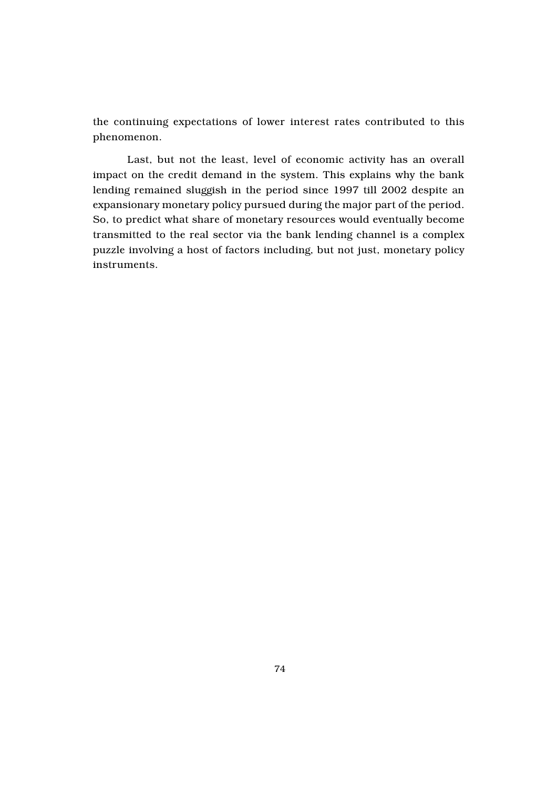the continuing expectations of lower interest rates contributed to this phenomenon.

Last, but not the least, level of economic activity has an overall impact on the credit demand in the system. This explains why the bank lending remained sluggish in the period since 1997 till 2002 despite an expansionary monetary policy pursued during the major part of the period. So, to predict what share of monetary resources would eventually become transmitted to the real sector via the bank lending channel is a complex puzzle involving a host of factors including, but not just, monetary policy instruments.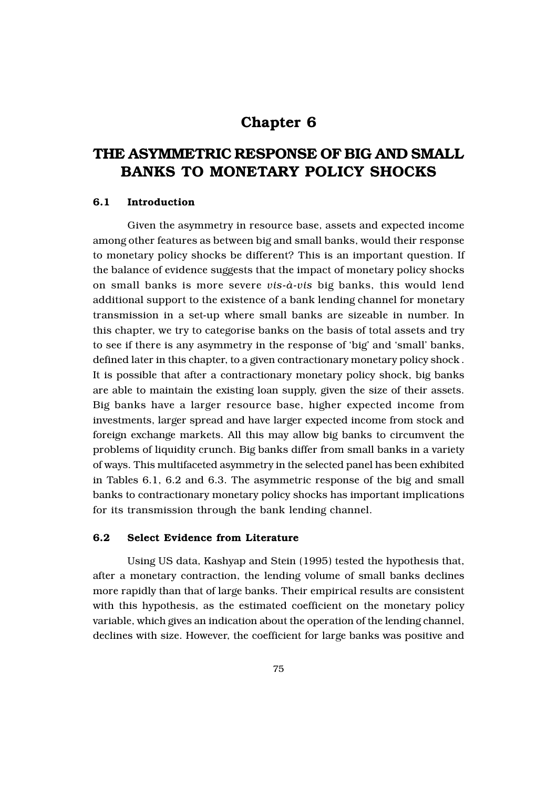## Chapter 6

# THE ASYMMETRIC RESPONSE OF BIG AND SMALL BANKS TO MONETARY POLICY SHOCKS

#### 6.1 Introduction

Given the asymmetry in resource base, assets and expected income among other features as between big and small banks, would their response to monetary policy shocks be different? This is an important question. If the balance of evidence suggests that the impact of monetary policy shocks on small banks is more severe *vis-à-vis* big banks, this would lend additional support to the existence of a bank lending channel for monetary transmission in a set-up where small banks are sizeable in number. In this chapter, we try to categorise banks on the basis of total assets and try to see if there is any asymmetry in the response of 'big' and 'small' banks, defined later in this chapter, to a given contractionary monetary policy shock . It is possible that after a contractionary monetary policy shock, big banks are able to maintain the existing loan supply, given the size of their assets. Big banks have a larger resource base, higher expected income from investments, larger spread and have larger expected income from stock and foreign exchange markets. All this may allow big banks to circumvent the problems of liquidity crunch. Big banks differ from small banks in a variety of ways. This multifaceted asymmetry in the selected panel has been exhibited in Tables 6.1, 6.2 and 6.3. The asymmetric response of the big and small banks to contractionary monetary policy shocks has important implications for its transmission through the bank lending channel.

#### 6.2 Select Evidence from Literature

Using US data, Kashyap and Stein (1995) tested the hypothesis that, after a monetary contraction, the lending volume of small banks declines more rapidly than that of large banks. Their empirical results are consistent with this hypothesis, as the estimated coefficient on the monetary policy variable, which gives an indication about the operation of the lending channel, declines with size. However, the coefficient for large banks was positive and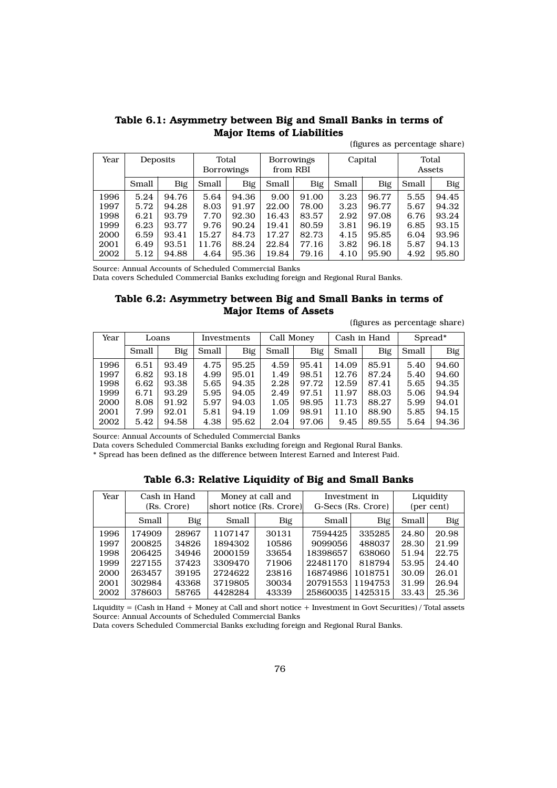Table 6.1: Asymmetry between Big and Small Banks in terms of Major Items of Liabilities

(figures as percentage share)

| Year         |              | Deposits       | Total<br>Borrowings |                | <b>Borrowings</b><br>from RBI |                | Capital      |                | Total<br>Assets |                |
|--------------|--------------|----------------|---------------------|----------------|-------------------------------|----------------|--------------|----------------|-----------------|----------------|
|              | Small        | <b>Big</b>     | Small               | Big            | Small                         | Big            | Small        | <b>Big</b>     | Small           | <b>Big</b>     |
| 1996         | 5.24         | 94.76          | 5.64                | 94.36          | 9.00                          | 91.00          | 3.23         | 96.77          | 5.55            | 94.45          |
| 1997<br>1998 | 5.72<br>6.21 | 94.28<br>93.79 | 8.03<br>7.70        | 91.97<br>92.30 | 22.00<br>16.43                | 78.00<br>83.57 | 3.23<br>2.92 | 96.77<br>97.08 | 5.67<br>6.76    | 94.32<br>93.24 |
| 1999         | 6.23         | 93.77          | 9.76                | 90.24          | 19.41                         | 80.59          | 3.81         | 96.19          | 6.85            | 93.15          |
| 2000         | 6.59         | 93.41          | 15.27               | 84.73          | 17.27                         | 82.73          | 4.15         | 95.85          | 6.04            | 93.96          |
| 2001         | 6.49         | 93.51          | 11.76               | 88.24          | 22.84                         | 77.16          | 3.82         | 96.18          | 5.87            | 94.13          |
| 2002         | 5.12         | 94.88          | 4.64                | 95.36          | 19.84                         | 79.16          | 4.10         | 95.90          | 4.92            | 95.80          |

Source: Annual Accounts of Scheduled Commercial Banks

Data covers Scheduled Commercial Banks excluding foreign and Regional Rural Banks.

#### Table 6.2: Asymmetry between Big and Small Banks in terms of Major Items of Assets

(figures as percentage share)

| Year |       | Loans | Investments |       | Call Money |       | Cash in Hand |            | Spread* |       |
|------|-------|-------|-------------|-------|------------|-------|--------------|------------|---------|-------|
|      | Small | Big   | Small       | Big   | Small      | Big   | Small        | <b>Big</b> | Small   | Big   |
| 1996 | 6.51  | 93.49 | 4.75        | 95.25 | 4.59       | 95.41 | 14.09        | 85.91      | 5.40    | 94.60 |
| 1997 | 6.82  | 93.18 | 4.99        | 95.01 | 1.49       | 98.51 | 12.76        | 87.24      | 5.40    | 94.60 |
| 1998 | 6.62  | 93.38 | 5.65        | 94.35 | 2.28       | 97.72 | 12.59        | 87.41      | 5.65    | 94.35 |
| 1999 | 6.71  | 93.29 | 5.95        | 94.05 | 2.49       | 97.51 | 11.97        | 88.03      | 5.06    | 94.94 |
| 2000 | 8.08  | 91.92 | 5.97        | 94.03 | 1.05       | 98.95 | 11.73        | 88.27      | 5.99    | 94.01 |
| 2001 | 7.99  | 92.01 | 5.81        | 94.19 | 1.09       | 98.91 | 11.10        | 88.90      | 5.85    | 94.15 |
| 2002 | 5.42  | 94.58 | 4.38        | 95.62 | 2.04       | 97.06 | 9.45         | 89.55      | 5.64    | 94.36 |

Source: Annual Accounts of Scheduled Commercial Banks

Data covers Scheduled Commercial Banks excluding foreign and Regional Rural Banks.

\* Spread has been defined as the difference between Interest Earned and Interest Paid.

| Table 6.3: Relative Liquidity of Big and Small Banks |  |  |  |  |  |
|------------------------------------------------------|--|--|--|--|--|
|------------------------------------------------------|--|--|--|--|--|

| Year |        | Cash in Hand<br>(Rs. Crore) | Money at call and<br>short notice (Rs. Crore) |       |          | Investment in<br>G-Secs (Rs. Crore) | Liquidity<br>(per cent) |       |
|------|--------|-----------------------------|-----------------------------------------------|-------|----------|-------------------------------------|-------------------------|-------|
|      | Small  | Big                         | Small                                         | Big   | Small    | Big                                 | Small                   | Big   |
| 1996 | 174909 | 28967                       | 1107147                                       | 30131 | 7594425  | 335285                              | 24.80                   | 20.98 |
| 1997 | 200825 | 34826                       | 1894302                                       | 10586 | 9099056  | 488037                              | 28.30                   | 21.99 |
| 1998 | 206425 | 34946                       | 2000159                                       | 33654 | 18398657 | 638060                              | 51.94                   | 22.75 |
| 1999 | 227155 | 37423                       | 3309470                                       | 71906 | 22481170 | 818794                              | 53.95                   | 24.40 |
| 2000 | 263457 | 39195                       | 2724622                                       | 23816 | 16874986 | 1018751                             | 30.09                   | 26.01 |
| 2001 | 302984 | 43368                       | 3719805                                       | 30034 | 20791553 | 1194753                             | 31.99                   | 26.94 |
| 2002 | 378603 | 58765                       | 4428284                                       | 43339 | 25860035 | 1425315                             | 33.43                   | 25.36 |

Liquidity = (Cash in Hand + Money at Call and short notice + Investment in Govt Securities) / Total assets Source: Annual Accounts of Scheduled Commercial Banks

Data covers Scheduled Commercial Banks excluding foreign and Regional Rural Banks.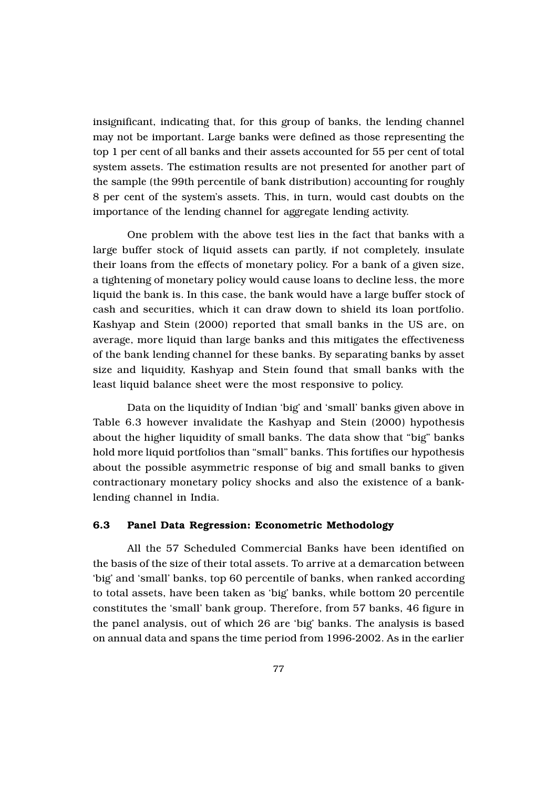insignificant, indicating that, for this group of banks, the lending channel may not be important. Large banks were defined as those representing the top 1 per cent of all banks and their assets accounted for 55 per cent of total system assets. The estimation results are not presented for another part of the sample (the 99th percentile of bank distribution) accounting for roughly 8 per cent of the system's assets. This, in turn, would cast doubts on the importance of the lending channel for aggregate lending activity.

One problem with the above test lies in the fact that banks with a large buffer stock of liquid assets can partly, if not completely, insulate their loans from the effects of monetary policy. For a bank of a given size, a tightening of monetary policy would cause loans to decline less, the more liquid the bank is. In this case, the bank would have a large buffer stock of cash and securities, which it can draw down to shield its loan portfolio. Kashyap and Stein (2000) reported that small banks in the US are, on average, more liquid than large banks and this mitigates the effectiveness of the bank lending channel for these banks. By separating banks by asset size and liquidity, Kashyap and Stein found that small banks with the least liquid balance sheet were the most responsive to policy.

Data on the liquidity of Indian 'big' and 'small' banks given above in Table 6.3 however invalidate the Kashyap and Stein (2000) hypothesis about the higher liquidity of small banks. The data show that "big" banks hold more liquid portfolios than "small" banks. This fortifies our hypothesis about the possible asymmetric response of big and small banks to given contractionary monetary policy shocks and also the existence of a banklending channel in India.

#### 6.3 Panel Data Regression: Econometric Methodology

All the 57 Scheduled Commercial Banks have been identified on the basis of the size of their total assets. To arrive at a demarcation between 'big' and 'small' banks, top 60 percentile of banks, when ranked according to total assets, have been taken as 'big' banks, while bottom 20 percentile constitutes the 'small' bank group. Therefore, from 57 banks, 46 figure in the panel analysis, out of which 26 are 'big' banks. The analysis is based on annual data and spans the time period from 1996-2002. As in the earlier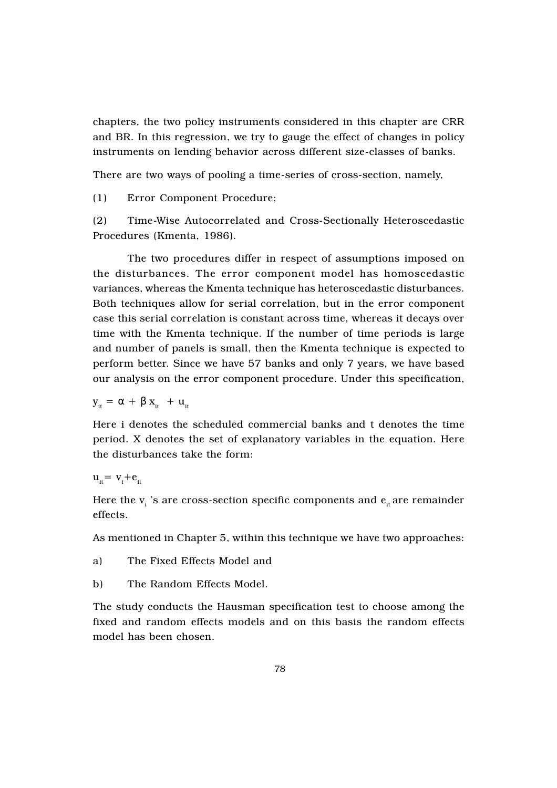chapters, the two policy instruments considered in this chapter are CRR and BR. In this regression, we try to gauge the effect of changes in policy instruments on lending behavior across different size-classes of banks.

There are two ways of pooling a time-series of cross-section, namely,

(1) Error Component Procedure;

(2) Time-Wise Autocorrelated and Cross-Sectionally Heteroscedastic Procedures (Kmenta, 1986).

The two procedures differ in respect of assumptions imposed on the disturbances. The error component model has homoscedastic variances, whereas the Kmenta technique has heteroscedastic disturbances. Both techniques allow for serial correlation, but in the error component case this serial correlation is constant across time, whereas it decays over time with the Kmenta technique. If the number of time periods is large and number of panels is small, then the Kmenta technique is expected to perform better. Since we have 57 banks and only 7 years, we have based our analysis on the error component procedure. Under this specification,

 $y_{it} = \alpha + \beta x_{it} + u_{it}$ 

Here i denotes the scheduled commercial banks and t denotes the time period. X denotes the set of explanatory variables in the equation. Here the disturbances take the form:

 $u_{it} = v_i + e_{it}$ 

Here the  $\mathrm{v_{_{i}}}$  's are cross-section specific components and  $\mathrm{e_{_{it}}}$ are remainder effects.

As mentioned in Chapter 5, within this technique we have two approaches:

- a) The Fixed Effects Model and
- b) The Random Effects Model.

The study conducts the Hausman specification test to choose among the fixed and random effects models and on this basis the random effects model has been chosen.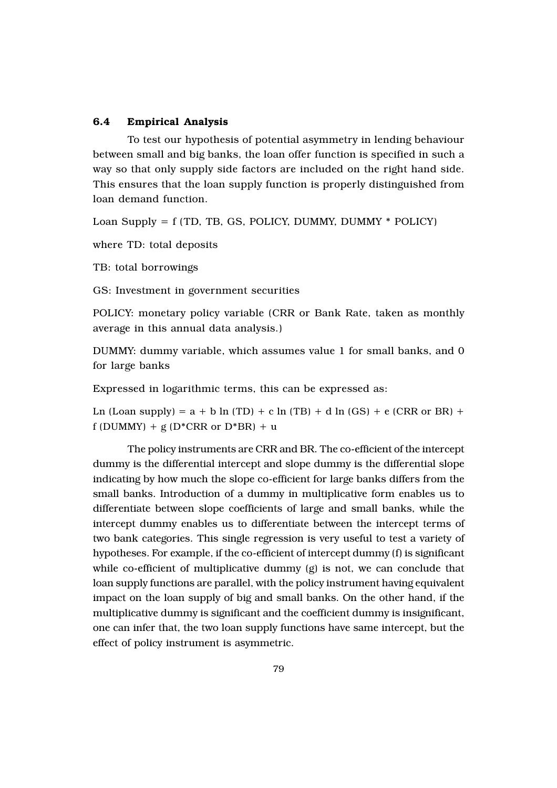#### 6.4 Empirical Analysis

To test our hypothesis of potential asymmetry in lending behaviour between small and big banks, the loan offer function is specified in such a way so that only supply side factors are included on the right hand side. This ensures that the loan supply function is properly distinguished from loan demand function.

Loan Supply  $= f(TD, TB, GS, POLICY, DUMMY, DUMMY * POLICY)$ 

where TD: total deposits

TB: total borrowings

GS: Investment in government securities

POLICY: monetary policy variable (CRR or Bank Rate, taken as monthly average in this annual data analysis.)

DUMMY: dummy variable, which assumes value 1 for small banks, and 0 for large banks

Expressed in logarithmic terms, this can be expressed as:

Ln (Loan supply) =  $a + b \ln(TD) + c \ln(TB) + d \ln(GS) + e (CRR or BR) +$ f (DUMMY) +  $g$  (D\*CRR or D\*BR) + u

The policy instruments are CRR and BR. The co-efficient of the intercept dummy is the differential intercept and slope dummy is the differential slope indicating by how much the slope co-efficient for large banks differs from the small banks. Introduction of a dummy in multiplicative form enables us to differentiate between slope coefficients of large and small banks, while the intercept dummy enables us to differentiate between the intercept terms of two bank categories. This single regression is very useful to test a variety of hypotheses. For example, if the co-efficient of intercept dummy (f) is significant while co-efficient of multiplicative dummy  $(g)$  is not, we can conclude that loan supply functions are parallel, with the policy instrument having equivalent impact on the loan supply of big and small banks. On the other hand, if the multiplicative dummy is significant and the coefficient dummy is insignificant, one can infer that, the two loan supply functions have same intercept, but the effect of policy instrument is asymmetric.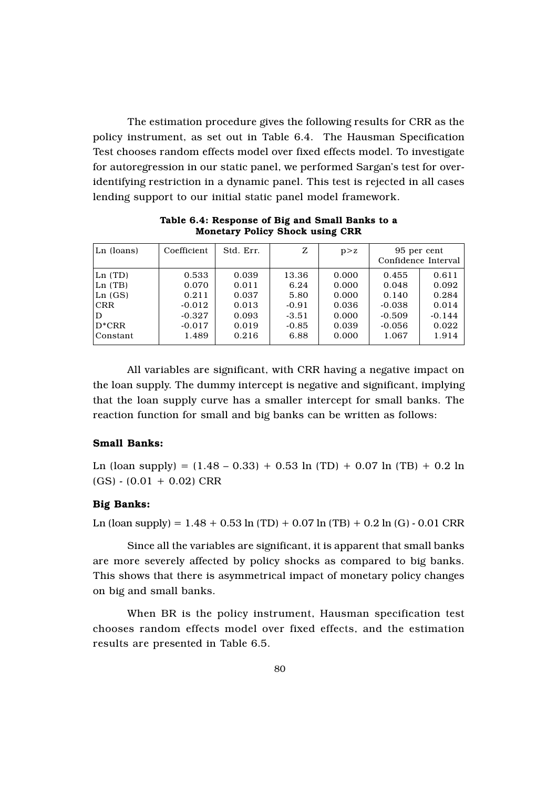The estimation procedure gives the following results for CRR as the policy instrument, as set out in Table 6.4. The Hausman Specification Test chooses random effects model over fixed effects model. To investigate for autoregression in our static panel, we performed Sargan's test for overidentifying restriction in a dynamic panel. This test is rejected in all cases lending support to our initial static panel model framework.

| Ln (loans) | Coefficient | Std. Err. | Z       | p > z |          | 95 per cent<br>Confidence Interval |
|------------|-------------|-----------|---------|-------|----------|------------------------------------|
| Ln(TD)     | 0.533       | 0.039     | 13.36   | 0.000 | 0.455    | 0.611                              |
| Ln(TB)     | 0.070       | 0.011     | 6.24    | 0.000 | 0.048    | 0.092                              |
| Ln(GS)     | 0.211       | 0.037     | 5.80    | 0.000 | 0.140    | 0.284                              |
| <b>CRR</b> | $-0.012$    | 0.013     | $-0.91$ | 0.036 | $-0.038$ | 0.014                              |
| D          | $-0.327$    | 0.093     | $-3.51$ | 0.000 | $-0.509$ | $-0.144$                           |
| $D^*CRR$   | $-0.017$    | 0.019     | $-0.85$ | 0.039 | $-0.056$ | 0.022                              |
| Constant   | 1.489       | 0.216     | 6.88    | 0.000 | 1.067    | 1.914                              |
|            |             |           |         |       |          |                                    |

Table 6.4: Response of Big and Small Banks to a Monetary Policy Shock using CRR

All variables are significant, with CRR having a negative impact on the loan supply. The dummy intercept is negative and significant, implying that the loan supply curve has a smaller intercept for small banks. The reaction function for small and big banks can be written as follows:

#### Small Banks:

Ln (loan supply) =  $(1.48 - 0.33) + 0.53 \ln(TD) + 0.07 \ln(TB) + 0.2 \ln(TD)$  $(GS) - (0.01 + 0.02)$  CRR

#### Big Banks:

Ln (loan supply) =  $1.48 + 0.53 \ln(TD) + 0.07 \ln(TB) + 0.2 \ln(G)$  - 0.01 CRR

Since all the variables are significant, it is apparent that small banks are more severely affected by policy shocks as compared to big banks. This shows that there is asymmetrical impact of monetary policy changes on big and small banks.

When BR is the policy instrument, Hausman specification test chooses random effects model over fixed effects, and the estimation results are presented in Table 6.5.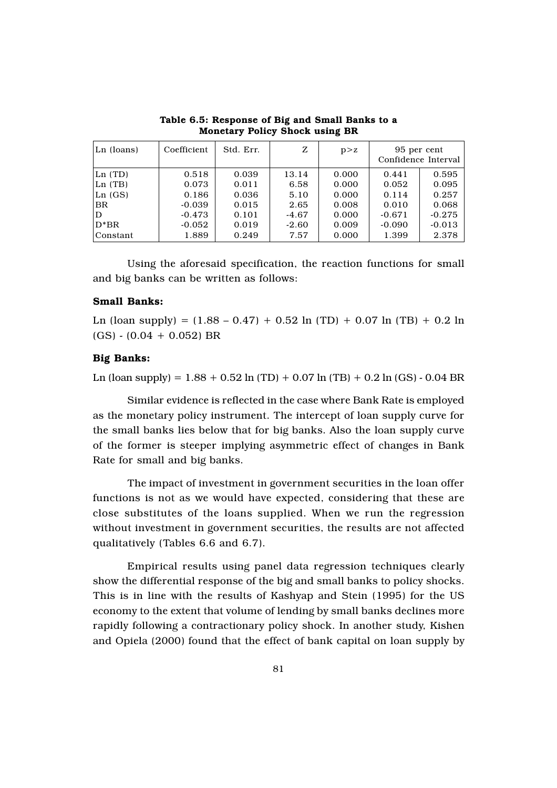| Ln (loans) | Coefficient | Std. Err. | Z       | p > z |          | 95 per cent<br>Confidence Interval |
|------------|-------------|-----------|---------|-------|----------|------------------------------------|
| Ln(TD)     | 0.518       | 0.039     | 13.14   | 0.000 | 0.441    | 0.595                              |
| Ln(TB)     | 0.073       | 0.011     | 6.58    | 0.000 | 0.052    | 0.095                              |
| Ln(GS)     | 0.186       | 0.036     | 5.10    | 0.000 | 0.114    | 0.257                              |
| <b>BR</b>  | $-0.039$    | 0.015     | 2.65    | 0.008 | 0.010    | 0.068                              |
| D          | $-0.473$    | 0.101     | $-4.67$ | 0.000 | $-0.671$ | $-0.275$                           |
| $D^*BR$    | $-0.052$    | 0.019     | $-2.60$ | 0.009 | $-0.090$ | $-0.013$                           |
| Constant   | 1.889       | 0.249     | 7.57    | 0.000 | 1.399    | 2.378                              |

Table 6.5: Response of Big and Small Banks to a Monetary Policy Shock using BR

Using the aforesaid specification, the reaction functions for small and big banks can be written as follows:

#### Small Banks:

Ln (loan supply) =  $(1.88 - 0.47) + 0.52 \ln(TD) + 0.07 \ln(TB) + 0.2 \ln$  $(GS) - (0.04 + 0.052) BR$ 

#### Big Banks:

Ln (loan supply) =  $1.88 + 0.52 \ln(TD) + 0.07 \ln(TB) + 0.2 \ln(GS) - 0.04 \text{ BR}$ 

Similar evidence is reflected in the case where Bank Rate is employed as the monetary policy instrument. The intercept of loan supply curve for the small banks lies below that for big banks. Also the loan supply curve of the former is steeper implying asymmetric effect of changes in Bank Rate for small and big banks.

The impact of investment in government securities in the loan offer functions is not as we would have expected, considering that these are close substitutes of the loans supplied. When we run the regression without investment in government securities, the results are not affected qualitatively (Tables 6.6 and 6.7).

Empirical results using panel data regression techniques clearly show the differential response of the big and small banks to policy shocks. This is in line with the results of Kashyap and Stein (1995) for the US economy to the extent that volume of lending by small banks declines more rapidly following a contractionary policy shock. In another study, Kishen and Opiela (2000) found that the effect of bank capital on loan supply by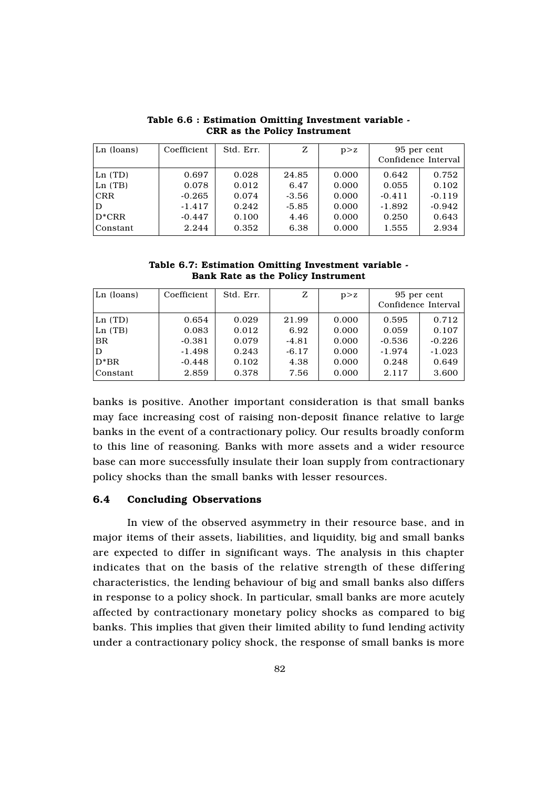| Ln (loans) | Coefficient | Std. Err. | Z       | p > z |          | 95 per cent<br>Confidence Interval |
|------------|-------------|-----------|---------|-------|----------|------------------------------------|
| Ln(TD)     | 0.697       | 0.028     | 24.85   | 0.000 | 0.642    | 0.752                              |
| Ln(TB)     | 0.078       | 0.012     | 6.47    | 0.000 | 0.055    | 0.102                              |
| <b>CRR</b> | $-0.265$    | 0.074     | $-3.56$ | 0.000 | $-0.411$ | $-0.119$                           |
| D          | $-1.417$    | 0.242     | $-5.85$ | 0.000 | $-1.892$ | $-0.942$                           |
| $D^*CRR$   | $-0.447$    | 0.100     | 4.46    | 0.000 | 0.250    | 0.643                              |
| Constant   | 2.244       | 0.352     | 6.38    | 0.000 | 1.555    | 2.934                              |

Table 6.6 : Estimation Omitting Investment variable - CRR as the Policy Instrument

Table 6.7: Estimation Omitting Investment variable - Bank Rate as the Policy Instrument

| Ln (loans) | Coefficient | Std. Err. | Z       | p > z |          | 95 per cent<br>Confidence Interval |
|------------|-------------|-----------|---------|-------|----------|------------------------------------|
|            |             |           |         |       |          |                                    |
| Ln(TD)     | 0.654       | 0.029     | 21.99   | 0.000 | 0.595    | 0.712                              |
| Ln(TB)     | 0.083       | 0.012     | 6.92    | 0.000 | 0.059    | 0.107                              |
| <b>BR</b>  | $-0.381$    | 0.079     | $-4.81$ | 0.000 | $-0.536$ | $-0.226$                           |
| D          | $-1.498$    | 0.243     | $-6.17$ | 0.000 | $-1.974$ | $-1.023$                           |
| $D*BR$     | $-0.448$    | 0.102     | 4.38    | 0.000 | 0.248    | 0.649                              |
| Constant   | 2.859       | 0.378     | 7.56    | 0.000 | 2.117    | 3.600                              |

banks is positive. Another important consideration is that small banks may face increasing cost of raising non-deposit finance relative to large banks in the event of a contractionary policy. Our results broadly conform to this line of reasoning. Banks with more assets and a wider resource base can more successfully insulate their loan supply from contractionary policy shocks than the small banks with lesser resources.

#### 6.4 Concluding Observations

In view of the observed asymmetry in their resource base, and in major items of their assets, liabilities, and liquidity, big and small banks are expected to differ in significant ways. The analysis in this chapter indicates that on the basis of the relative strength of these differing characteristics, the lending behaviour of big and small banks also differs in response to a policy shock. In particular, small banks are more acutely affected by contractionary monetary policy shocks as compared to big banks. This implies that given their limited ability to fund lending activity under a contractionary policy shock, the response of small banks is more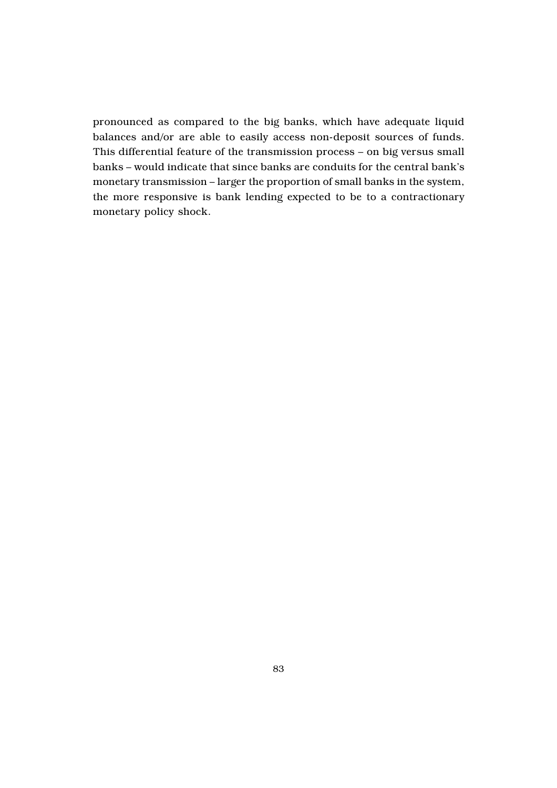pronounced as compared to the big banks, which have adequate liquid balances and/or are able to easily access non-deposit sources of funds. This differential feature of the transmission process – on big versus small banks – would indicate that since banks are conduits for the central bank's monetary transmission – larger the proportion of small banks in the system, the more responsive is bank lending expected to be to a contractionary monetary policy shock.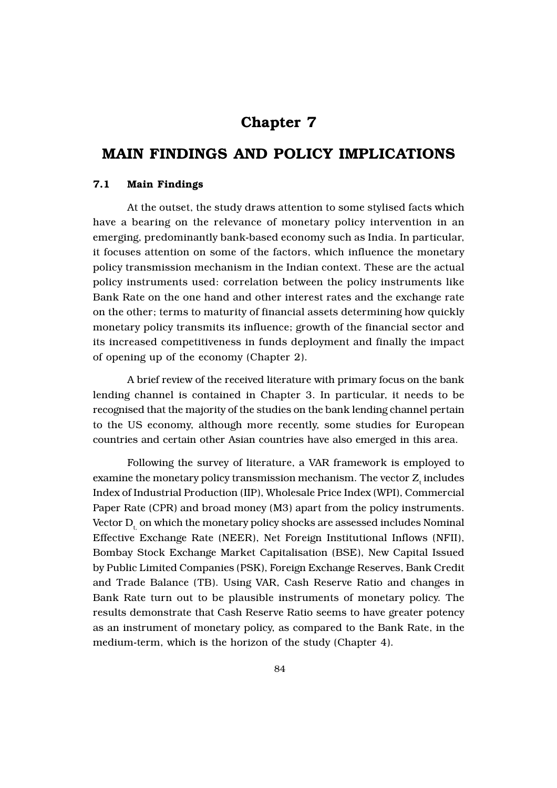## Chapter 7

# MAIN FINDINGS AND POLICY IMPLICATIONS

#### 7.1 Main Findings

At the outset, the study draws attention to some stylised facts which have a bearing on the relevance of monetary policy intervention in an emerging, predominantly bank-based economy such as India. In particular, it focuses attention on some of the factors, which influence the monetary policy transmission mechanism in the Indian context. These are the actual policy instruments used: correlation between the policy instruments like Bank Rate on the one hand and other interest rates and the exchange rate on the other; terms to maturity of financial assets determining how quickly monetary policy transmits its influence; growth of the financial sector and its increased competitiveness in funds deployment and finally the impact of opening up of the economy (Chapter 2).

A brief review of the received literature with primary focus on the bank lending channel is contained in Chapter 3. In particular, it needs to be recognised that the majority of the studies on the bank lending channel pertain to the US economy, although more recently, some studies for European countries and certain other Asian countries have also emerged in this area.

Following the survey of literature, a VAR framework is employed to examine the monetary policy transmission mechanism. The vector  $\operatorname{Z}_\text{t}$  includes Index of Industrial Production (IIP), Wholesale Price Index (WPI), Commercial Paper Rate (CPR) and broad money (M3) apart from the policy instruments. Vector  $D<sub>r</sub>$  on which the monetary policy shocks are assessed includes Nominal Effective Exchange Rate (NEER), Net Foreign Institutional Inflows (NFII), Bombay Stock Exchange Market Capitalisation (BSE), New Capital Issued by Public Limited Companies (PSK), Foreign Exchange Reserves, Bank Credit and Trade Balance (TB). Using VAR, Cash Reserve Ratio and changes in Bank Rate turn out to be plausible instruments of monetary policy. The results demonstrate that Cash Reserve Ratio seems to have greater potency as an instrument of monetary policy, as compared to the Bank Rate, in the medium-term, which is the horizon of the study (Chapter 4).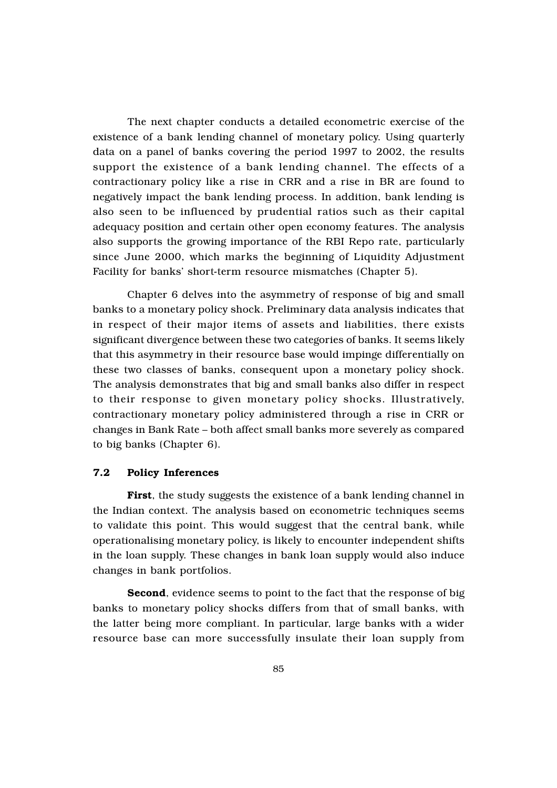The next chapter conducts a detailed econometric exercise of the existence of a bank lending channel of monetary policy. Using quarterly data on a panel of banks covering the period 1997 to 2002, the results support the existence of a bank lending channel. The effects of a contractionary policy like a rise in CRR and a rise in BR are found to negatively impact the bank lending process. In addition, bank lending is also seen to be influenced by prudential ratios such as their capital adequacy position and certain other open economy features. The analysis also supports the growing importance of the RBI Repo rate, particularly since June 2000, which marks the beginning of Liquidity Adjustment Facility for banks' short-term resource mismatches (Chapter 5).

Chapter 6 delves into the asymmetry of response of big and small banks to a monetary policy shock. Preliminary data analysis indicates that in respect of their major items of assets and liabilities, there exists significant divergence between these two categories of banks. It seems likely that this asymmetry in their resource base would impinge differentially on these two classes of banks, consequent upon a monetary policy shock. The analysis demonstrates that big and small banks also differ in respect to their response to given monetary policy shocks. Illustratively, contractionary monetary policy administered through a rise in CRR or changes in Bank Rate – both affect small banks more severely as compared to big banks (Chapter 6).

#### 7.2 Policy Inferences

First, the study suggests the existence of a bank lending channel in the Indian context. The analysis based on econometric techniques seems to validate this point. This would suggest that the central bank, while operationalising monetary policy, is likely to encounter independent shifts in the loan supply. These changes in bank loan supply would also induce changes in bank portfolios.

Second, evidence seems to point to the fact that the response of big banks to monetary policy shocks differs from that of small banks, with the latter being more compliant. In particular, large banks with a wider resource base can more successfully insulate their loan supply from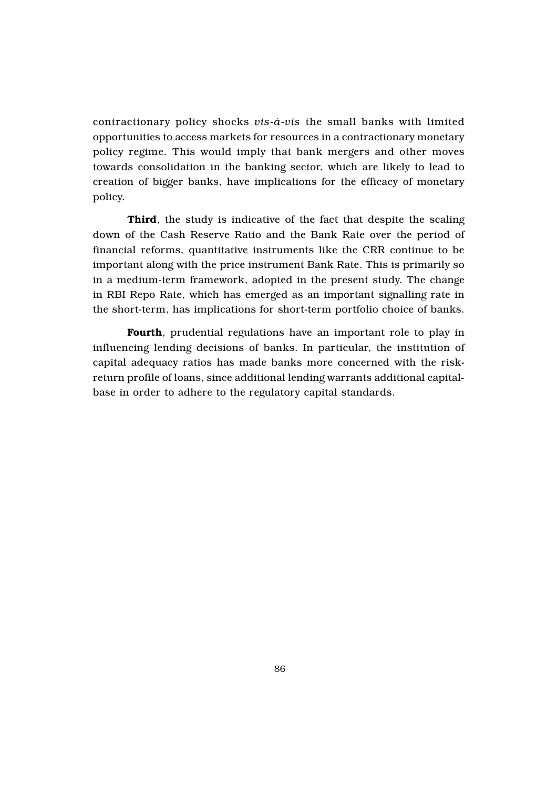contractionary policy shocks *vis-à-vis* the small banks with limited opportunities to access markets for resources in a contractionary monetary policy regime. This would imply that bank mergers and other moves towards consolidation in the banking sector, which are likely to lead to creation of bigger banks, have implications for the efficacy of monetary policy.

Third, the study is indicative of the fact that despite the scaling down of the Cash Reserve Ratio and the Bank Rate over the period of financial reforms, quantitative instruments like the CRR continue to be important along with the price instrument Bank Rate. This is primarily so in a medium-term framework, adopted in the present study. The change in RBI Repo Rate, which has emerged as an important signalling rate in the short-term, has implications for short-term portfolio choice of banks.

Fourth, prudential regulations have an important role to play in influencing lending decisions of banks. In particular, the institution of capital adequacy ratios has made banks more concerned with the riskreturn profile of loans, since additional lending warrants additional capitalbase in order to adhere to the regulatory capital standards.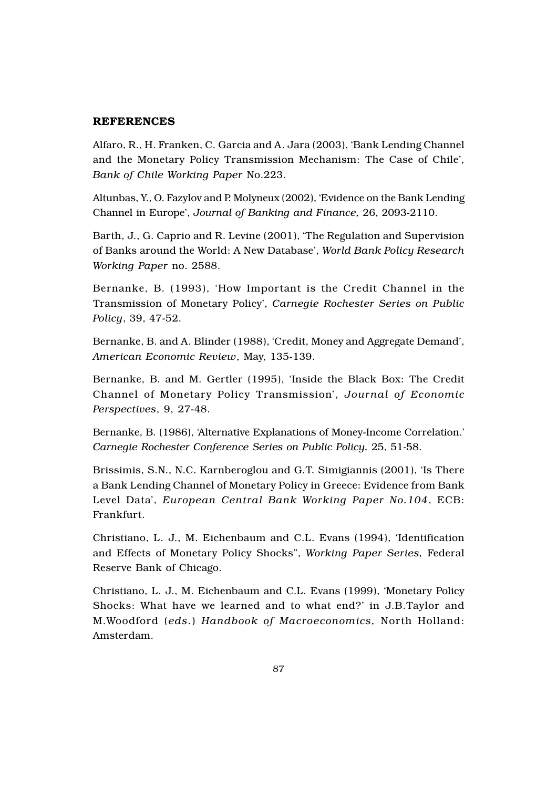#### REFERENCES

Alfaro, R., H. Franken, C. Garcia and A. Jara (2003), 'Bank Lending Channel and the Monetary Policy Transmission Mechanism: The Case of Chile', *Bank of Chile Working Paper* No.223.

Altunbas, Y., O. Fazylov and P. Molyneux (2002), 'Evidence on the Bank Lending Channel in Europe', *Journal of Banking and Finance,* 26, 2093-2110.

Barth, J., G. Caprio and R. Levine (2001), 'The Regulation and Supervision of Banks around the World: A New Database', *World Bank Policy Research Working Paper* no. 2588.

Bernanke, B. (1993), 'How Important is the Credit Channel in the Transmission of Monetary Policy', *Carnegie Rochester Series on Public Policy*, 39, 47-52.

Bernanke, B. and A. Blinder (1988), 'Credit, Money and Aggregate Demand', *American Economic Review*, May, 135-139.

Bernanke, B. and M. Gertler (1995), 'Inside the Black Box: The Credit Channel of Monetary Policy Transmission', *Journal of Economic Perspectives*, 9, 27-48.

Bernanke, B. (1986), 'Alternative Explanations of Money-Income Correlation.' *Carnegie Rochester Conference Series on Public Policy,* 25, 51-58.

Brissimis, S.N., N.C. Karnberoglou and G.T. Simigiannis (2001), 'Is There a Bank Lending Channel of Monetary Policy in Greece: Evidence from Bank Level Data', *European Central Bank Working Paper No.104*, ECB: Frankfurt.

Christiano, L. J., M. Eichenbaum and C.L. Evans (1994), 'Identification and Effects of Monetary Policy Shocks", *Working Paper Series,* Federal Reserve Bank of Chicago.

Christiano, L. J., M. Eichenbaum and C.L. Evans (1999), 'Monetary Policy Shocks: What have we learned and to what end?' in J.B.Taylor and M.Woodford (*eds*.) *Handbook of Macroeconomics,* North Holland: Amsterdam.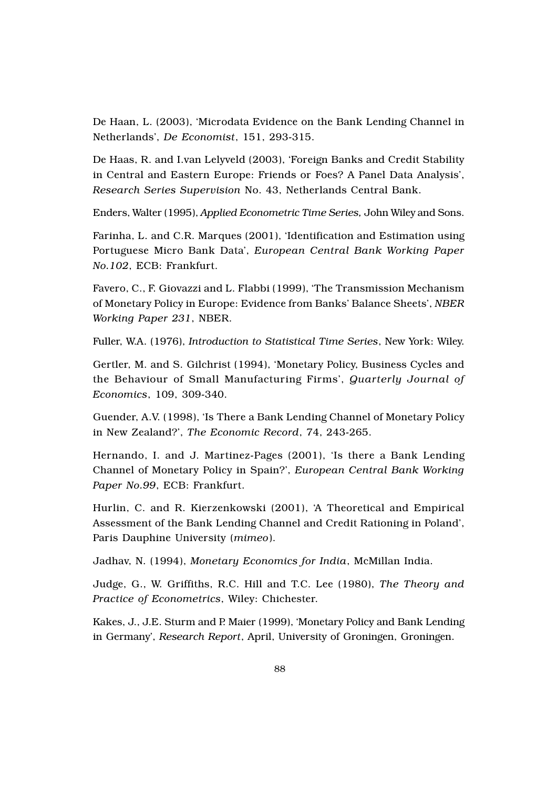De Haan, L. (2003), 'Microdata Evidence on the Bank Lending Channel in Netherlands', *De Economist*, 151, 293-315.

De Haas, R. and I.van Lelyveld (2003), 'Foreign Banks and Credit Stability in Central and Eastern Europe: Friends or Foes? A Panel Data Analysis', *Research Series Supervision* No. 43, Netherlands Central Bank.

Enders, Walter (1995), *Applied Econometric Time Series,* John Wiley and Sons.

Farinha, L. and C.R. Marques (2001), 'Identification and Estimation using Portuguese Micro Bank Data', *European Central Bank Working Paper No.102*, ECB: Frankfurt.

Favero, C., F. Giovazzi and L. Flabbi (1999), 'The Transmission Mechanism of Monetary Policy in Europe: Evidence from Banks' Balance Sheets', *NBER Working Paper 231*, NBER.

Fuller, W.A. (1976), *Introduction to Statistical Time Series*, New York: Wiley.

Gertler, M. and S. Gilchrist (1994), 'Monetary Policy, Business Cycles and the Behaviour of Small Manufacturing Firms', *Quarterly Journal of Economics*, 109, 309-340.

Guender, A.V. (1998), 'Is There a Bank Lending Channel of Monetary Policy in New Zealand?', *The Economic Record*, 74, 243-265.

Hernando, I. and J. Martinez-Pages (2001), 'Is there a Bank Lending Channel of Monetary Policy in Spain?', *European Central Bank Working Paper No.99*, ECB: Frankfurt.

Hurlin, C. and R. Kierzenkowski (2001), 'A Theoretical and Empirical Assessment of the Bank Lending Channel and Credit Rationing in Poland', Paris Dauphine University (*mimeo*).

Jadhav, N. (1994), *Monetary Economics for India*, McMillan India.

Judge, G., W. Griffiths, R.C. Hill and T.C. Lee (1980), *The Theory and Practice of Econometrics*, Wiley: Chichester.

Kakes, J., J.E. Sturm and P. Maier (1999), 'Monetary Policy and Bank Lending in Germany', *Research Report*, April, University of Groningen, Groningen.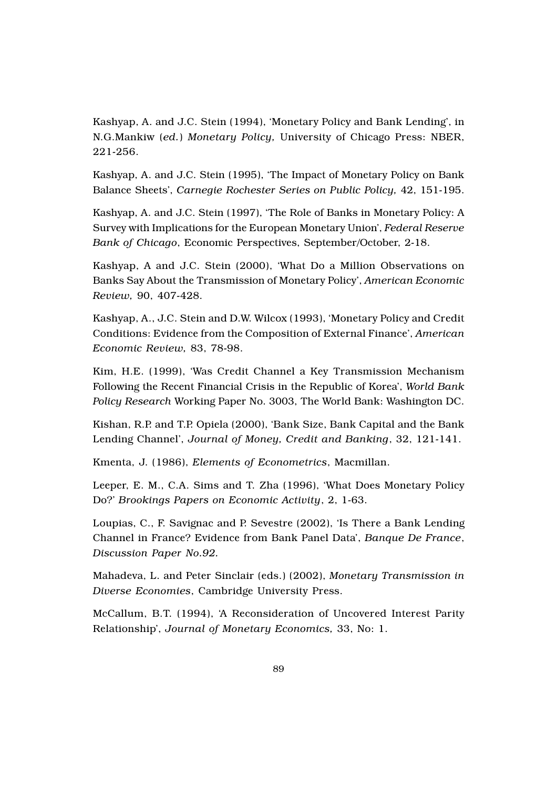Kashyap, A. and J.C. Stein (1994), 'Monetary Policy and Bank Lending', in N.G.Mankiw (*ed.*) *Monetary Policy,* University of Chicago Press: NBER, 221-256.

Kashyap, A. and J.C. Stein (1995), 'The Impact of Monetary Policy on Bank Balance Sheets', *Carnegie Rochester Series on Public Policy,* 42, 151-195.

Kashyap, A. and J.C. Stein (1997), 'The Role of Banks in Monetary Policy: A Survey with Implications for the European Monetary Union', *Federal Reserve Bank of Chicago*, Economic Perspectives, September/October, 2-18.

Kashyap, A and J.C. Stein (2000), 'What Do a Million Observations on Banks Say About the Transmission of Monetary Policy', *American Economic Review,* 90, 407-428.

Kashyap, A., J.C. Stein and D.W. Wilcox (1993), 'Monetary Policy and Credit Conditions: Evidence from the Composition of External Finance', *American Economic Review,* 83, 78-98.

Kim, H.E. (1999), 'Was Credit Channel a Key Transmission Mechanism Following the Recent Financial Crisis in the Republic of Korea', *World Bank Policy Research* Working Paper No. 3003, The World Bank: Washington DC.

Kishan, R.P. and T.P. Opiela (2000), 'Bank Size, Bank Capital and the Bank Lending Channel', *Journal of Money, Credit and Banking*, 32, 121-141.

Kmenta, J. (1986), *Elements of Econometrics*, Macmillan.

Leeper, E. M., C.A. Sims and T. Zha (1996), 'What Does Monetary Policy Do?' *Brookings Papers on Economic Activity*, 2, 1-63.

Loupias, C., F. Savignac and P. Sevestre (2002), 'Is There a Bank Lending Channel in France? Evidence from Bank Panel Data', *Banque De France*, *Discussion Paper No.92.*

Mahadeva, L. and Peter Sinclair (eds.) (2002), *Monetary Transmission in Diverse Economies*, Cambridge University Press.

McCallum, B.T. (1994), 'A Reconsideration of Uncovered Interest Parity Relationship', *Journal of Monetary Economics,* 33, No: 1.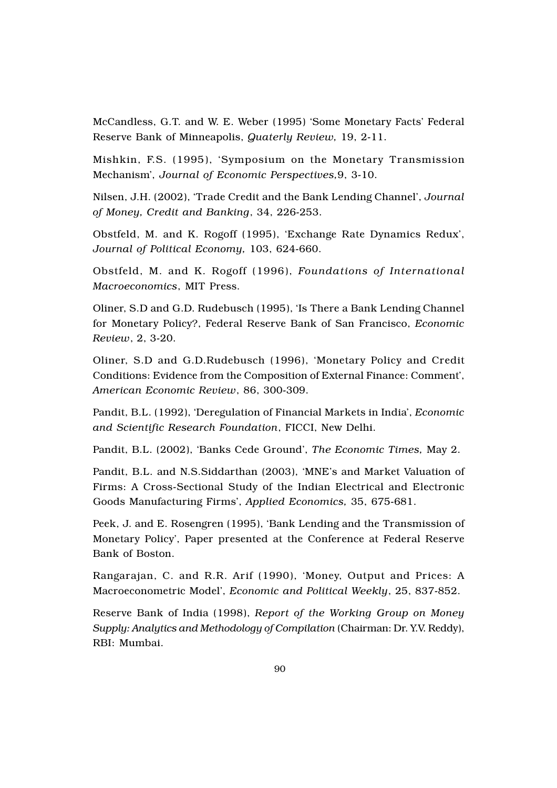McCandless, G.T. and W. E. Weber (1995) 'Some Monetary Facts' Federal Reserve Bank of Minneapolis, *Quaterly Review,* 19, 2-11.

Mishkin, F.S. (1995), 'Symposium on the Monetary Transmission Mechanism', *Journal of Economic Perspectives,*9, 3-10.

Nilsen, J.H. (2002), 'Trade Credit and the Bank Lending Channel', *Journal of Money, Credit and Banking*, 34, 226-253.

Obstfeld, M. and K. Rogoff (1995), 'Exchange Rate Dynamics Redux', *Journal of Political Economy,* 103, 624-660.

Obstfeld, M. and K. Rogoff (1996), *Foundations of International Macroeconomics*, MIT Press.

Oliner, S.D and G.D. Rudebusch (1995), 'Is There a Bank Lending Channel for Monetary Policy?, Federal Reserve Bank of San Francisco, *Economic Review*, 2, 3-20.

Oliner, S.D and G.D.Rudebusch (1996), 'Monetary Policy and Credit Conditions: Evidence from the Composition of External Finance: Comment', *American Economic Review*, 86, 300-309.

Pandit, B.L. (1992), 'Deregulation of Financial Markets in India', *Economic and Scientific Research Foundation*, FICCI, New Delhi.

Pandit, B.L. (2002), 'Banks Cede Ground', *The Economic Times,* May 2.

Pandit, B.L. and N.S.Siddarthan (2003), 'MNE's and Market Valuation of Firms: A Cross-Sectional Study of the Indian Electrical and Electronic Goods Manufacturing Firms', *Applied Economics,* 35, 675-681.

Peek, J. and E. Rosengren (1995), 'Bank Lending and the Transmission of Monetary Policy', Paper presented at the Conference at Federal Reserve Bank of Boston.

Rangarajan, C. and R.R. Arif (1990), 'Money, Output and Prices: A Macroeconometric Model', *Economic and Political Weekly*, 25, 837-852.

Reserve Bank of India (1998), *Report of the Working Group on Money Supply: Analytics and Methodology of Compilation* (Chairman: Dr. Y.V. Reddy), RBI: Mumbai.